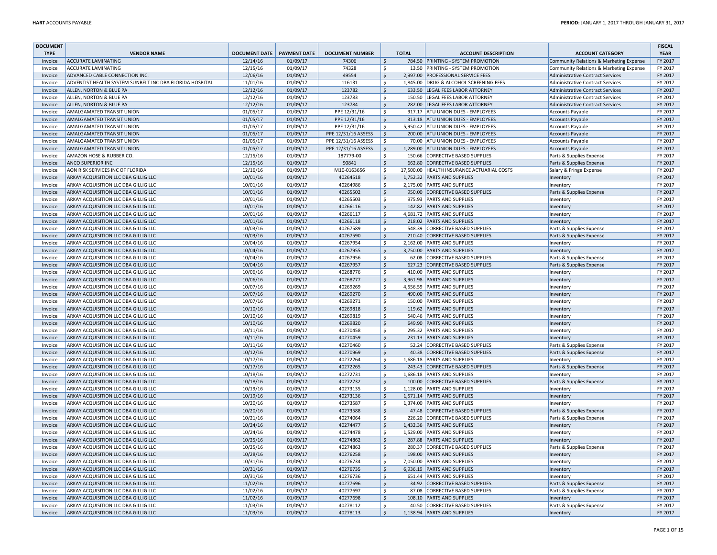| <b>DOCUMENT</b> |                                                          |                            |          |                        |                       |              |                                            |                                         | <b>FISCAL</b> |
|-----------------|----------------------------------------------------------|----------------------------|----------|------------------------|-----------------------|--------------|--------------------------------------------|-----------------------------------------|---------------|
| <b>TYPE</b>     | <b>VENDOR NAME</b>                                       | DOCUMENT DATE PAYMENT DATE |          | <b>DOCUMENT NUMBER</b> |                       | <b>TOTAL</b> | <b>ACCOUNT DESCRIPTION</b>                 | <b>ACCOUNT CATEGORY</b>                 | <b>YEAR</b>   |
| Invoice         | <b>ACCURATE LAMINATING</b>                               | 12/14/16                   | 01/09/17 | 74306                  | \$                    |              | 784.50 PRINTING - SYSTEM PROMOTION         | Community Relations & Marketing Expense | FY 2017       |
| Invoice         | <b>ACCURATE LAMINATING</b>                               | 12/15/16                   | 01/09/17 | 74328                  | \$                    |              | 13.50 PRINTING - SYSTEM PROMOTION          | Community Relations & Marketing Expense | FY 2017       |
| Invoice         | ADVANCED CABLE CONNECTION INC.                           | 12/06/16                   | 01/09/17 | 49554                  | $\mathsf{\mathsf{S}}$ |              | 2,997.00 PROFESSIONAL SERVICE FEES         | <b>Administrative Contract Services</b> | FY 2017       |
| Invoice         | ADVENTIST HEALTH SYSTEM SUNBELT INC DBA FLORIDA HOSPITAL | 11/01/16                   | 01/09/17 | 116131                 | $\mathsf{\hat{S}}$    |              | 1,845.00 DRUG & ALCOHOL SCREENING FEES     | Administrative Contract Services        | FY 2017       |
| Invoice         | ALLEN, NORTON & BLUE PA                                  | 12/12/16                   | 01/09/17 | 123782                 | $\mathsf{S}$          |              | 633.50 LEGAL FEES LABOR ATTORNEY           | <b>Administrative Contract Services</b> | FY 2017       |
| Invoice         | ALLEN, NORTON & BLUE PA                                  | 12/12/16                   | 01/09/17 | 123783                 | $\mathsf{\hat{S}}$    |              | 150.50 LEGAL FEES LABOR ATTORNEY           | <b>Administrative Contract Services</b> | FY 2017       |
| Invoice         | ALLEN, NORTON & BLUE PA                                  | 12/12/16                   | 01/09/17 | 123784                 | \$                    |              | 282.00 LEGAL FEES LABOR ATTORNEY           | <b>Administrative Contract Services</b> | FY 2017       |
| Invoice         | AMALGAMATED TRANSIT UNION                                | 01/05/17                   | 01/09/17 | PPE 12/31/16           | \$                    |              | 917.17 ATU UNION DUES - EMPLOYEES          | <b>Accounts Payable</b>                 | FY 2017       |
| Invoice         | AMALGAMATED TRANSIT UNION                                | 01/05/17                   | 01/09/17 | PPE 12/31/16           | $\zeta$               |              | 313.18 ATU UNION DUES - EMPLOYEES          | <b>Accounts Payable</b>                 | FY 2017       |
| Invoice         | AMALGAMATED TRANSIT UNION                                | 01/05/17                   | 01/09/17 | PPE 12/31/16           | \$                    |              | 5,950.42 ATU UNION DUES - EMPLOYEES        | Accounts Payable                        | FY 2017       |
| Invoice         | AMALGAMATED TRANSIT UNION                                | 01/05/17                   | 01/09/17 | PPE 12/31/16 ASSESS    | $\mathsf{S}$          |              | 200.00 ATU UNION DUES - EMPLOYEES          | Accounts Payable                        | FY 2017       |
| Invoice         | AMALGAMATED TRANSIT UNION                                | 01/05/17                   | 01/09/17 | PPE 12/31/16 ASSESS    | <sup>S</sup>          |              | 70.00 ATU UNION DUES - EMPLOYEES           | <b>Accounts Payable</b>                 | FY 2017       |
| Invoice         | AMALGAMATED TRANSIT UNION                                | 01/05/17                   | 01/09/17 | PPE 12/31/16 ASSESS    | <sub>S</sub>          |              | 1,289.00 ATU UNION DUES - EMPLOYEES        | <b>Accounts Payable</b>                 | FY 2017       |
| Invoice         | AMAZON HOSE & RUBBER CO.                                 | 12/15/16                   | 01/09/17 | 187779-00              | \$                    |              | 150.66 CORRECTIVE BASED SUPPLIES           | Parts & Supplies Expense                | FY 2017       |
| Invoice         | <b>ANCO SUPERIOR INC</b>                                 | 12/15/16                   | 01/09/17 | 90841                  | $\zeta$               |              | 662.80 CORRECTIVE BASED SUPPLIES           | Parts & Supplies Expense                | FY 2017       |
| Invoice         | AON RISK SERVICES INC OF FLORIDA                         | 12/16/16                   | 01/09/17 | M10-0163656            | $\mathsf{\hat{S}}$    |              | 17,500.00 HEALTH INSURANCE ACTUARIAL COSTS | Salary & Fringe Expense                 | FY 2017       |
| Invoice         | ARKAY ACQUISITION LLC DBA GILLIG LLC                     | 10/01/16                   | 01/09/17 | 40264518               | $\mathsf{S}$          |              | 1,752.32 PARTS AND SUPPLIES                | Inventory                               | FY 2017       |
| Invoice         | ARKAY ACQUISITION LLC DBA GILLIG LLC                     | 10/01/16                   | 01/09/17 | 40264986               | -Ś                    |              | 2,175.00 PARTS AND SUPPLIES                | Inventory                               | FY 2017       |
| Invoice         | ARKAY ACQUISITION LLC DBA GILLIG LLC                     | 10/01/16                   | 01/09/17 | 40265502               | $\zeta$               |              | 950.00 CORRECTIVE BASED SUPPLIES           | Parts & Supplies Expense                | FY 2017       |
| Invoice         | ARKAY ACQUISITION LLC DBA GILLIG LLC                     | 10/01/16                   | 01/09/17 | 40265503               | \$                    |              | 975.93 PARTS AND SUPPLIES                  | Inventory                               | FY 2017       |
| Invoice         | ARKAY ACQUISITION LLC DBA GILLIG LLC                     | 10/01/16                   | 01/09/17 | 40266116               | $\zeta$               |              | 142.82 PARTS AND SUPPLIES                  | Inventory                               | FY 2017       |
| Invoice         | ARKAY ACQUISITION LLC DBA GILLIG LLC                     | 10/01/16                   | 01/09/17 | 40266117               | $\zeta$               |              | 4,681.72 PARTS AND SUPPLIES                | Inventory                               | FY 2017       |
| Invoice         | ARKAY ACQUISITION LLC DBA GILLIG LLC                     | 10/01/16                   | 01/09/17 | 40266118               | $\zeta$               |              | 218.02 PARTS AND SUPPLIES                  | Inventory                               | FY 2017       |
| Invoice         | ARKAY ACQUISITION LLC DBA GILLIG LLC                     | 10/03/16                   | 01/09/17 | 40267589               | \$                    |              | 548.39 CORRECTIVE BASED SUPPLIES           | Parts & Supplies Expense                | FY 2017       |
| Invoice         | ARKAY ACQUISITION LLC DBA GILLIG LLC                     | 10/03/16                   | 01/09/17 | 40267590               | $\ddot{\varsigma}$    |              | 210.40 CORRECTIVE BASED SUPPLIES           | Parts & Supplies Expense                | FY 2017       |
| Invoice         | ARKAY ACQUISITION LLC DBA GILLIG LLC                     | 10/04/16                   | 01/09/17 | 40267954               | \$                    |              | 2,162.00 PARTS AND SUPPLIES                | Inventory                               | FY 2017       |
| Invoice         | ARKAY ACQUISITION LLC DBA GILLIG LLC                     | 10/04/16                   | 01/09/17 | 40267955               | \$                    |              | 3,750.00 PARTS AND SUPPLIES                | Inventory                               | FY 2017       |
| Invoice         | ARKAY ACQUISITION LLC DBA GILLIG LLC                     | 10/04/16                   | 01/09/17 | 40267956               | $\ddot{\mathsf{S}}$   |              | 62.08 CORRECTIVE BASED SUPPLIES            | Parts & Supplies Expense                | FY 2017       |
| Invoice         | ARKAY ACQUISITION LLC DBA GILLIG LLC                     | 10/04/16                   | 01/09/17 | 40267957               | $\zeta$               |              | 627.23 CORRECTIVE BASED SUPPLIES           | Parts & Supplies Expense                | FY 2017       |
| Invoice         | ARKAY ACQUISITION LLC DBA GILLIG LLC                     | 10/06/16                   | 01/09/17 | 40268776               | \$                    |              | 410.00 PARTS AND SUPPLIES                  | Inventory                               | FY 2017       |
| Invoice         | ARKAY ACQUISITION LLC DBA GILLIG LLC                     | 10/06/16                   | 01/09/17 | 40268777               | $\ddot{\varsigma}$    |              | 3,961.98 PARTS AND SUPPLIES                | Inventory                               | FY 2017       |
| Invoice         | ARKAY ACQUISITION LLC DBA GILLIG LLC                     | 10/07/16                   | 01/09/17 | 40269269               | \$                    |              | 4,556.59 PARTS AND SUPPLIES                | Inventory                               | FY 2017       |
| Invoice         | ARKAY ACQUISITION LLC DBA GILLIG LLC                     | 10/07/16                   | 01/09/17 | 40269270               | $\zeta$               |              | 490.00 PARTS AND SUPPLIES                  | Inventory                               | FY 2017       |
| Invoice         | ARKAY ACQUISITION LLC DBA GILLIG LLC                     | 10/07/16                   | 01/09/17 | 40269271               | \$                    |              | 150.00 PARTS AND SUPPLIES                  | Inventory                               | FY 2017       |
| Invoice         | ARKAY ACQUISITION LLC DBA GILLIG LLC                     | 10/10/16                   | 01/09/17 | 40269818               | $\zeta$               |              | 119.62 PARTS AND SUPPLIES                  | Inventory                               | FY 2017       |
| Invoice         | ARKAY ACQUISITION LLC DBA GILLIG LLC                     | 10/10/16                   | 01/09/17 | 40269819               | \$                    |              | 540.46 PARTS AND SUPPLIES                  | Inventory                               | FY 2017       |
| Invoice         | ARKAY ACQUISITION LLC DBA GILLIG LLC                     | 10/10/16                   | 01/09/17 | 40269820               | $\zeta$               |              | 649.90 PARTS AND SUPPLIES                  | Inventory                               | FY 2017       |
| Invoice         | ARKAY ACQUISITION LLC DBA GILLIG LLC                     | 10/11/16                   | 01/09/17 | 40270458               | \$                    |              | 295.32 PARTS AND SUPPLIES                  | Inventory                               | FY 2017       |
| Invoice         | ARKAY ACQUISITION LLC DBA GILLIG LLC                     | 10/11/16                   | 01/09/17 | 40270459               | $\mathsf{\hat{S}}$    |              | 231.13 PARTS AND SUPPLIES                  | Inventory                               | FY 2017       |
| Invoice         | ARKAY ACQUISITION LLC DBA GILLIG LLC                     | 10/11/16                   | 01/09/17 | 40270460               | \$                    |              | 52.24 CORRECTIVE BASED SUPPLIES            | Parts & Supplies Expense                | FY 2017       |
| Invoice         | ARKAY ACQUISITION LLC DBA GILLIG LLC                     | 10/12/16                   | 01/09/17 | 40270969               | \$                    |              | 40.38 CORRECTIVE BASED SUPPLIES            | Parts & Supplies Expense                | FY 2017       |
| Invoice         | ARKAY ACQUISITION LLC DBA GILLIG LLC                     | 10/17/16                   | 01/09/17 | 40272264               | $\mathsf{\hat{S}}$    |              | 1,686.18 PARTS AND SUPPLIES                | Inventory                               | FY 2017       |
| Invoice         | ARKAY ACQUISITION LLC DBA GILLIG LLC                     | 10/17/16                   | 01/09/17 | 40272265               | \$                    |              | 243.43 CORRECTIVE BASED SUPPLIES           | Parts & Supplies Expense                | FY 2017       |
| Invoice         | ARKAY ACQUISITION LLC DBA GILLIG LLC                     | 10/18/16                   | 01/09/17 | 40272731               | \$                    |              | 1,686.18 PARTS AND SUPPLIES                | Inventory                               | FY 2017       |
| Invoice         | ARKAY ACQUISITION LLC DBA GILLIG LLC                     | 10/18/16                   | 01/09/17 | 40272732               | $\ddot{\mathsf{S}}$   |              | 100.00 CORRECTIVE BASED SUPPLIES           | Parts & Supplies Expense                | FY 2017       |
| Invoice         | ARKAY ACQUISITION LLC DBA GILLIG LLC                     | 10/19/16                   | 01/09/17 | 40273135               | \$                    |              | 1,128.00 PARTS AND SUPPLIES                | Inventory                               | FY 2017       |
| Invoice         | ARKAY ACQUISITION LLC DBA GILLIG LLC                     | 10/19/16                   | 01/09/17 | 40273136               | $\zeta$               |              | 1,571.14 PARTS AND SUPPLIES                | Inventory                               | FY 2017       |
| Invoice         | ARKAY ACQUISITION LLC DBA GILLIG LLC                     | 10/20/16                   | 01/09/17 | 40273587               | $\ddot{\mathsf{S}}$   |              | 1,374.00 PARTS AND SUPPLIES                | Inventory                               | FY 2017       |
| Invoice         | ARKAY ACQUISITION LLC DBA GILLIG LLC                     | 10/20/16                   | 01/09/17 | 40273588               | $\zeta$               |              | 47.48 CORRECTIVE BASED SUPPLIES            | Parts & Supplies Expense                | FY 2017       |
| Invoice         | ARKAY ACQUISITION LLC DBA GILLIG LLC                     | 10/21/16                   | 01/09/17 | 40274064               | \$                    |              | 226.20 CORRECTIVE BASED SUPPLIES           | Parts & Supplies Expense                | FY 2017       |
| Invoice         | ARKAY ACQUISITION LLC DBA GILLIG LLC                     | 10/24/16                   | 01/09/17 | 40274477               | $\ddot{\varsigma}$    |              | 1,432.36 PARTS AND SUPPLIES                | Inventory                               | FY 2017       |
| Invoice         | ARKAY ACQUISITION LLC DBA GILLIG LLC                     | 10/24/16                   | 01/09/17 | 40274478               | \$                    |              | 1,529.00 PARTS AND SUPPLIES                | Inventory                               | FY 2017       |
| Invoice         | ARKAY ACQUISITION LLC DBA GILLIG LLC                     | 10/25/16                   | 01/09/17 | 40274862               | $\zeta$               |              | 287.88 PARTS AND SUPPLIES                  | Inventory                               | FY 2017       |
| Invoice         | ARKAY ACQUISITION LLC DBA GILLIG LLC                     | 10/25/16                   | 01/09/17 | 40274863               | \$                    |              | 280.37 CORRECTIVE BASED SUPPLIES           | Parts & Supplies Expense                | FY 2017       |
| Invoice         | ARKAY ACQUISITION LLC DBA GILLIG LLC                     | 10/28/16                   | 01/09/17 | 40276258               | $\mathsf{\mathsf{S}}$ |              | 198.00 PARTS AND SUPPLIES                  | Inventory                               | FY 2017       |
| Invoice         | ARKAY ACQUISITION LLC DBA GILLIG LLC                     | 10/31/16                   | 01/09/17 | 40276734               | \$                    |              | 7,050.00 PARTS AND SUPPLIES                | Inventory                               | FY 2017       |
| Invoice         | ARKAY ACQUISITION LLC DBA GILLIG LLC                     | 10/31/16                   | 01/09/17 | 40276735               | \$                    |              | 6,936.19 PARTS AND SUPPLIES                | Inventory                               | FY 2017       |
| Invoice         | ARKAY ACQUISITION LLC DBA GILLIG LLC                     | 10/31/16                   | 01/09/17 | 40276736               | S.                    |              | 651.44 PARTS AND SUPPLIES                  | Inventory                               | FY 2017       |
| Invoice         | ARKAY ACQUISITION LLC DBA GILLIG LLC                     | 11/02/16                   | 01/09/17 | 40277696               | $\zeta$               |              | 34.92 CORRECTIVE BASED SUPPLIES            | Parts & Supplies Expense                | FY 2017       |
| Invoice         | ARKAY ACQUISITION LLC DBA GILLIG LLC                     | 11/02/16                   | 01/09/17 | 40277697               | \$                    |              | 87.08 CORRECTIVE BASED SUPPLIES            | Parts & Supplies Expense                | FY 2017       |
| Invoice         | ARKAY ACQUISITION LLC DBA GILLIG LLC                     | 11/02/16                   | 01/09/17 | 40277698               | $\ddot{\varsigma}$    |              | 108.10 PARTS AND SUPPLIES                  | Inventory                               | FY 2017       |
| Invoice         | ARKAY ACQUISITION LLC DBA GILLIG LLC                     | 11/03/16                   | 01/09/17 | 40278112               | \$                    |              | 40.50 CORRECTIVE BASED SUPPLIES            | Parts & Supplies Expense                | FY 2017       |
| Invoice         | ARKAY ACQUISITION LLC DBA GILLIG LLC                     | 11/03/16                   | 01/09/17 | 40278113               | $\ddot{\mathsf{S}}$   |              | 1,138.94 PARTS AND SUPPLIES                | Inventory                               | FY 2017       |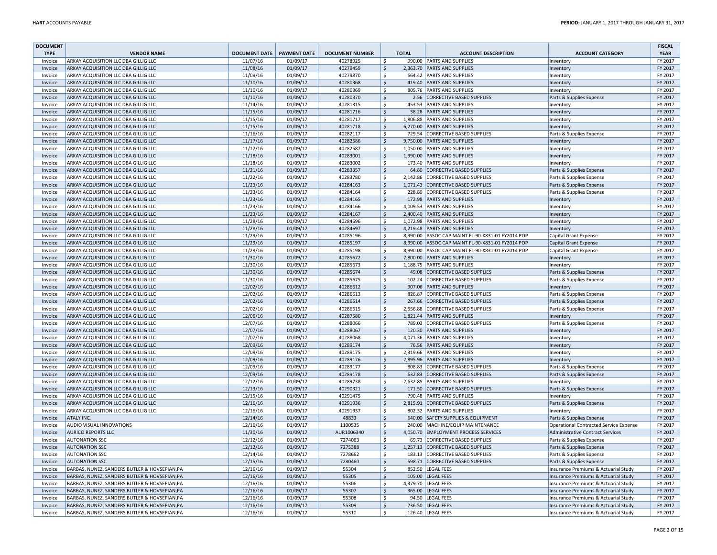| <b>DOCUMENT</b> |                                               |                              |          |                        |                    |              |                                                   |                                        | <b>FISCAL</b> |
|-----------------|-----------------------------------------------|------------------------------|----------|------------------------|--------------------|--------------|---------------------------------------------------|----------------------------------------|---------------|
| <b>TYPE</b>     | <b>VENDOR NAME</b>                            | DOCUMENT DATE   PAYMENT DATE |          | <b>DOCUMENT NUMBER</b> |                    | <b>TOTAL</b> | <b>ACCOUNT DESCRIPTION</b>                        | <b>ACCOUNT CATEGORY</b>                | <b>YEAR</b>   |
| Invoice         | ARKAY ACQUISITION LLC DBA GILLIG LLC          | 11/07/16                     | 01/09/17 | 40278925               | -Ś                 |              | 990.00 PARTS AND SUPPLIES                         | Inventory                              | FY 2017       |
| Invoice         | ARKAY ACQUISITION LLC DBA GILLIG LLC          | 11/08/16                     | 01/09/17 | 40279459               | <sup>S</sup>       |              | 2,363.70 PARTS AND SUPPLIES                       | Inventory                              | FY 2017       |
| Invoice         | ARKAY ACQUISITION LLC DBA GILLIG LLC          | 11/09/16                     | 01/09/17 | 40279870               | <sup>S</sup>       |              | 664.42 PARTS AND SUPPLIES                         | Inventory                              | FY 2017       |
| Invoice         | ARKAY ACQUISITION LLC DBA GILLIG LLC          | 11/10/16                     | 01/09/17 | 40280368               | $\frac{1}{2}$      |              | 419.40 PARTS AND SUPPLIES                         | Inventory                              | FY 2017       |
| Invoice         | ARKAY ACQUISITION LLC DBA GILLIG LLC          | 11/10/16                     | 01/09/17 | 40280369               | \$                 |              | 805.76 PARTS AND SUPPLIES                         | Inventory                              | FY 2017       |
| Invoice         | ARKAY ACQUISITION LLC DBA GILLIG LLC          | 11/10/16                     | 01/09/17 | 40280370               | $\zeta$            |              | 2.56 CORRECTIVE BASED SUPPLIES                    | Parts & Supplies Expense               | FY 2017       |
| Invoice         | ARKAY ACQUISITION LLC DBA GILLIG LLC          | 11/14/16                     | 01/09/17 | 40281315               | \$                 |              | 453.53 PARTS AND SUPPLIES                         | Inventory                              | FY 2017       |
| Invoice         | ARKAY ACQUISITION LLC DBA GILLIG LLC          | 11/15/16                     | 01/09/17 | 40281716               | $\mathsf{S}$       |              | 38.28 PARTS AND SUPPLIES                          | Inventory                              | FY 2017       |
| Invoice         | ARKAY ACQUISITION LLC DBA GILLIG LLC          | 11/15/16                     | 01/09/17 | 40281717               | $\mathsf{\hat{S}}$ |              | 1,806.88 PARTS AND SUPPLIES                       | Inventory                              | FY 2017       |
| Invoice         | ARKAY ACQUISITION LLC DBA GILLIG LLC          | 11/15/16                     | 01/09/17 | 40281718               | $\frac{1}{2}$      |              | 6,270.00 PARTS AND SUPPLIES                       | Inventory                              | FY 2017       |
| Invoice         | ARKAY ACQUISITION LLC DBA GILLIG LLC          | 11/16/16                     | 01/09/17 | 40282117               | \$                 |              | 729.54 CORRECTIVE BASED SUPPLIES                  | Parts & Supplies Expense               | FY 2017       |
| Invoice         | ARKAY ACQUISITION LLC DBA GILLIG LLC          | 11/17/16                     | 01/09/17 | 40282586               | $\mathsf{\hat{S}}$ |              | 9,750.00 PARTS AND SUPPLIES                       | Inventory                              | FY 2017       |
| Invoice         | ARKAY ACQUISITION LLC DBA GILLIG LLC          | 11/17/16                     | 01/09/17 | 40282587               | <sub>S</sub>       |              | 1,050.00 PARTS AND SUPPLIES                       | Inventory                              | FY 2017       |
| Invoice         | ARKAY ACQUISITION LLC DBA GILLIG LLC          | 11/18/16                     | 01/09/17 | 40283001               | $\frac{1}{2}$      |              | 1,990.00 PARTS AND SUPPLIES                       | Inventory                              | FY 2017       |
| Invoice         | ARKAY ACQUISITION LLC DBA GILLIG LLC          | 11/18/16                     | 01/09/17 | 40283002               | \$                 |              | 173.40 PARTS AND SUPPLIES                         | Inventory                              | FY 2017       |
| Invoice         | ARKAY ACQUISITION LLC DBA GILLIG LLC          | 11/21/16                     | 01/09/17 | 40283357               | $\mathsf{S}$       |              | 64.80 CORRECTIVE BASED SUPPLIES                   | Parts & Supplies Expense               | FY 2017       |
| Invoice         | ARKAY ACQUISITION LLC DBA GILLIG LLC          | 11/22/16                     | 01/09/17 | 40283780               | <sup>S</sup>       |              | 2,142.86 CORRECTIVE BASED SUPPLIES                | Parts & Supplies Expense               | FY 2017       |
| Invoice         | ARKAY ACQUISITION LLC DBA GILLIG LLC          | 11/23/16                     | 01/09/17 | 40284163               | \$                 |              | 1,071.43 CORRECTIVE BASED SUPPLIES                | Parts & Supplies Expense               | FY 2017       |
| Invoice         | ARKAY ACQUISITION LLC DBA GILLIG LLC          | 11/23/16                     | 01/09/17 | 40284164               | <sup>S</sup>       |              | 228.80 CORRECTIVE BASED SUPPLIES                  | Parts & Supplies Expense               | FY 2017       |
| Invoice         | ARKAY ACQUISITION LLC DBA GILLIG LLC          | 11/23/16                     | 01/09/17 | 40284165               | <b>S</b>           |              | 172.98 PARTS AND SUPPLIES                         | Inventory                              | FY 2017       |
| Invoice         | ARKAY ACQUISITION LLC DBA GILLIG LLC          | 11/23/16                     | 01/09/17 | 40284166               | S.                 |              | 4,009.53 PARTS AND SUPPLIES                       | Inventory                              | FY 2017       |
| Invoice         | ARKAY ACQUISITION LLC DBA GILLIG LLC          | 11/23/16                     | 01/09/17 | 40284167               | $\zeta$            |              | 2,400.40 PARTS AND SUPPLIES                       | Inventory                              | FY 2017       |
| Invoice         | ARKAY ACQUISITION LLC DBA GILLIG LLC          | 11/28/16                     | 01/09/17 | 40284696               | \$                 |              | 1,072.98 PARTS AND SUPPLIES                       | Inventory                              | FY 2017       |
| Invoice         | ARKAY ACQUISITION LLC DBA GILLIG LLC          | 11/28/16                     | 01/09/17 | 40284697               | $\zeta$            |              | 4,219.48 PARTS AND SUPPLIES                       | Inventory                              | FY 2017       |
| Invoice         | ARKAY ACQUISITION LLC DBA GILLIG LLC          | 11/29/16                     | 01/09/17 | 40285196               | S.                 |              | 8,990.00 ASSOC CAP MAINT FL-90-X831-01 FY2014 POP | Capital Grant Expense                  | FY 2017       |
| Invoice         | ARKAY ACQUISITION LLC DBA GILLIG LLC          | 11/29/16                     | 01/09/17 | 40285197               | $\zeta$            |              | 8,990.00 ASSOC CAP MAINT FL-90-X831-01 FY2014 POP | <b>Capital Grant Expense</b>           | FY 2017       |
| Invoice         | ARKAY ACQUISITION LLC DBA GILLIG LLC          | 11/29/16                     | 01/09/17 | 40285198               | $\mathsf{\hat{S}}$ |              | 8,990.00 ASSOC CAP MAINT FL-90-X831-01 FY2014 POP | Capital Grant Expense                  | FY 2017       |
| Invoice         | ARKAY ACQUISITION LLC DBA GILLIG LLC          | 11/30/16                     | 01/09/17 | 40285672               | $\zeta$            |              | 7,800.00 PARTS AND SUPPLIES                       | Inventory                              | FY 2017       |
| Invoice         | ARKAY ACQUISITION LLC DBA GILLIG LLC          | 11/30/16                     | 01/09/17 | 40285673               | $\mathsf{\hat{S}}$ |              | 1,188.75 PARTS AND SUPPLIES                       | Inventory                              | FY 2017       |
| Invoice         | ARKAY ACQUISITION LLC DBA GILLIG LLC          | 11/30/16                     | 01/09/17 | 40285674               | $\frac{1}{2}$      |              | 49.08 CORRECTIVE BASED SUPPLIES                   | Parts & Supplies Expense               | FY 2017       |
| Invoice         | ARKAY ACQUISITION LLC DBA GILLIG LLC          | 11/30/16                     | 01/09/17 | 40285675               | \$                 |              | 102.24 CORRECTIVE BASED SUPPLIES                  | Parts & Supplies Expense               | FY 2017       |
| Invoice         | ARKAY ACQUISITION LLC DBA GILLIG LLC          | 12/02/16                     | 01/09/17 | 40286612               | $\zeta$            |              | 907.06 PARTS AND SUPPLIES                         | Inventory                              | FY 2017       |
| Invoice         | ARKAY ACQUISITION LLC DBA GILLIG LLC          | 12/02/16                     | 01/09/17 | 40286613               | <sub>S</sub>       |              | 826.87 CORRECTIVE BASED SUPPLIES                  | Parts & Supplies Expense               | FY 2017       |
| Invoice         | ARKAY ACQUISITION LLC DBA GILLIG LLC          | 12/02/16                     | 01/09/17 | 40286614               | $\frac{1}{2}$      |              | 267.66 CORRECTIVE BASED SUPPLIES                  | Parts & Supplies Expense               | FY 2017       |
| Invoice         | ARKAY ACQUISITION LLC DBA GILLIG LLC          | 12/02/16                     | 01/09/17 | 40286615               | \$                 |              | 2.556.88 CORRECTIVE BASED SUPPLIES                | Parts & Supplies Expense               | FY 2017       |
| Invoice         | ARKAY ACQUISITION LLC DBA GILLIG LLC          | 12/06/16                     | 01/09/17 | 40287580               | $\mathsf{S}$       |              | 1,821.44 PARTS AND SUPPLIES                       | Inventory                              | FY 2017       |
| Invoice         | ARKAY ACQUISITION LLC DBA GILLIG LLC          | 12/07/16                     | 01/09/17 | 40288066               | $\mathsf{\hat{S}}$ |              | 789.03 CORRECTIVE BASED SUPPLIES                  | Parts & Supplies Expense               | FY 2017       |
| Invoice         | ARKAY ACQUISITION LLC DBA GILLIG LLC          | 12/07/16                     | 01/09/17 | 40288067               | $\mathsf{S}$       |              | 120.30 PARTS AND SUPPLIES                         | Inventory                              | FY 2017       |
| Invoice         | ARKAY ACQUISITION LLC DBA GILLIG LLC          | 12/07/16                     | 01/09/17 | 40288068               | <sup>S</sup>       |              | 4,071.36 PARTS AND SUPPLIES                       | Inventon                               | FY 2017       |
| Invoice         | ARKAY ACQUISITION LLC DBA GILLIG LLC          | 12/09/16                     | 01/09/17 | 40289174               | <sup>S</sup>       |              | 76.56 PARTS AND SUPPLIES                          | Inventory                              | FY 2017       |
| Invoice         | ARKAY ACQUISITION LLC DBA GILLIG LLC          | 12/09/16                     | 01/09/17 | 40289175               | -S                 |              | 2,319.66 PARTS AND SUPPLIES                       | Inventory                              | FY 2017       |
| Invoice         | ARKAY ACQUISITION LLC DBA GILLIG LLC          | 12/09/16                     | 01/09/17 | 40289176               | $\mathsf{\hat{S}}$ |              | 2,895.96 PARTS AND SUPPLIES                       | Inventory                              | FY 2017       |
| Invoice         | ARKAY ACQUISITION LLC DBA GILLIG LLC          | 12/09/16                     | 01/09/17 | 40289177               | \$                 |              | 808.83 CORRECTIVE BASED SUPPLIES                  | Parts & Supplies Expense               | FY 2017       |
| Invoice         | ARKAY ACQUISITION LLC DBA GILLIG LLC          | 12/09/16                     | 01/09/17 | 40289178               | $\frac{1}{2}$      |              | 632.83 CORRECTIVE BASED SUPPLIES                  | Parts & Supplies Expense               | FY 2017       |
| Invoice         | ARKAY ACQUISITION LLC DBA GILLIG LLC          | 12/12/16                     | 01/09/17 | 40289738               | \$                 |              | 2,632.85 PARTS AND SUPPLIES                       | Inventory                              | FY 2017       |
| Invoice         | ARKAY ACQUISITION LLC DBA GILLIG LLC          | 12/13/16                     | 01/09/17 | 40290321               | $\zeta$            |              | 171.50 CORRECTIVE BASED SUPPLIES                  | Parts & Supplies Expense               | FY 2017       |
| Invoice         | ARKAY ACQUISITION LLC DBA GILLIG LLC          | 12/15/16                     | 01/09/17 | 40291475               | <sub>S</sub>       |              | 790.48 PARTS AND SUPPLIES                         | Inventory                              | FY 2017       |
| Invoice         | ARKAY ACQUISITION LLC DBA GILLIG LLC          | 12/16/16                     | 01/09/17 | 40291936               | $\frac{1}{2}$      |              | 2,815.91 CORRECTIVE BASED SUPPLIES                | Parts & Supplies Expense               | FY 2017       |
| Invoice         | ARKAY ACQUISITION LLC DBA GILLIG LLC          | 12/16/16                     | 01/09/17 | 40291937               | \$                 |              | 802.32 PARTS AND SUPPLIES                         | Inventory                              | FY 2017       |
| Invoice         | ATALY INC.                                    | 12/14/16                     | 01/09/17 | 48833                  | $\frac{1}{2}$      |              | 640.00 SAFETY SUPPLIES & EQUIPMENT                | Parts & Supplies Expense               | FY 2017       |
| Invoice         | AUDIO VISUAL INNOVATIONS                      | 12/16/16                     | 01/09/17 | 1100535                | S.                 |              | 240.00 MACHINE/EQUIP MAINTENANCE                  | Operational Contracted Service Expense | FY 2017       |
| Invoice         | <b>AURICO REPORTS LLC</b>                     | 11/30/16                     | 01/09/17 | AUR1006340             | <sup>S</sup>       |              | 4,050.70 EMPLOYMENT PROCESS SERVICES              | Administrative Contract Services       | FY 2017       |
| Invoice         | <b>AUTONATION SSC</b>                         | 12/12/16                     | 01/09/17 | 7274063                | <sub>S</sub>       |              | 69.73 CORRECTIVE BASED SUPPLIES                   | Parts & Supplies Expense               | FY 2017       |
| Invoice         | <b>AUTONATION SSC</b>                         | 12/12/16                     | 01/09/17 | 7275388                | $\frac{1}{2}$      |              | 1,257.13 CORRECTIVE BASED SUPPLIES                | Parts & Supplies Expense               | FY 2017       |
| Invoice         | <b>AUTONATION SSC</b>                         | 12/14/16                     | 01/09/17 | 7278662                | \$                 |              | 183.13 CORRECTIVE BASED SUPPLIES                  | Parts & Supplies Expense               | FY 2017       |
| Invoice         | <b>AUTONATION SSC</b>                         | 12/15/16                     | 01/09/17 | 7280460                | $\frac{1}{2}$      |              | 598.71 CORRECTIVE BASED SUPPLIES                  | Parts & Supplies Expense               | FY 2017       |
| Invoice         | BARBAS, NUNEZ, SANDERS BUTLER & HOVSEPIAN, PA | 12/16/16                     | 01/09/17 | 55304                  | $\mathsf{\hat{S}}$ |              | 852.50 LEGAL FEES                                 | Insurance Premiums & Actuarial Study   | FY 2017       |
| Invoice         | BARBAS, NUNEZ, SANDERS BUTLER & HOVSEPIAN, PA | 12/16/16                     | 01/09/17 | 55305                  | $\mathsf{S}$       |              | 105.00 LEGAL FEES                                 | Insurance Premiums & Actuarial Study   | FY 2017       |
| Invoice         | BARBAS, NUNEZ, SANDERS BUTLER & HOVSEPIAN, PA | 12/16/16                     | 01/09/17 | 55306                  | <sub>S</sub>       |              | 4,379.70 LEGAL FEES                               | Insurance Premiums & Actuarial Study   | FY 2017       |
| Invoice         | BARBAS, NUNEZ, SANDERS BUTLER & HOVSEPIAN, PA | 12/16/16                     | 01/09/17 | 55307                  | <sup>S</sup>       |              | 365.00 LEGAL FEES                                 | Insurance Premiums & Actuarial Study   | FY 2017       |
| Invoice         | BARBAS, NUNEZ, SANDERS BUTLER & HOVSEPIAN, PA | 12/16/16                     | 01/09/17 | 55308                  | -Ś                 |              | 94.50 LEGAL FEES                                  | Insurance Premiums & Actuarial Study   | FY 2017       |
| Invoice         | BARBAS, NUNEZ, SANDERS BUTLER & HOVSEPIAN, PA | 12/16/16                     | 01/09/17 | 55309                  | $\zeta$            |              | 736.50 LEGAL FEES                                 | Insurance Premiums & Actuarial Study   | FY 2017       |
| Invoice         | BARBAS, NUNEZ, SANDERS BUTLER & HOVSEPIAN, PA | 12/16/16                     | 01/09/17 | 55310                  | \$                 |              | 126.40 LEGAL FEES                                 | Insurance Premiums & Actuarial Study   | FY 2017       |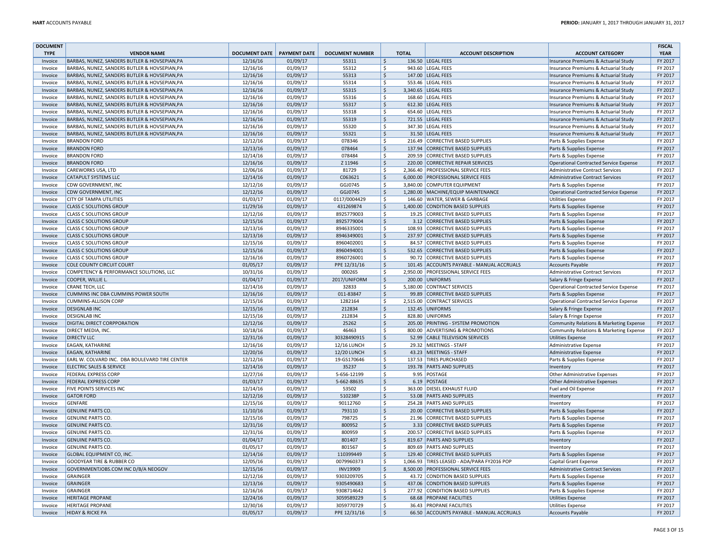| <b>DOCUMENT</b> |                                                |                      |                     |                        |                    |              |                                             |                                                 | <b>FISCAL</b> |
|-----------------|------------------------------------------------|----------------------|---------------------|------------------------|--------------------|--------------|---------------------------------------------|-------------------------------------------------|---------------|
| <b>TYPE</b>     | <b>VENDOR NAME</b>                             | <b>DOCUMENT DATE</b> | <b>PAYMENT DATE</b> | <b>DOCUMENT NUMBER</b> |                    | <b>TOTAL</b> | <b>ACCOUNT DESCRIPTION</b>                  | <b>ACCOUNT CATEGORY</b>                         | <b>YEAR</b>   |
| Invoice         | BARBAS, NUNEZ, SANDERS BUTLER & HOVSEPIAN, PA  | 12/16/16             | 01/09/17            | 55311                  | <sup>\$</sup>      |              | 136.50 LEGAL FEES                           | Insurance Premiums & Actuarial Study            | FY 2017       |
| Invoice         | BARBAS, NUNEZ, SANDERS BUTLER & HOVSEPIAN, PA  | 12/16/16             | 01/09/17            | 55312                  | S.                 |              | 943.60 LEGAL FEES                           | Insurance Premiums & Actuarial Study            | FY 2017       |
| Invoice         | BARBAS, NUNEZ, SANDERS BUTLER & HOVSEPIAN, PA  | 12/16/16             | 01/09/17            | 55313                  | $\dot{\mathsf{S}}$ |              | 147.00 LEGAL FEES                           | Insurance Premiums & Actuarial Study            | FY 2017       |
| Invoice         | BARBAS, NUNEZ, SANDERS BUTLER & HOVSEPIAN, PA  | 12/16/16             | 01/09/17            | 55314                  | \$                 |              | 553.46 LEGAL FEES                           | <b>Insurance Premiums &amp; Actuarial Study</b> | FY 2017       |
| Invoice         | BARBAS, NUNEZ, SANDERS BUTLER & HOVSEPIAN, PA  | 12/16/16             | 01/09/17            | 55315                  | $\mathsf{S}$       |              | 3,340.65 LEGAL FEES                         | Insurance Premiums & Actuarial Study            | FY 2017       |
| Invoice         | BARBAS, NUNEZ, SANDERS BUTLER & HOVSEPIAN, PA  | 12/16/16             | 01/09/17            | 55316                  | $\mathsf{S}$       | 168.60       | LEGAL FEES                                  |                                                 | FY 2017       |
|                 |                                                | 12/16/16             | 01/09/17            | 55317                  | <sup>\$</sup>      | 612.30       | LEGAL FEES                                  | Insurance Premiums & Actuarial Study            | FY 2017       |
| Invoice         | BARBAS, NUNEZ, SANDERS BUTLER & HOVSEPIAN, PA  |                      |                     |                        |                    |              |                                             | Insurance Premiums & Actuarial Study            |               |
| Invoice         | BARBAS, NUNEZ, SANDERS BUTLER & HOVSEPIAN, PA  | 12/16/16             | 01/09/17            | 55318                  | \$                 |              | 654.60 LEGAL FEES                           | Insurance Premiums & Actuarial Study            | FY 2017       |
| Invoice         | BARBAS, NUNEZ, SANDERS BUTLER & HOVSEPIAN, PA  | 12/16/16             | 01/09/17            | 55319                  | $\mathsf{S}$       | 721.55       | LEGAL FEES                                  | Insurance Premiums & Actuarial Study            | FY 2017       |
| Invoice         | BARBAS, NUNEZ, SANDERS BUTLER & HOVSEPIAN, PA  | 12/16/16             | 01/09/17            | 55320                  | $\dot{\mathsf{S}}$ |              | 347.30 LEGAL FEES                           | Insurance Premiums & Actuarial Study            | FY 2017       |
| Invoice         | BARBAS, NUNEZ, SANDERS BUTLER & HOVSEPIAN, PA  | 12/16/16             | 01/09/17            | 55321                  | \$                 |              | 31.50 LEGAL FEES                            | Insurance Premiums & Actuarial Study            | FY 2017       |
| Invoice         | <b>BRANDON FORD</b>                            | 12/12/16             | 01/09/17            | 078346                 | <sup>\$</sup>      | 216.49       | <b>CORRECTIVE BASED SUPPLIES</b>            | Parts & Supplies Expense                        | FY 2017       |
| Invoice         | <b>BRANDON FORD</b>                            | 12/13/16             | 01/09/17            | 078464                 | $\dot{\mathsf{S}}$ |              | 137.94 CORRECTIVE BASED SUPPLIES            | Parts & Supplies Expense                        | FY 2017       |
| Invoice         | <b>BRANDON FORD</b>                            | 12/14/16             | 01/09/17            | 078484                 | <sup>\$</sup>      | 209.59       | <b>CORRECTIVE BASED SUPPLIES</b>            | Parts & Supplies Expense                        | FY 2017       |
| Invoice         | <b>BRANDON FORD</b>                            | 12/16/16             | 01/09/17            | Z 11946                | \$.                |              | 220.00 CORRECTIVE REPAIR SERVICES           | Operational Contracted Service Expense          | FY 2017       |
| Invoice         | CAREWORKS USA, LTD                             | 12/06/16             | 01/09/17            | 81729                  | <sup>\$</sup>      | 2,366.40     | <b>PROFESSIONAL SERVICE FEES</b>            | Administrative Contract Services                | FY 2017       |
| Invoice         | <b>CATAPULT SYSTEMS LLC</b>                    | 12/14/16             | 01/09/17            | C063621                | \$                 |              | 6,000.00 PROFESSIONAL SERVICE FEES          | <b>Administrative Contract Services</b>         | FY 2017       |
| Invoice         | CDW GOVERNMENT, INC                            | 12/12/16             | 01/09/17            | GGJ0745                | $\zeta$            |              | 3,840.00 COMPUTER EQUIPMENT                 | Parts & Supplies Expense                        | FY 2017       |
| Invoice         | <b>CDW GOVERNMENT, INC</b>                     | 12/12/16             | 01/09/17            | GGJ0745                | $\dot{\mathsf{S}}$ |              | 1,280.00 MACHINE/EQUIP MAINTENANCE          | <b>Operational Contracted Service Expense</b>   | FY 2017       |
| Invoice         | CITY OF TAMPA UTILITIES                        | 01/03/17             | 01/09/17            | 0117/0004429           | <sup>\$</sup>      | 146.60       | <b>WATER, SEWER &amp; GARBAGE</b>           | <b>Utilities Expense</b>                        | FY 2017       |
| Invoice         | <b>CLASS C SOLUTIONS GROUP</b>                 | 11/29/16             | 01/09/17            | 431269874              | $\dot{\mathsf{S}}$ |              | 1,400.00 CONDITION BASED SUPPLIES           | Parts & Supplies Expense                        | FY 2017       |
| Invoice         | <b>CLASS C SOLUTIONS GROUP</b>                 | 12/12/16             | 01/09/17            | 8925779003             | \$                 | 19.25        | CORRECTIVE BASED SUPPLIES                   | Parts & Supplies Expense                        | FY 2017       |
| Invoice         | <b>CLASS C SOLUTIONS GROUP</b>                 | 12/15/16             | 01/09/17            | 8925779004             | $\mathsf{S}$       | 3.12         | CORRECTIVE BASED SUPPLIES                   | Parts & Supplies Expense                        | FY 2017       |
| Invoice         | <b>CLASS C SOLUTIONS GROUP</b>                 | 12/13/16             | 01/09/17            | 8946335001             | \$                 | 108.93       | CORRECTIVE BASED SUPPLIES                   |                                                 | FY 2017       |
| Invoice         | <b>CLASS C SOLUTIONS GROUP</b>                 | 12/13/16             | 01/09/17            | 8946349001             | $\frac{1}{2}$      |              | 237.97 CORRECTIVE BASED SUPPLIES            | Parts & Supplies Expense                        | FY 2017       |
|                 |                                                |                      |                     |                        | \$                 |              |                                             | Parts & Supplies Expense                        |               |
| Invoice         | <b>CLASS C SOLUTIONS GROUP</b>                 | 12/15/16             | 01/09/17            | 8960402001             |                    | 84.57        | CORRECTIVE BASED SUPPLIES                   | Parts & Supplies Expense                        | FY 2017       |
| Invoice         | <b>CLASS C SOLUTIONS GROUP</b>                 | 12/15/16             | 01/09/17            | 8960494001             | $\zeta$            | 532.65       | CORRECTIVE BASED SUPPLIES                   | Parts & Supplies Expense                        | FY 2017       |
| Invoice         | <b>CLASS C SOLUTIONS GROUP</b>                 | 12/16/16             | 01/09/17            | 8960726001             | \$                 |              | 90.72 CORRECTIVE BASED SUPPLIES             | Parts & Supplies Expense                        | FY 2017       |
| Invoice         | <b>COLE COUNTY CIRCUIT COURT</b>               | 01/05/17             | 01/09/17            | PPE 12/31/16           | $\mathsf{S}$       |              | 101.45 ACCOUNTS PAYABLE - MANUAL ACCRUALS   | <b>Accounts Payable</b>                         | FY 2017       |
| Invoice         | COMPETENCY & PERFORMANCE SOLUTIONS, LLC        | 10/31/16             | 01/09/17            | 000265                 | \$                 |              | 2,950.00 PROFESSIONAL SERVICE FEES          | <b>Administrative Contract Services</b>         | FY 2017       |
| Invoice         | <b>COOPER, WILLIE L</b>                        | 01/04/17             | 01/09/17            | 2017/UNIFORM           | $\frac{1}{2}$      |              | 200.00 UNIFORMS                             | Salary & Fringe Expense                         | FY 2017       |
| Invoice         | CRANE TECH, LLC                                | 12/14/16             | 01/09/17            | 32833                  | Ŝ.                 |              | 5,180.00 CONTRACT SERVICES                  | Operational Contracted Service Expense          | FY 2017       |
| Invoice         | CUMMINS INC DBA CUMMINS POWER SOUTH            | 12/16/16             | 01/09/17            | 011-83847              | <sup>\$</sup>      |              | 99.89 CORRECTIVE BASED SUPPLIES             | Parts & Supplies Expense                        | FY 2017       |
| Invoice         | <b>CUMMINS-ALLISON CORP</b>                    | 12/15/16             | 01/09/17            | 1282164                | <sup>\$</sup>      |              | 2,515.00 CONTRACT SERVICES                  | Operational Contracted Service Expense          | FY 2017       |
| Invoice         | <b>DESIGNLAB INC</b>                           | 12/15/16             | 01/09/17            | 212834                 | $\mathsf{S}$       |              | 132.45 UNIFORMS                             | Salary & Fringe Expense                         | FY 2017       |
| Invoice         | <b>DESIGNLAB INC</b>                           | 12/15/16             | 01/09/17            | 212834                 | \$                 | 828.80       | UNIFORMS                                    | Salary & Fringe Expense                         | FY 2017       |
| Invoice         | DIGITAL DIRECT CORPPORATION                    | 12/12/16             | 01/09/17            | 25262                  | $\mathsf{S}$       |              | 205.00 PRINTING - SYSTEM PROMOTION          | Community Relations & Marketing Expense         | FY 2017       |
| Invoice         | DIRECT MEDIA, INC.                             | 10/18/16             | 01/09/17            | 46463                  | Ŝ.                 |              | 800.00 ADVERTISING & PROMOTIONS             | Community Relations & Marketing Expense         | FY 2017       |
| Invoice         | <b>DIRECTV LLC</b>                             | 12/31/16             | 01/09/17            | 30328490915            | $\dot{\mathsf{S}}$ |              | 52.99 CABLE TELEVISION SERVICES             | <b>Utilities Expense</b>                        | FY 2017       |
| Invoice         | EAGAN, KATHARINE                               | 12/16/16             | 01/09/17            | <b>12/16 LUNCH</b>     | <sup>\$</sup>      |              | 29.32 MEETINGS - STAFF                      | Administrative Expense                          | FY 2017       |
| Invoice         | EAGAN, KATHARINE                               | 12/20/16             | 01/09/17            | <b>12/20 LUNCH</b>     | $\frac{1}{2}$      |              | 43.23 MEETINGS - STAFF                      | Administrative Expense                          | FY 2017       |
| Invoice         | EARL W. COLVARD INC. DBA BOULEVARD TIRE CENTER | 12/12/16             | 01/09/17            | 19-GS170646            | \$                 | 137.53       | <b>TIRES PURCHASED</b>                      | Parts & Supplies Expense                        | FY 2017       |
| Invoice         | <b>ELECTRIC SALES &amp; SERVICE</b>            | 12/14/16             | 01/09/17            | 35237                  | $\mathsf{S}$       |              | 193.78 PARTS AND SUPPLIES                   | Inventory                                       | FY 2017       |
| Invoice         | FEDERAL EXPRESS CORP                           | 12/27/16             | 01/09/17            | 5-656-12199            | \$                 |              | 9.95 POSTAGE                                | Other Administrative Expenses                   | FY 2017       |
| Invoice         | <b>FEDERAL EXPRESS CORP</b>                    | 01/03/17             | 01/09/17            | 5-662-88635            | $\mathsf{S}$       |              | 6.19 POSTAGE                                | Other Administrative Expenses                   | FY 2017       |
| Invoice         | FIVE POINTS SERVICES INC                       | 12/14/16             | 01/09/17            | 53502                  | \$                 |              | 363.00 DIESEL EXHAUST FLUID                 | Fuel and Oil Expense                            | FY 2017       |
| Invoice         | <b>GATOR FORD</b>                              | 12/12/16             | 01/09/17            | 510238P                | <sup>\$</sup>      |              | 53.08 PARTS AND SUPPLIES                    | Inventory                                       | FY 2017       |
| Invoice         | <b>GENFARE</b>                                 | 12/15/16             | 01/09/17            | 90112760               | \$                 |              | 254.28 PARTS AND SUPPLIES                   | Inventory                                       | FY 2017       |
| Invoice         | <b>GENUINE PARTS CO.</b>                       | 11/10/16             | 01/09/17            | 793110                 | $\frac{1}{2}$      |              | 20.00 CORRECTIVE BASED SUPPLIES             | Parts & Supplies Expense                        | FY 2017       |
| Invoice         | <b>GENUINE PARTS CO.</b>                       | 12/15/16             | 01/09/17            | 798725                 | \$                 | 21.96        | <b>CORRECTIVE BASED SUPPLIES</b>            | Parts & Supplies Expense                        | FY 2017       |
| Invoice         | <b>GENUINE PARTS CO</b>                        | 12/31/16             | 01/09/17            | 800952                 | $\mathsf{S}$       |              | 3.33 CORRECTIVE BASED SUPPLIES              | Parts & Supplies Expense                        | FY 2017       |
| Invoice         | <b>GENUINE PARTS CO</b>                        | 12/31/16             | 01/09/17            | 800959                 | <sup>\$</sup>      |              | 200.57 CORRECTIVE BASED SUPPLIES            | Parts & Supplies Expense                        | FY 2017       |
| Invoice         | <b>GENUINE PARTS CO.</b>                       | 01/04/17             | 01/09/17            | 801407                 | $\zeta$            | 819.67       | <b>PARTS AND SUPPLIES</b>                   |                                                 | FY 2017       |
|                 |                                                | 01/05/17             |                     | 801567                 |                    |              | 809.69 PARTS AND SUPPLIES                   | Inventory                                       | FY 2017       |
| Invoice         | <b>GENUINE PARTS CO.</b>                       |                      | 01/09/17            |                        | \$                 |              |                                             | Inventory                                       |               |
| Invoice         | GLOBAL EQUIPMENT CO, INC.                      | 12/14/16             | 01/09/17            | 110399449              | $\mathsf{S}$       |              | 129.40 CORRECTIVE BASED SUPPLIES            | Parts & Supplies Expense                        | FY 2017       |
| Invoice         | GOODYEAR TIRE & RUBBER CO                      | 12/05/16             | 01/09/17            | 0079960373             | <sup>\$</sup>      |              | 1,066.93 TIRES LEASED - ADA/PARA FY2016 POP | Capital Grant Expense                           | FY 2017       |
| Invoice         | GOVERNMENTJOBS.COM INC D/B/A NEOGOV            | 12/15/16             | 01/09/17            | <b>INV19909</b>        | \$                 |              | 8,500.00 PROFESSIONAL SERVICE FEES          | <b>Administrative Contract Services</b>         | FY 2017       |
| Invoice         | GRAINGER                                       | 12/12/16             | 01/09/17            | 9303209705             | \$                 |              | 43.72 CONDITION BASED SUPPLIES              | Parts & Supplies Expense                        | FY 2017       |
| Invoice         | GRAINGER                                       | 12/13/16             | 01/09/17            | 9305490683             | $\zeta$            |              | 437.06 CONDITION BASED SUPPLIES             | Parts & Supplies Expense                        | FY 2017       |
| Invoice         | <b>GRAINGER</b>                                | 12/16/16             | 01/09/17            | 9308714642             | <sup>\$</sup>      |              | 277.92 CONDITION BASED SUPPLIES             | Parts & Supplies Expense                        | FY 2017       |
| Invoice         | <b>HERITAGE PROPANE</b>                        | 12/24/16             | 01/09/17            | 3059589229             | \$                 |              | 68.68 PROPANE FACILITIES                    | <b>Utilities Expense</b>                        | FY 2017       |
| Invoice         | <b>HERITAGE PROPANE</b>                        | 12/30/16             | 01/09/17            | 3059770729             | \$                 |              | 36.43 PROPANE FACILITIES                    | <b>Utilities Expense</b>                        | FY 2017       |
| Invoice         | <b>HIDAY &amp; RICKE PA</b>                    | 01/05/17             | 01/09/17            | PPE 12/31/16           | $\frac{1}{2}$      |              | 66.50 ACCOUNTS PAYABLE - MANUAL ACCRUALS    | <b>Accounts Payable</b>                         | FY 2017       |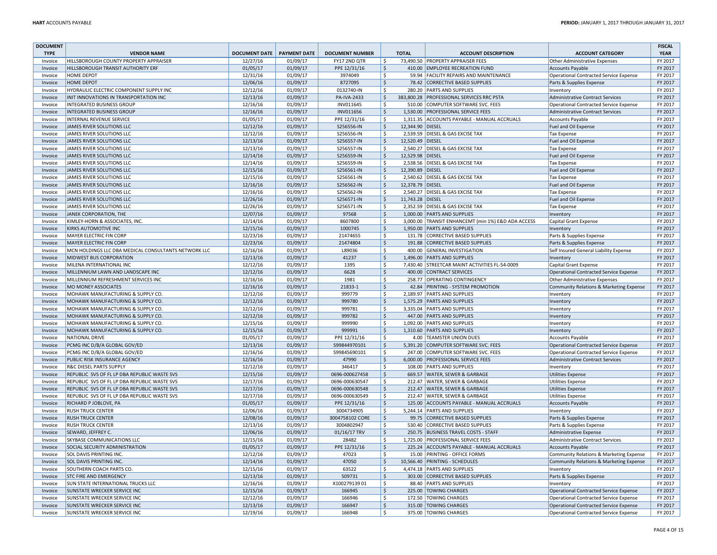| <b>DOCUMENT</b>    |                                                              |                      |                      |                        |                          |                  |                                                    |                                                                                  | <b>FISCAL</b>      |
|--------------------|--------------------------------------------------------------|----------------------|----------------------|------------------------|--------------------------|------------------|----------------------------------------------------|----------------------------------------------------------------------------------|--------------------|
| <b>TYPE</b>        | <b>VENDOR NAME</b>                                           | <b>DOCUMENT DATE</b> | <b>PAYMENT DATE</b>  | <b>DOCUMENT NUMBER</b> |                          | <b>TOTAL</b>     | <b>ACCOUNT DESCRIPTION</b>                         | <b>ACCOUNT CATEGORY</b>                                                          | <b>YEAR</b>        |
| Invoice            | HILLSBOROUGH COUNTY PROPERTY APPRAISER                       | 12/27/16             | 01/09/17             | FY17 2ND QTR           | \$                       |                  | 73,490.50 PROPERTY APPRAISER FEES                  | Other Administrative Expenses                                                    | FY 2017            |
| Invoice            | HILLSBOROUGH TRANSIT AUTHORITY ERF                           | 01/05/17             | 01/09/17             | PPE 12/31/16           | \$                       |                  | 410.00 EMPLOYEE RECREATION FUND                    | <b>Accounts Payable</b>                                                          | FY 2017            |
| Invoice            | HOME DEPOT                                                   | 12/31/16             | 01/09/17             | 3974049                | <sup>\$</sup>            |                  | 59.94 FACILITY REPAIRS AND MAINTENANCE             | <b>Operational Contracted Service Expense</b>                                    | FY 2017            |
| Invoice            | HOME DEPOT                                                   | 12/06/16             | 01/09/17             | 8727095                | \$                       |                  | 78.42 CORRECTIVE BASED SUPPLIES                    | Parts & Supplies Expense                                                         | FY 2017            |
| Invoice            | HYDRAULIC ELECTRIC COMPONENT SUPPLY INC                      | 12/12/16             | 01/09/17             | 0132740-IN             | \$                       |                  | 280.20 PARTS AND SUPPLIES                          | Inventory                                                                        | FY 2017            |
| Invoice            | INIT INNOVATIONS IN TRANSPORTATION INC                       | 12/13/16             | 01/09/17             | PA-IVA-2433            | $\frac{1}{2}$            |                  | 383,800.28 PROFESSIONAL SERVICES RRC PSTA          | <b>Administrative Contract Services</b>                                          | FY 2017            |
| Invoice            | <b>INTEGRATED BUSINESS GROUP</b>                             | 12/16/16             | 01/09/17             | INV011645              | \$                       |                  | 510.00 COMPUTER SOFTWARE SVC. FEES                 | <b>Operational Contracted Service Expense</b>                                    | FY 2017            |
| Invoice            | <b>INTEGRATED BUSINESS GROUP</b>                             | 12/16/16             | 01/09/17             | INV011656              | $\zeta$                  |                  | 1,530.00 PROFESSIONAL SERVICE FEES                 | <b>Administrative Contract Services</b>                                          | FY 2017            |
| Invoice            | INTERNAL REVENUE SERVICE                                     | 01/05/17             | 01/09/17             | PPE 12/31/16           | \$                       |                  | 1,311.35 ACCOUNTS PAYABLE - MANUAL ACCRUALS        | <b>Accounts Payable</b>                                                          | FY 2017            |
| Invoice            | JAMES RIVER SOLUTIONS LLC                                    | 12/12/16             | 01/09/17             | S256556-IN             | $\frac{1}{2}$            | 12,344.90 DIESEL |                                                    | Fuel and Oil Expense                                                             | FY 2017            |
| Invoice            | JAMES RIVER SOLUTIONS LLC                                    | 12/12/16             | 01/09/17             | S256556-IN             | \$                       |                  | 2,539.59 DIESEL & GAS EXCISE TAX                   | <b>Tax Expense</b>                                                               | FY 2017            |
| Invoice            | JAMES RIVER SOLUTIONS LLC                                    | 12/13/16             | 01/09/17             | S256557-IN             | <sub>S</sub>             | 12,520.49 DIESEL |                                                    | Fuel and Oil Expense                                                             | FY 2017            |
| Invoice            | JAMES RIVER SOLUTIONS LLC                                    | 12/13/16             | 01/09/17             | S256557-IN             | Ŝ.                       | 2,540.27         | <b>DIESEL &amp; GAS EXCISE TAX</b>                 | <b>Tax Expense</b>                                                               | FY 2017            |
| Invoice            | JAMES RIVER SOLUTIONS LLC                                    | 12/14/16             | 01/09/17             | S256559-IN             | $\zeta$                  | 12,529.98 DIESEL |                                                    | Fuel and Oil Expense                                                             | FY 2017            |
| Invoice            | JAMES RIVER SOLUTIONS LLC                                    | 12/14/16             | 01/09/17             | S256559-IN             | <sup>\$</sup>            |                  | 2,538.56 DIESEL & GAS EXCISE TAX                   | <b>Tax Expense</b>                                                               | FY 2017            |
| Invoice            | JAMES RIVER SOLUTIONS LLC                                    | 12/15/16             | 01/09/17             | S256561-IN             | <sub>S</sub>             | 12,390.89 DIESEL |                                                    | Fuel and Oil Expense                                                             | FY 2017            |
| Invoice            | JAMES RIVER SOLUTIONS LLC                                    | 12/15/16             | 01/09/17             | S256561-IN             | <sup>\$</sup>            |                  | 2,540.62 DIESEL & GAS EXCISE TAX                   | <b>Tax Expense</b>                                                               | FY 2017            |
| Invoice            | JAMES RIVER SOLUTIONS LLC                                    | 12/16/16             | 01/09/17             | S256562-IN             | $\zeta$                  | 12,378.79 DIESEL |                                                    | Fuel and Oil Expense                                                             | FY 2017            |
| Invoice            | JAMES RIVER SOLUTIONS LLC                                    | 12/16/16             | 01/09/17             | S256562-IN             | \$                       | 2,540.27         | DIESEL & GAS EXCISE TAX                            | <b>Tax Expense</b>                                                               | FY 2017            |
| Invoice            | JAMES RIVER SOLUTIONS LLC                                    | 12/26/16             | 01/09/17             | S256571-IN             | $\zeta$                  | 11,743.28 DIESEL |                                                    | Fuel and Oil Expense                                                             | FY 2017            |
| Invoice            | JAMES RIVER SOLUTIONS LLC                                    | 12/26/16             | 01/09/17             | S256571-IN             | <sup>\$</sup>            |                  | 2,352.59 DIESEL & GAS EXCISE TAX                   | <b>Tax Expense</b>                                                               | FY 2017            |
| Invoice            | JANEK CORPORATION, THE                                       | 12/07/16             | 01/09/17             | 97568                  | <sub>S</sub>             |                  | 1,000.00 PARTS AND SUPPLIES                        | Inventory                                                                        | FY 2017            |
| Invoice            | KIMLEY-HORN & ASSOCIATES, INC                                | 12/14/16             | 01/09/17             | 8607800                | \$                       |                  | 3,000.00 TRANSIT ENHANCEMT (min 1%) E&D ADA ACCESS | Capital Grant Expense                                                            | FY 2017            |
| Invoice            | KIRKS AUTOMOTIVE INC                                         | 12/15/16             | 01/09/17             | 1000745                | $\dot{\mathsf{S}}$       |                  | 1,950.00 PARTS AND SUPPLIES                        | Inventory                                                                        | FY 2017            |
| Invoice            | MAYER ELECTRIC FIN CORP                                      | 12/23/16             | 01/09/17             | 21474655               | \$                       |                  | 131.78 CORRECTIVE BASED SUPPLIES                   | Parts & Supplies Expense                                                         | FY 2017            |
| Invoice            | MAYER ELECTRIC FIN CORP                                      | 12/23/16             | 01/09/17             | 21474804               | $\dot{\mathsf{S}}$       |                  | 191.88 CORRECTIVE BASED SUPPLIES                   | Parts & Supplies Expense                                                         | FY 2017            |
| Invoice            | MCN HOLDINGS LLC DBA MEDICAL CONSULTANTS NETWORK LLC         | 12/16/16             | 01/09/17             | L89036                 | <sup>\$</sup>            |                  | 400.00 GENERAL INVESTIGATION                       | Self Insured General Liability Expense                                           | FY 2017            |
| Invoice            | MIDWEST BUS CORPORATION                                      | 12/13/16             | 01/09/17             | 41237                  | <sub>S</sub>             |                  | 1.496.00 PARTS AND SUPPLIES                        | Inventory                                                                        | FY 2017            |
| Invoice            | MILENA INTERNATIONAL INC                                     | 12/12/16             | 01/09/17             | 1395                   | \$                       |                  | 7,430.40 STREETCAR MAINT ACTIVITIES FL-54-0009     | Capital Grant Expense                                                            | FY 2017            |
| Invoice            | MILLENNIUM LAWN AND LANDSCAPE INC                            | 12/12/16             | 01/09/17             | 6628                   | $\frac{1}{2}$            |                  | 400.00 CONTRACT SERVICES                           | Operational Contracted Service Expense                                           | FY 2017            |
| Invoice            | MILLENNIUM REFRESHMENT SERVICES INC                          | 12/16/16             | 01/09/17             | 1981                   | -Ś                       |                  | 258.77 OPERATING CONTINGENCY                       | Other Administrative Expenses                                                    | FY 2017            |
| Invoice            | <b>MO MONEY ASSOCIATES</b>                                   | 12/16/16             | 01/09/17             | 21833-1                | <sub>S</sub>             |                  | 42.84 PRINTING - SYSTEM PROMOTION                  | Community Relations & Marketing Expense                                          | FY 2017            |
| Invoice            | MOHAWK MANUFACTURING & SUPPLY CO.                            | 12/12/16             | 01/09/17             | 999779                 | Ŝ.                       |                  | 2.189.97 PARTS AND SUPPLIES                        | Inventory                                                                        | FY 2017            |
| Invoice            | MOHAWK MANUFACTURING & SUPPLY CO.                            | 12/12/16             | 01/09/17             | 999780                 | $\zeta$                  |                  | 1,575.29 PARTS AND SUPPLIES                        | Inventory                                                                        | FY 2017            |
| Invoice            | MOHAWK MANUFACTURING & SUPPLY CO.                            | 12/12/16             | 01/09/17             | 999781                 | $\mathsf{S}$             |                  | 3.335.04 PARTS AND SUPPLIES                        | Inventory                                                                        | FY 2017            |
| Invoice            | MOHAWK MANUFACTURING & SUPPLY CO.                            | 12/12/16             | 01/09/17             | 999782                 | $\dot{\mathsf{S}}$       |                  | 447.00 PARTS AND SUPPLIES                          | Inventory                                                                        | FY 2017            |
| Invoice            | MOHAWK MANUFACTURING & SUPPLY CO                             | 12/15/16             | 01/09/17             | 999990                 | \$                       |                  | 1,092.00 PARTS AND SUPPLIES                        | Inventory                                                                        | FY 2017            |
| Invoice            | MOHAWK MANUFACTURING & SUPPLY CO.                            | 12/15/16             | 01/09/17             | 999991                 | \$                       |                  | 1,310.60 PARTS AND SUPPLIES                        | Inventory                                                                        | FY 2017            |
| Invoice            | NATIONAL DRIVE                                               | 01/05/17             | 01/09/17             | PPE 12/31/16           | $\mathsf{S}$             |                  | 4.00 TEAMSTER UNION DUES                           | <b>Accounts Payable</b>                                                          | FY 2017            |
| Invoice            | PCMG INC D/B/A GLOBAL GOV/ED                                 | 12/13/16             | 01/09/17             | S99844970101           | $\zeta$                  |                  | 5,391.20 COMPUTER SOFTWARE SVC. FEES               | Operational Contracted Service Expense                                           | FY 2017            |
| Invoice            | PCMG INC D/B/A GLOBAL GOV/ED                                 | 12/16/16             | 01/09/17             | S99845690101           | \$                       |                  | 247.00 COMPUTER SOFTWARE SVC. FEES                 | <b>Operational Contracted Service Expense</b>                                    | FY 2017            |
| Invoice            | PUBLIC RISK INSURANCE AGENCY                                 | 12/16/16             | 01/09/17             | 47990                  | $\mathsf{S}$             |                  | 6,000.00 PROFESSIONAL SERVICE FEES                 | <b>Administrative Contract Services</b>                                          | FY 2017            |
| Invoice            | R&C DIESEL PARTS SUPPLY                                      | 12/12/16             | 01/09/17             | 346417                 | \$                       |                  | 108.00 PARTS AND SUPPLIES                          | Inventory                                                                        | FY 2017            |
| Invoice            | REPUBLIC SVS OF FL LP DBA REPUBLIC WASTE SVS                 | 12/15/16             | 01/09/17             | 0696-000627458         | $\frac{1}{2}$            |                  | 669.57 WATER, SEWER & GARBAGE                      | <b>Utilities Expense</b>                                                         | FY 2017            |
| Invoice            | REPUBLIC SVS OF FL LP DBA REPUBLIC WASTE SVS                 | 12/17/16             | 01/09/17             | 0696-000630547         | \$                       |                  | 212.47 WATER, SEWER & GARBAGE                      | <b>Utilities Expense</b>                                                         | FY 2017            |
| Invoice            | REPUBLIC SVS OF FL LP DBA REPUBLIC WASTE SVS                 | 12/17/16             | 01/09/17             | 0696-000630548         | <sup>\$</sup>            |                  | 212.47 WATER, SEWER & GARBAGE                      | <b>Utilities Expense</b>                                                         | FY 2017            |
| Invoice            | REPUBLIC SVS OF FL LP DBA REPUBLIC WASTE SVS                 | 12/17/16             | 01/09/17             | 0696-000630549         | \$                       |                  | 212.47 WATER, SEWER & GARBAGE                      | <b>Utilities Expense</b>                                                         | FY 2017            |
| Invoice            | RICHARD P JOBLOVE, PA                                        | 01/05/17             | 01/09/17             | PPE 12/31/16           | $\mathsf{S}$             |                  | 125.00 ACCOUNTS PAYABLE - MANUAL ACCRUALS          | <b>Accounts Payable</b>                                                          | FY 2017            |
| Invoice            | <b>RUSH TRUCK CENTER</b>                                     | 12/06/16             | 01/09/17             | 3004734905             | \$                       |                  | 5,244.14 PARTS AND SUPPLIES                        | Inventory                                                                        | FY 2017            |
| Invoice            | <b>RUSH TRUCK CENTER</b>                                     | 12/08/16             | 01/09/17             | 3004758102 CORE        | $\frac{1}{2}$            |                  | 99.75 CORRECTIVE BASED SUPPLIES                    | Parts & Supplies Expense                                                         | FY 2017            |
| Invoice            | <b>RUSH TRUCK CENTER</b>                                     | 12/13/16             | 01/09/17             | 3004802947             | \$                       |                  | 530.40 CORRECTIVE BASED SUPPLIES                   | Parts & Supplies Expense                                                         | FY 2017            |
| Invoice            | SEWARD, JEFFREY C.                                           | 12/06/16             | 01/09/17             | 01/16/17 TRV           | <sup>\$</sup>            |                  | 250.75 BUSINESS TRAVEL COSTS - STAFF               | Administrative Expense                                                           | FY 2017            |
| Invoice            | SKYBASE COMMUNICATIONS LLC                                   | 12/15/16             | 01/09/17             | 28482                  | <sup>\$</sup>            |                  | 1,725.00 PROFESSIONAL SERVICE FEES                 | <b>Administrative Contract Services</b>                                          | FY 2017            |
| Invoice            | SOCIAL SECURITY ADMINISTRATION                               | 01/05/17             | 01/09/17             | PPE 12/31/16           | $\frac{1}{2}$            |                  | 225.24 ACCOUNTS PAYABLE - MANUAL ACCRUALS          | <b>Accounts Payable</b>                                                          | FY 2017            |
| Invoice            | SOL DAVIS PRINTING INC.                                      | 12/12/16             | 01/09/17             | 47023                  | \$                       |                  | 15.00 PRINTING - OFFICE FORMS                      | Community Relations & Marketing Expense                                          | FY 2017            |
| Invoice            | SOL DAVIS PRINTING INC.                                      | 12/14/16             | 01/09/17             | 47050                  | <sup>\$</sup>            |                  | 10,566.40 PRINTING - SCHEDULES                     | Community Relations & Marketing Expense                                          | FY 2017            |
| Invoice            | SOUTHERN COACH PARTS CO.                                     | 12/15/16             | 01/09/17             | 63522                  | \$                       |                  | 4,474.18 PARTS AND SUPPLIES                        | Inventory                                                                        | FY 2017            |
| Invoice            | STC FIRE AND EMERGENCY                                       | 12/13/16             | 01/09/17             | 509731                 | $\mathsf{S}$             |                  | 303.00 CORRECTIVE BASED SUPPLIES                   | Parts & Supplies Expense                                                         | FY 2017            |
| Invoice            | SUN STATE INTERNATIONAL TRUCKS LLC                           | 12/16/16             | 01/09/17             | X10027913901           | \$                       |                  | 88.40 PARTS AND SUPPLIES                           | Inventory                                                                        | FY 2017            |
| Invoice            | SUNSTATE WRECKER SERVICE INC                                 | 12/15/16             | 01/09/17             | 166945                 | <sup>\$</sup>            |                  | 225.00 TOWING CHARGES                              | Operational Contracted Service Expense                                           | FY 2017<br>FY 2017 |
| Invoice            | SUNSTATE WRECKER SERVICE INC                                 | 12/12/16<br>12/13/16 | 01/09/17             | 166946<br>166947       | \$<br>$\dot{\mathsf{S}}$ |                  | 172.50 TOWING CHARGES                              | Operational Contracted Service Expense                                           |                    |
| Invoice<br>Invoice | SUNSTATE WRECKER SERVICE INC<br>SUNSTATE WRECKER SERVICE INC | 12/19/16             | 01/09/17<br>01/09/17 | 166948                 | \$                       |                  | 315.00 TOWING CHARGES<br>375.00 TOWING CHARGES     | Operational Contracted Service Expense<br>Operational Contracted Service Expense | FY 2017<br>FY 2017 |
|                    |                                                              |                      |                      |                        |                          |                  |                                                    |                                                                                  |                    |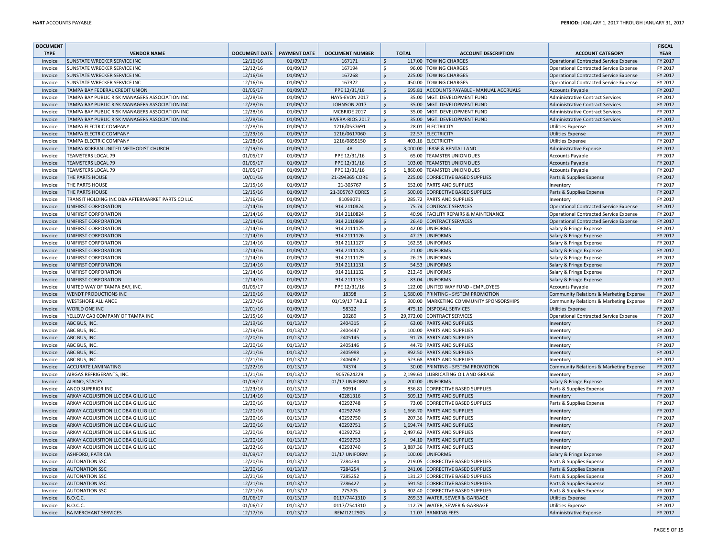| <b>DOCUMENT</b> |                                                  |                            |          |                        |                    |              |                                           |                                               | <b>FISCAL</b> |
|-----------------|--------------------------------------------------|----------------------------|----------|------------------------|--------------------|--------------|-------------------------------------------|-----------------------------------------------|---------------|
| <b>TYPE</b>     | <b>VENDOR NAME</b>                               | DOCUMENT DATE PAYMENT DATE |          | <b>DOCUMENT NUMBER</b> |                    | <b>TOTAL</b> | <b>ACCOUNT DESCRIPTION</b>                | <b>ACCOUNT CATEGORY</b>                       | <b>YEAR</b>   |
| Invoice         | SUNSTATE WRECKER SERVICE INC                     | 12/16/16                   | 01/09/17 | 167171                 | <sup>S</sup>       |              | 117.00 TOWING CHARGES                     | Operational Contracted Service Expense        | FY 2017       |
| Invoice         | SUNSTATE WRECKER SERVICE INC                     | 12/12/16                   | 01/09/17 | 167194                 | <sup>\$</sup>      | 96.00        | <b>TOWING CHARGES</b>                     | Operational Contracted Service Expense        | FY 2017       |
| Invoice         | SUNSTATE WRECKER SERVICE INC                     | 12/16/16                   | 01/09/17 | 167268                 | $\mathsf{S}$       |              | 225.00 TOWING CHARGES                     | <b>Operational Contracted Service Expense</b> | FY 2017       |
| Invoice         | <b>SUNSTATE WRECKER SERVICE INC</b>              | 12/16/16                   | 01/09/17 | 167322                 | \$                 |              | 450.00 TOWING CHARGES                     | Operational Contracted Service Expense        | FY 2017       |
| Invoice         | TAMPA BAY FEDERAL CREDIT UNION                   | 01/05/17                   | 01/09/17 | PPE 12/31/16           | $\mathsf{S}$       |              | 695.81 ACCOUNTS PAYABLE - MANUAL ACCRUALS | <b>Accounts Payable</b>                       | FY 2017       |
| Invoice         | TAMPA BAY PUBLIC RISK MANAGERS ASSOCIATION INC   | 12/28/16                   | 01/09/17 | HAYS-EVON 2017         | <sup>\$</sup>      |              | 35.00 MGT. DEVELOPMENT FUND               | <b>Administrative Contract Services</b>       | FY 2017       |
| Invoice         | TAMPA BAY PUBLIC RISK MANAGERS ASSOCIATION INC   | 12/28/16                   | 01/09/17 | JOHNSON 2017           | $\frac{1}{2}$      |              | 35.00 MGT. DEVELOPMENT FUND               | <b>Administrative Contract Services</b>       | FY 2017       |
| Invoice         | TAMPA BAY PUBLIC RISK MANAGERS ASSOCIATION INC   | 12/28/16                   | 01/09/17 | MCBRIDE 2017           | \$                 |              | 35.00 MGT. DEVELOPMENT FUND               | <b>Administrative Contract Services</b>       | FY 2017       |
| Invoice         | TAMPA BAY PUBLIC RISK MANAGERS ASSOCIATION INC   | 12/28/16                   | 01/09/17 | RIVERA-RIOS 2017       | $\dot{\mathsf{S}}$ |              | 35.00 MGT. DEVELOPMENT FUND               | <b>Administrative Contract Services</b>       | FY 2017       |
| Invoice         | TAMPA ELECTRIC COMPANY                           | 12/28/16                   | 01/09/17 | 1216/0537691           | \$                 |              | 28.01 ELECTRICITY                         | <b>Utilities Expense</b>                      | FY 2017       |
| Invoice         | TAMPA ELECTRIC COMPANY                           | 12/29/16                   | 01/09/17 | 1216/0617060           | \$                 |              | 22.57 ELECTRICITY                         | <b>Utilities Expense</b>                      | FY 2017       |
| Invoice         | TAMPA ELECTRIC COMPANY                           | 12/28/16                   | 01/09/17 | 1216/0855150           | \$                 | 403.16       | <b>ELECTRICITY</b>                        | <b>Utilities Expense</b>                      | FY 2017       |
| Invoice         | TAMPA KOREAN UNITED METHODIST CHURCH             | 12/19/16                   | 01/09/17 | 48                     | \$                 |              | 3,000.00 LEASE & RENTAL LAND              | <b>Administrative Expense</b>                 | FY 2017       |
| Invoice         | <b>TEAMSTERS LOCAL 79</b>                        | 01/05/17                   | 01/09/17 | PPE 12/31/16           | \$                 |              | 65.00 TEAMSTER UNION DUES                 | <b>Accounts Payable</b>                       | FY 2017       |
| Invoice         | <b>TEAMSTERS LOCAL 79</b>                        | 01/05/17                   | 01/09/17 | PPE 12/31/16           | $\mathsf{S}$       | 103.00       | <b>TEAMSTER UNION DUES</b>                | <b>Accounts Payable</b>                       | FY 2017       |
| Invoice         | <b>TEAMSTERS LOCAL 79</b>                        | 01/05/17                   | 01/09/17 | PPE 12/31/16           | $\zeta$            | 1,860.00     | <b>TEAMSTER UNION DUES</b>                | <b>Accounts Payable</b>                       | FY 2017       |
| Invoice         | THE PARTS HOUSE                                  | 10/01/16                   | 01/09/17 | 21-294365 CORE         | \$                 |              | 225.00 CORRECTIVE BASED SUPPLIES          | Parts & Supplies Expense                      | FY 2017       |
| Invoice         | THE PARTS HOUSE                                  | 12/15/16                   | 01/09/17 | 21-305767              | Ŝ.                 |              | 652.00 PARTS AND SUPPLIES                 | Inventory                                     | FY 2017       |
| Invoice         | THE PARTS HOUSE                                  | 12/15/16                   | 01/09/17 | 21-305767 CORES        | $\zeta$            | 500.00       | CORRECTIVE BASED SUPPLIES                 | Parts & Supplies Expense                      | FY 2017       |
| Invoice         | TRANSIT HOLDING INC DBA AFTERMARKET PARTS CO LLC | 12/16/16                   | 01/09/17 | 81099071               | \$                 |              | 285.72 PARTS AND SUPPLIES                 | Inventory                                     | FY 2017       |
| Invoice         | UNIFIRST CORPORATION                             | 12/14/16                   | 01/09/17 | 914 2110824            | \$                 |              | 75.74 CONTRACT SERVICES                   | Operational Contracted Service Expense        | FY 2017       |
| Invoice         | UNIFIRST CORPORATION                             | 12/14/16                   | 01/09/17 | 914 2110824            | \$                 |              | 40.96 FACILITY REPAIRS & MAINTENANCE      | <b>Operational Contracted Service Expense</b> | FY 2017       |
| Invoice         | UNIFIRST CORPORATION                             | 12/14/16                   | 01/09/17 | 914 2110869            | $\frac{1}{2}$      |              | 26.40 CONTRACT SERVICES                   | <b>Operational Contracted Service Expense</b> | FY 2017       |
| Invoice         | UNIFIRST CORPORATION                             | 12/14/16                   | 01/09/17 | 914 2111125            | \$                 |              | 42.00 UNIFORMS                            | Salary & Fringe Expense                       | FY 2017       |
| Invoice         | UNIFIRST CORPORATION                             | 12/14/16                   | 01/09/17 | 914 2111126            | $\mathsf{S}$       |              | 47.25 UNIFORMS                            | Salary & Fringe Expense                       | FY 2017       |
| Invoice         | UNIFIRST CORPORATION                             | 12/14/16                   | 01/09/17 | 914 2111127            | <sup>\$</sup>      |              | 162.55 UNIFORMS                           | Salary & Fringe Expense                       | FY 2017       |
| Invoice         | UNIFIRST CORPORATION                             | 12/14/16                   | 01/09/17 | 914 2111128            | $\frac{1}{2}$      |              | 21.00 UNIFORMS                            | Salary & Fringe Expense                       | FY 2017       |
| Invoice         | UNIFIRST CORPORATION                             | 12/14/16                   | 01/09/17 | 914 2111129            | \$                 | 26.25        | UNIFORMS                                  | Salary & Fringe Expense                       | FY 2017       |
| Invoice         | UNIFIRST CORPORATION                             | 12/14/16                   | 01/09/17 | 914 2111131            | $\frac{1}{2}$      |              | 54.53 UNIFORMS                            | Salary & Fringe Expense                       | FY 2017       |
| Invoice         | UNIFIRST CORPORATION                             | 12/14/16                   | 01/09/17 | 914 2111132            | \$                 |              | 212.49 UNIFORMS                           | Salary & Fringe Expense                       | FY 2017       |
| Invoice         | UNIFIRST CORPORATION                             | 12/14/16                   | 01/09/17 | 914 2111133            | $\zeta$            |              | 83.04 UNIFORMS                            | Salary & Fringe Expense                       | FY 2017       |
| Invoice         | UNITED WAY OF TAMPA BAY, INC.                    | 01/05/17                   | 01/09/17 | PPE 12/31/16           | <sup>\$</sup>      | 122.00       | UNITED WAY FUND - EMPLOYEES               | <b>Accounts Payable</b>                       | FY 2017       |
| Invoice         | WENDT PRODUCTIONS INC                            | 12/16/16                   | 01/09/17 | 18398                  | $\mathsf{S}$       |              | 1,580.00 PRINTING - SYSTEM PROMOTION      | Community Relations & Marketing Expense       | FY 2017       |
| Invoice         | <b>WESTSHORE ALLIANCE</b>                        | 12/27/16                   | 01/09/17 | 01/19/17 TABLE         | \$                 |              | 900.00 MARKETING COMMUNITY SPONSORSHIPS   | Community Relations & Marketing Expense       | FY 2017       |
| Invoice         | <b>WORLD ONE INC</b>                             | 12/01/16                   | 01/09/17 | 58322                  | $\mathsf{S}$       |              | 475.10 DISPOSAL SERVICES                  | <b>Utilities Expense</b>                      | FY 2017       |
| Invoice         | YELLOW CAB COMPANY OF TAMPA INC                  | 12/15/16                   | 01/09/17 | 20289                  | <sup>\$</sup>      |              | 29,972.00 CONTRACT SERVICES               | <b>Operational Contracted Service Expense</b> | FY 2017       |
| Invoice         | ABC BUS, INC.                                    | 12/19/16                   | 01/13/17 | 2404315                | $\dot{\mathsf{S}}$ |              | 63.00 PARTS AND SUPPLIES                  | Inventory                                     | FY 2017       |
| Invoice         | ABC BUS, INC.                                    | 12/19/16                   | 01/13/17 | 2404447                | Ŝ.                 |              | 100.00 PARTS AND SUPPLIES                 | Inventon                                      | FY 2017       |
| Invoice         | ABC BUS, INC.                                    | 12/20/16                   | 01/13/17 | 2405145                | $\mathsf{S}$       |              | 91.78 PARTS AND SUPPLIES                  | Inventon                                      | FY 2017       |
| Invoice         | ABC BUS, INC.                                    | 12/20/16                   | 01/13/17 | 2405146                | <sup>\$</sup>      |              | 44.70 PARTS AND SUPPLIES                  | Inventory                                     | FY 2017       |
| Invoice         | ABC BUS, INC.                                    | 12/21/16                   | 01/13/17 | 2405988                | $\mathsf{S}$       |              | 892.50 PARTS AND SUPPLIES                 | Inventory                                     | FY 2017       |
| Invoice         | ABC BUS, INC.                                    | 12/21/16                   | 01/13/17 | 2406067                | \$                 |              | 523.68 PARTS AND SUPPLIES                 | Inventor                                      | FY 2017       |
| Invoice         | <b>ACCURATE LAMINATING</b>                       | 12/22/16                   | 01/13/17 | 74374                  | \$                 |              | 30.00 PRINTING - SYSTEM PROMOTION         | Community Relations & Marketing Expense       | FY 2017       |
| Invoice         | AIRGAS REFRIGERANTS, INC.                        | 11/21/16                   | 01/13/17 | 9057624229             | \$                 |              | 2,199.61 LUBRICATING OIL AND GREASE       | Inventory                                     | FY 2017       |
| Invoice         | ALBINO, STACEY                                   | 01/09/17                   | 01/13/17 | 01/17 UNIFORM          | Ŝ.                 |              | 200.00 UNIFORMS                           | Salary & Fringe Expense                       | FY 2017       |
| Invoice         | ANCO SUPERIOR INC                                | 12/23/16                   | 01/13/17 | 90914                  | \$                 | 836.81       | <b>CORRECTIVE BASED SUPPLIES</b>          | Parts & Supplies Expense                      | FY 2017       |
| Invoice         | ARKAY ACQUISITION LLC DBA GILLIG LLC             | 11/14/16                   | 01/13/17 | 40281316               | <sub>S</sub>       |              | 509.13 PARTS AND SUPPLIES                 | Inventory                                     | FY 2017       |
| Invoice         | ARKAY ACQUISITION LLC DBA GILLIG LLC             | 12/20/16                   | 01/13/17 | 40292748               | \$                 |              | 73.00 CORRECTIVE BASED SUPPLIES           | Parts & Supplies Expense                      | FY 2017       |
| Invoice         | ARKAY ACQUISITION LLC DBA GILLIG LLC             | 12/20/16                   | 01/13/17 | 40292749               | $\frac{1}{2}$      |              | 1,666.70 PARTS AND SUPPLIES               | Inventory                                     | FY 2017       |
| Invoice         | ARKAY ACQUISITION LLC DBA GILLIG LLC             | 12/20/16                   | 01/13/17 | 40292750               | \$                 |              | 207.36 PARTS AND SUPPLIES                 | Inventory                                     | FY 2017       |
| Invoice         | ARKAY ACQUISITION LLC DBA GILLIG LLC             | 12/20/16                   | 01/13/17 | 40292751               | $\mathsf{S}$       |              | 1,694.74 PARTS AND SUPPLIES               | Inventon                                      | FY 2017       |
| Invoice         | ARKAY ACQUISITION LLC DBA GILLIG LLC             | 12/20/16                   | 01/13/17 | 40292752               | <sup>\$</sup>      |              | 2,497.62 PARTS AND SUPPLIES               | Inventory                                     | FY 2017       |
| Invoice         | ARKAY ACQUISITION LLC DBA GILLIG LLC             | 12/20/16                   | 01/13/17 | 40292753               | <sub>S</sub>       |              | 94.10 PARTS AND SUPPLIES                  | Inventory                                     | FY 2017       |
| Invoice         | ARKAY ACQUISITION LLC DBA GILLIG LLC             | 12/22/16                   | 01/13/17 | 40293740               | \$                 |              | 3,887.36 PARTS AND SUPPLIES               | Inventory                                     | FY 2017       |
| Invoice         | ASHFORD, PATRICIA                                | 01/09/17                   | 01/13/17 | 01/17 UNIFORM          | $\mathsf{S}$       |              | 100.00 UNIFORMS                           | Salary & Fringe Expense                       | FY 2017       |
| Invoice         | <b>AUTONATION SSC</b>                            | 12/20/16                   | 01/13/17 | 7284234                | \$                 | 219.05       | <b>CORRECTIVE BASED SUPPLIES</b>          | Parts & Supplies Expense                      | FY 2017       |
| Invoice         | <b>AUTONATION SSC</b>                            | 12/20/16                   | 01/13/17 | 7284254                | \$                 |              | 241.06 CORRECTIVE BASED SUPPLIES          | Parts & Supplies Expense                      | FY 2017       |
| Invoice         | <b>AUTONATION SSC</b>                            | 12/21/16                   | 01/13/17 | 7285252                | \$                 | 131.27       | CORRECTIVE BASED SUPPLIES                 | Parts & Supplies Expense                      | FY 2017       |
| Invoice         | <b>AUTONATION SSC</b>                            | 12/21/16                   | 01/13/17 | 7286427                | $\zeta$            |              | 591.50 CORRECTIVE BASED SUPPLIES          | Parts & Supplies Expense                      | FY 2017       |
| Invoice         | <b>AUTONATION SSC</b>                            | 12/21/16                   | 01/13/17 | 775705                 | <sup>\$</sup>      | 302.40       | CORRECTIVE BASED SUPPLIES                 | Parts & Supplies Expense                      | FY 2017       |
| Invoice         | <b>B.O.C.C.</b>                                  | 01/06/17                   | 01/13/17 | 0117/7441310           | \$                 |              | 269.33 WATER, SEWER & GARBAGE             | <b>Utilities Expense</b>                      | FY 2017       |
| Invoice         | <b>B.O.C.C.</b>                                  | 01/06/17                   | 01/13/17 | 0117/7541310           | \$                 |              | 112.79 WATER, SEWER & GARBAGE             | <b>Utilities Expense</b>                      | FY 2017       |
| Invoice         | <b>BA MERCHANT SERVICES</b>                      | 12/17/16                   | 01/13/17 | REMI1212905            | $\frac{1}{2}$      |              | 11.07 BANKING FEES                        | <b>Administrative Expense</b>                 | FY 2017       |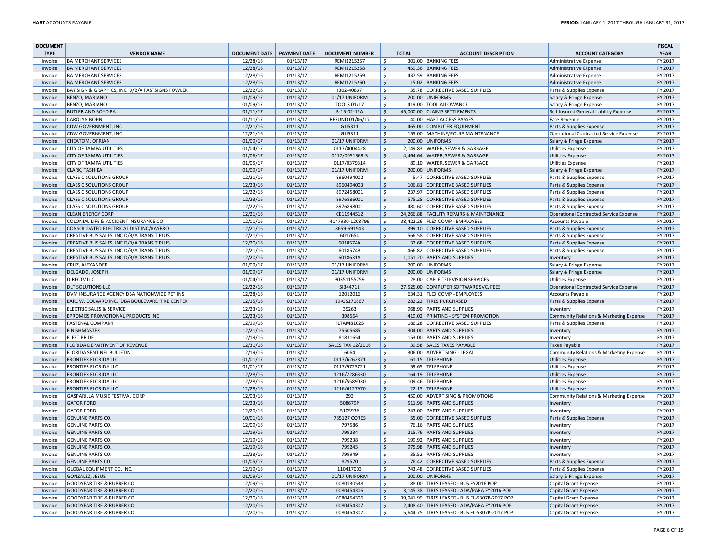| <b>DOCUMENT</b>    |                                                               |                      |                      |                          |                                            |              |                                                    |                                                      | <b>FISCAL</b> |
|--------------------|---------------------------------------------------------------|----------------------|----------------------|--------------------------|--------------------------------------------|--------------|----------------------------------------------------|------------------------------------------------------|---------------|
| <b>TYPE</b>        | <b>VENDOR NAME</b>                                            | <b>DOCUMENT DATE</b> | <b>PAYMENT DATE</b>  | <b>DOCUMENT NUMBER</b>   |                                            | <b>TOTAL</b> | <b>ACCOUNT DESCRIPTION</b>                         | <b>ACCOUNT CATEGORY</b>                              | <b>YEAR</b>   |
| Invoice            | <b>BA MERCHANT SERVICES</b>                                   | 12/28/16             | 01/13/17             | REMI1215257              | $\ddot{\mathsf{S}}$                        |              | 301.00 BANKING FEES                                | Administrative Expense                               | FY 2017       |
| Invoice            | <b>BA MERCHANT SERVICES</b>                                   | 12/28/16             | 01/13/17             | REMI1215258              | \$                                         |              | 459.36 BANKING FEES                                | <b>Administrative Expense</b>                        | FY 2017       |
| Invoice            | <b>BA MERCHANT SERVICES</b>                                   | 12/28/16             | 01/13/17             | REMI1215259              | $\zeta$                                    |              | 437.59 BANKING FEES                                | <b>Administrative Expense</b>                        | FY 2017       |
| Invoice            | <b>BA MERCHANT SERVICES</b>                                   | 12/28/16             | 01/13/17             | REMI1215260              | $\zeta$                                    |              | 15.02 BANKING FEES                                 | <b>Administrative Expense</b>                        | FY 2017       |
| Invoice            | BAY SIGN & GRAPHICS, INC D/B/A FASTSIGNS FOWLER               | 12/22/16             | 01/13/17             | 1302-40837               | $\zeta$                                    | 35.78        | CORRECTIVE BASED SUPPLIES                          | Parts & Supplies Expense                             | FY 2017       |
| Invoice            | <b>BENZO, MARIANO</b>                                         | 01/09/17             | 01/13/17             | 01/17 UNIFORM            | $\mathsf{S}$                               | 200.00       | UNIFORMS                                           | Salary & Fringe Expense                              | FY 2017       |
| Invoice            | BENZO, MARIANO                                                | 01/09/17             | 01/13/17             | TOOLS 01/17              | $\zeta$                                    |              | 419.00 TOOL ALLOWANCE                              | Salary & Fringe Expense                              | FY 2017       |
| Invoice            | <b>BUTLER AND BOYD PA</b>                                     | 01/11/17             | 01/13/17             | B-15-02-12A              | $\ddot{\mathsf{S}}$                        |              | 45,000.00 CLAIMS SETTLEMENTS                       | Self Insured General Liability Expense               | FY 2017       |
| Invoice            | <b>CAROLYN BOHN</b>                                           | 01/11/17             | 01/13/17             | REFUND 01/06/17          | $\ddot{\mathsf{S}}$                        | 40.00        | <b>HART ACCESS PASSES</b>                          | <b>Fare Revenue</b>                                  | FY 2017       |
| Invoice            | CDW GOVERNMENT, INC                                           | 12/21/16             | 01/13/17             | GJJ5311                  | $\zeta$                                    |              | 465.00 COMPUTER EQUIPMENT                          | Parts & Supplies Expense                             | FY 2017       |
| Invoice            | CDW GOVERNMENT, INC                                           | 12/21/16             | 01/13/17             | GJJ5311                  | $\ddot{\mathsf{S}}$                        |              | 155.00 MACHINE/EQUIP MAINTENANCE                   | <b>Operational Contracted Service Expense</b>        | FY 2017       |
| Invoice            | CHEATOM, ORRIAN                                               | 01/09/17             | 01/13/17             | 01/17 UNIFORM            | $\ddot{\mathsf{S}}$                        | 200.00       | <b>UNIFORMS</b>                                    | Salary & Fringe Expense                              | FY 2017       |
| Invoice            | CITY OF TAMPA UTILITIES                                       | 01/04/17             | 01/13/17             | 0117/0004428             | $\ddot{\mathsf{S}}$                        | 2,149.83     | WATER, SEWER & GARBAGE                             | <b>Utilities Expense</b>                             | FY 2017       |
| Invoice            | <b>CITY OF TAMPA UTILITIES</b>                                | 01/06/17             | 01/13/17             | 0117/0051369-3           | $\ddot{\mathsf{S}}$                        |              | 4,464.64 WATER, SEWER & GARBAGE                    | <b>Utilities Expense</b>                             | FY 2017       |
| Invoice            | <b>CITY OF TAMPA UTILITIES</b>                                | 01/05/17             | 01/13/17             | 0117/0379314             | \$                                         |              | 89.10 WATER, SEWER & GARBAGE                       | <b>Utilities Expense</b>                             | FY 2017       |
| Invoice            | <b>CLARK, TASHIKA</b>                                         | 01/09/17             | 01/13/17             | 01/17 UNIFORM            | $\zeta$                                    |              | 200.00 UNIFORMS                                    | Salary & Fringe Expense                              | FY 2017       |
| Invoice            | <b>CLASS C SOLUTIONS GROUP</b>                                | 12/21/16             | 01/13/17             | 8960494002               | $\ddot{\mathsf{S}}$                        |              | 5.47 CORRECTIVE BASED SUPPLIES                     | Parts & Supplies Expense                             | FY 2017       |
| Invoice            | <b>CLASS C SOLUTIONS GROUP</b>                                | 12/23/16             | 01/13/17             | 8960494003               | $\ddot{\mathsf{S}}$                        | 106.81       | CORRECTIVE BASED SUPPLIES                          | Parts & Supplies Expense                             | FY 2017       |
| Invoice            | <b>CLASS C SOLUTIONS GROUP</b>                                | 12/22/16             | 01/13/17             | 8972458001               | $\zeta$                                    | 237.97       | <b>CORRECTIVE BASED SUPPLIES</b>                   | Parts & Supplies Expense                             | FY 2017       |
| Invoice            | <b>CLASS C SOLUTIONS GROUP</b>                                | 12/23/16             | 01/13/17             | 8976886001               | $\ddot{\mathsf{S}}$                        |              | 575.28 CORRECTIVE BASED SUPPLIES                   | Parts & Supplies Expense                             | FY 2017       |
| Invoice            | <b>CLASS C SOLUTIONS GROUP</b>                                | 12/22/16             | 01/13/17             | 8976898001               | $\mathsf{\hat{S}}$                         |              | 480.60 CORRECTIVE BASED SUPPLIES                   | Parts & Supplies Expense                             | FY 2017       |
| Invoice            | <b>CLEAN ENERGY CORP</b>                                      | 12/21/16             | 01/13/17             | CE11944512               | $\ddot{\mathsf{S}}$                        | 24,266.88    | <b>FACILITY REPAIRS &amp; MAINTENANCE</b>          | Operational Contracted Service Expense               | FY 2017       |
| Invoice            | COLONIAL LIFE & ACCIDENT INSURANCE CO                         | 12/01/16             | 01/13/17             | 4147930-1208799          | $\mathsf{\hat{S}}$                         |              | 38,422.26 FLEX COMP - EMPLOYEES                    | <b>Accounts Payable</b>                              | FY 2017       |
| Invoice            | CONSOLIDATED ELECTRICAL DIST INC/RAYBRO                       | 12/21/16             | 01/13/17             | 8659-691943              | $\zeta$                                    |              | 399.10 CORRECTIVE BASED SUPPLIES                   | Parts & Supplies Expense                             | FY 2017       |
| Invoice            | CREATIVE BUS SALES, INC D/B/A TRANSIT PLUS                    | 12/21/16             | 01/13/17             | 6017654                  | \$                                         |              | 566.58 CORRECTIVE BASED SUPPLIES                   | Parts & Supplies Expense                             | FY 2017       |
| Invoice            | CREATIVE BUS SALES, INC D/B/A TRANSIT PLUS                    | 12/20/16             | 01/13/17             | 6018574A                 | Ś                                          | 32.68        | CORRECTIVE BASED SUPPLIES                          | Parts & Supplies Expense                             | FY 2017       |
| Invoice            | CREATIVE BUS SALES, INC D/B/A TRANSIT PLUS                    | 12/21/16             | 01/13/17             | 6018574B                 | \$                                         | 466.82       | <b>CORRECTIVE BASED SUPPLIES</b>                   | Parts & Supplies Expense                             | FY 2017       |
| Invoice            | CREATIVE BUS SALES, INC D/B/A TRANSIT PLUS                    | 12/20/16             | 01/13/17             | 6018631A                 | $\mathsf{S}$                               |              | 1,051.20 PARTS AND SUPPLIES                        | Inventory                                            | FY 2017       |
| Invoice            | CRUZ, ALEXANDER                                               | 01/09/17             | 01/13/17             | 01/17 UNIFORM            | \$                                         |              | 200.00 UNIFORMS                                    | Salary & Fringe Expense                              | FY 2017       |
| Invoice            | DELGADO, JOSEPH                                               | 01/09/17             | 01/13/17             | 01/17 UNIFORM            | $\boldsymbol{\mathsf{S}}$                  |              | 200.00 UNIFORMS                                    | Salary & Fringe Expense                              | FY 2017       |
| Invoice            | <b>DIRECTV LLC</b>                                            | 01/04/17             | 01/13/17             | 30351155759              | \$                                         |              | 28.00 CABLE TELEVISION SERVICES                    | <b>Utilities Expense</b>                             | FY 2017       |
| Invoice            | <b>DLT SOLUTIONS LLC</b>                                      | 12/22/16             | 01/13/17             | SI344711                 | \$                                         |              | 27,525.00 COMPUTER SOFTWARE SVC. FEES              | Operational Contracted Service Expense               | FY 2017       |
| Invoice            | DVM INSURANCE AGENCY DBA NATIONWIDE PET INS                   | 12/28/16             | 01/13/17             | 12012016                 | $\zeta$                                    |              | 634.31 FLEX COMP - EMPLOYEES                       | <b>Accounts Payable</b>                              | FY 2017       |
| Invoice            | EARL W. COLVARD INC. DBA BOULEVARD TIRE CENTER                | 12/15/16             | 01/13/17             | 19-GS170867              | $\boldsymbol{\mathsf{S}}$                  |              | 282.22 TIRES PURCHASED                             | Parts & Supplies Expense                             | FY 2017       |
| Invoice            | <b>ELECTRIC SALES &amp; SERVICE</b>                           | 12/23/16             | 01/13/17             | 35263                    | $\zeta$                                    |              | 968.90 PARTS AND SUPPLIES                          |                                                      | FY 2017       |
| Invoice            | EPROMOS PROMOTIONAL PRODUCTS INC                              | 12/23/16             | 01/13/17             | 398564                   | $\zeta$                                    |              | 419.02 PRINTING - SYSTEM PROMOTION                 | Inventory<br>Community Relations & Marketing Expense | FY 2017       |
| Invoice            | <b>FASTENAL COMPANY</b>                                       | 12/19/16             | 01/13/17             | FLTAM81025               | $\ddot{\mathsf{S}}$                        |              | 186.28 CORRECTIVE BASED SUPPLIES                   |                                                      | FY 2017       |
| Invoice            | <b>FINISHMASTER</b>                                           | 12/21/16             | 01/13/17             | 75505685                 | $\zeta$                                    |              | 304.00 PARTS AND SUPPLIES                          | Parts & Supplies Expense<br>Inventory                | FY 2017       |
| Invoice            | <b>FLEET PRIDE</b>                                            | 12/19/16             | 01/13/17             | 81831654                 | $\mathsf{S}$                               |              | 153.00 PARTS AND SUPPLIES                          |                                                      | FY 2017       |
| Invoice            | FLORIDA DEPARTMENT OF REVENUE                                 | 12/31/16             | 01/13/17             | <b>SALES TAX 12/2016</b> | $\ddot{\mathsf{S}}$                        |              | 39.58 SALES TAXES PAYABLE                          | Inventory<br>Taxes Payable                           | FY 2017       |
| Invoice            | FLORIDA SENTINEL BULLETIN                                     | 12/19/16             | 01/13/17             | 6064                     | $\zeta$                                    |              | 306.00 ADVERTISING - LEGAL                         |                                                      | FY 2017       |
|                    | <b>FRONTIER FLORIDA LLC</b>                                   | 01/01/17             | 01/13/17             | 0117/6262871             | $\ddot{\mathsf{S}}$                        |              | 61.15 TELEPHONE                                    | Community Relations & Marketing Expense              | FY 2017       |
| Invoice<br>Invoice | <b>FRONTIER FLORIDA LLC</b>                                   | 01/01/17             | 01/13/17             | 0117/9723721             | $\ddot{\mathsf{S}}$                        |              | 59.65 TELEPHONE                                    | <b>Utilities Expense</b><br><b>Utilities Expense</b> | FY 2017       |
|                    | <b>FRONTIER FLORIDA LLC</b>                                   | 12/28/16             | 01/13/17             | 1216/2286330             | $\ddot{\mathsf{S}}$                        |              | 164.19 TELEPHONE                                   |                                                      | FY 2017       |
| Invoice<br>Invoice | <b>FRONTIER FLORIDA LLC</b>                                   | 12/28/16             | 01/13/17             |                          | $\zeta$                                    |              | 109.46 TELEPHONE                                   | <b>Utilities Expense</b>                             | FY 2017       |
|                    |                                                               |                      |                      | 1216/5589030             |                                            |              |                                                    | <b>Utilities Expense</b>                             | FY 2017       |
| Invoice            | <b>FRONTIER FLORIDA LLC</b><br>GASPARILLA MUSIC FESTIVAL CORP | 12/28/16             | 01/13/17<br>01/13/17 | 1216/6127970<br>293      | $\ddot{\mathsf{S}}$<br>$\ddot{\mathsf{S}}$ |              | 22.15 TELEPHONE<br>450.00 ADVERTISING & PROMOTIONS | <b>Utilities Expense</b>                             | FY 2017       |
| Invoice            |                                                               | 12/03/16             |                      |                          |                                            |              |                                                    | Community Relations & Marketing Expense              |               |
| Invoice            | <b>GATOR FORD</b>                                             | 12/23/16             | 01/13/17             | 508679P                  | $\ddot{\mathsf{S}}$                        |              | 511.96 PARTS AND SUPPLIES                          | Inventory                                            | FY 2017       |
| Invoice            | <b>GATOR FORD</b>                                             | 12/20/16             | 01/13/17             | 510593P                  | $\zeta$                                    |              | 743.00 PARTS AND SUPPLIES                          | Inventory                                            | FY 2017       |
| Invoice            | <b>GENUINE PARTS CO.</b>                                      | 10/01/16             | 01/13/17             | 785127 CORES             | $\zeta$                                    |              | 55.00 CORRECTIVE BASED SUPPLIES                    | Parts & Supplies Expense                             | FY 2017       |
| Invoice            | <b>GENUINE PARTS CO</b>                                       | 12/09/16             | 01/13/17             | 797586                   | $\zeta$                                    |              | 76.16 PARTS AND SUPPLIES                           | Inventory                                            | FY 2017       |
| Invoice            | <b>GENUINE PARTS CO</b>                                       | 12/19/16             | 01/13/17             | 799234                   | $\ddot{\mathsf{S}}$                        |              | 215.76 PARTS AND SUPPLIES                          | Inventory                                            | FY 2017       |
| Invoice            | <b>GENUINE PARTS CO.</b>                                      | 12/19/16             | 01/13/17             | 799238                   | \$                                         |              | 199.92 PARTS AND SUPPLIES                          | Inventory                                            | FY 2017       |
| Invoice            | <b>GENUINE PARTS CO.</b>                                      | 12/19/16             | 01/13/17             | 799243                   | $\zeta$                                    |              | 975.98 PARTS AND SUPPLIES                          | Inventory                                            | FY 2017       |
| Invoice            | <b>GENUINE PARTS CO</b>                                       | 12/23/16             | 01/13/17             | 799949                   | $\ddot{\mathsf{S}}$                        | 35.52        | <b>PARTS AND SUPPLIES</b>                          | Inventory                                            | FY 2017       |
| Invoice            | <b>GENUINE PARTS CO.</b>                                      | 01/05/17             | 01/13/17             | 829570                   | $\zeta$                                    | 76.42        | CORRECTIVE BASED SUPPLIES                          | Parts & Supplies Expense                             | FY 2017       |
| Invoice            | GLOBAL EQUIPMENT CO, INC.                                     | 12/19/16             | 01/13/17             | 110417003                | $\ddot{\mathsf{S}}$                        |              | 743.48 CORRECTIVE BASED SUPPLIES                   | Parts & Supplies Expense                             | FY 2017       |
| Invoice            | <b>GONZALEZ, JESUS</b>                                        | 01/09/17             | 01/13/17             | 01/17 UNIFORM            | $\mathsf{S}$                               |              | 200.00 UNIFORMS                                    | Salary & Fringe Expense                              | FY 2017       |
| Invoice            | <b>GOODYEAR TIRE &amp; RUBBER CO</b>                          | 12/09/16             | 01/13/17             | 0080130538               | $\mathsf{S}$                               |              | 88.00 TIRES LEASED - BUS FY2016 POP                | Capital Grant Expense                                | FY 2017       |
| Invoice            | <b>GOODYEAR TIRE &amp; RUBBER CO</b>                          | 12/20/16             | 01/13/17             | 0080454306               | $\ddot{\mathsf{S}}$                        |              | 3,145.38 TIRES LEASED - ADA/PARA FY2016 POP        | <b>Capital Grant Expense</b>                         | FY 2017       |
| Invoice            | <b>GOODYEAR TIRE &amp; RUBBER CO</b>                          | 12/20/16             | 01/13/17             | 0080454306               | $\zeta$                                    |              | 39,941.99 TIRES LEASED - BUS FL-5307P-2017 POP     | <b>Capital Grant Expense</b>                         | FY 2017       |
| Invoice            | <b>GOODYEAR TIRE &amp; RUBBER CO</b>                          | 12/20/16             | 01/13/17             | 0080454307               | $\zeta$                                    |              | 2,408.40 TIRES LEASED - ADA/PARA FY2016 POP        | <b>Capital Grant Expense</b>                         | FY 2017       |
| Invoice            | <b>GOODYEAR TIRE &amp; RUBBER CO</b>                          | 12/20/16             | 01/13/17             | 0080454307               | \$                                         |              | 5,644.75 TIRES LEASED - BUS FL-5307P-2017 POP      | Capital Grant Expense                                | FY 2017       |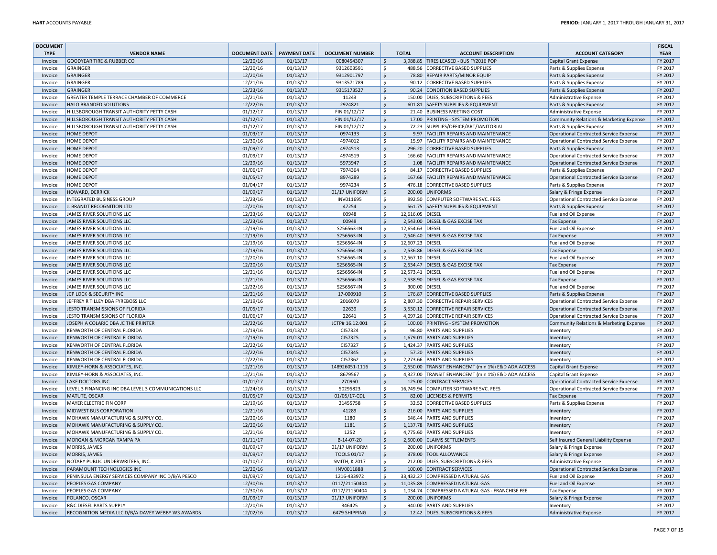| <b>DOCUMENT</b> |                                                      |                      |                     |                        |                           |                  |                                                    |                                               | <b>FISCAL</b> |
|-----------------|------------------------------------------------------|----------------------|---------------------|------------------------|---------------------------|------------------|----------------------------------------------------|-----------------------------------------------|---------------|
| <b>TYPE</b>     | <b>VENDOR NAME</b>                                   | <b>DOCUMENT DATE</b> | <b>PAYMENT DATE</b> | <b>DOCUMENT NUMBER</b> |                           | <b>TOTAL</b>     | <b>ACCOUNT DESCRIPTION</b>                         | <b>ACCOUNT CATEGORY</b>                       | <b>YEAR</b>   |
| Invoice         | <b>GOODYEAR TIRE &amp; RUBBER CO</b>                 | 12/20/16             | 01/13/17            | 0080454307             | $\zeta$                   |                  | 3.988.85 TIRES LEASED - BUS FY2016 POP             | <b>Capital Grant Expense</b>                  | FY 2017       |
| Invoice         | <b>GRAINGER</b>                                      | 12/20/16             | 01/13/17            | 9312603591             | \$                        |                  | 488.56 CORRECTIVE BASED SUPPLIES                   | Parts & Supplies Expense                      | FY 2017       |
| Invoice         | <b>GRAINGER</b>                                      | 12/20/16             | 01/13/17            | 9312901797             | $\boldsymbol{\mathsf{S}}$ |                  | 78.80 REPAIR PARTS/MINOR EQUIP                     | Parts & Supplies Expense                      | FY 2017       |
| Invoice         | <b>GRAINGER</b>                                      | 12/21/16             | 01/13/17            | 9313571789             | \$                        |                  | 90.12 CORRECTIVE BASED SUPPLIES                    | Parts & Supplies Expense                      | FY 2017       |
| Invoice         | GRAINGER                                             | 12/23/16             | 01/13/17            | 9315173527             | $\zeta$                   |                  | 90.24 CONDITION BASED SUPPLIES                     | Parts & Supplies Expense                      | FY 2017       |
| Invoice         | GREATER TEMPLE TERRACE CHAMBER OF COMMERCE           | 12/21/16             | 01/13/17            | 11243                  | \$                        |                  | 150.00 DUES, SUBSCRIPTIONS & FEES                  | Administrative Expense                        | FY 2017       |
| Invoice         | <b>HALO BRANDED SOLUTIONS</b>                        | 12/22/16             | 01/13/17            | 2924821                | $\zeta$                   |                  | 601.81 SAFETY SUPPLIES & EQUIPMENT                 | Parts & Supplies Expense                      | FY 2017       |
| Invoice         | HILLSBOROUGH TRANSIT AUTHORITY PETTY CASH            | 01/12/17             | 01/13/17            | FIN 01/12/17           | \$                        |                  | 21.40 BUSINESS MEETING COST                        | Administrative Expense                        | FY 2017       |
| Invoice         | HILLSBOROUGH TRANSIT AUTHORITY PETTY CASH            | 01/12/17             | 01/13/17            | FIN 01/12/17           | $\zeta$                   |                  | 17.00 PRINTING - SYSTEM PROMOTION                  | Community Relations & Marketing Expense       | FY 2017       |
| Invoice         | HILLSBOROUGH TRANSIT AUTHORITY PETTY CASH            | 01/12/17             | 01/13/17            | FIN 01/12/17           | $\mathsf S$               |                  | 72.23 SUPPLIES/OFFICE/ART/JANITORIAL               | Parts & Supplies Expense                      | FY 2017       |
| Invoice         | <b>HOME DEPOT</b>                                    | 01/03/17             | 01/13/17            | 0974133                | $\boldsymbol{\mathsf{S}}$ |                  | 9.97 FACILITY REPAIRS AND MAINTENANCE              | <b>Operational Contracted Service Expense</b> | FY 2017       |
|                 | <b>HOME DEPOT</b>                                    | 12/30/16             | 01/13/17            | 4974012                | \$                        |                  | 15.97 FACILITY REPAIRS AND MAINTENANCE             | Operational Contracted Service Expense        | FY 2017       |
| Invoice         |                                                      |                      |                     |                        | $\mathsf{\hat{S}}$        |                  |                                                    |                                               | FY 2017       |
| Invoice         | <b>HOME DEPOT</b>                                    | 01/09/17             | 01/13/17            | 4974513                |                           |                  | 296.20 CORRECTIVE BASED SUPPLIES                   | Parts & Supplies Expense                      |               |
| Invoice         | <b>HOME DEPOT</b>                                    | 01/09/17             | 01/13/17            | 4974519                | $\mathsf{\hat{S}}$        |                  | 166.60 FACILITY REPAIRS AND MAINTENANCE            | <b>Operational Contracted Service Expense</b> | FY 2017       |
| Invoice         | <b>HOME DEPOT</b>                                    | 12/29/16             | 01/13/17            | 5973947                | $\zeta$                   |                  | 1.08 FACILITY REPAIRS AND MAINTENANCE              | Operational Contracted Service Expense        | FY 2017       |
| Invoice         | <b>HOME DEPOT</b>                                    | 01/06/17             | 01/13/17            | 7974364                | \$                        |                  | 84.17 CORRECTIVE BASED SUPPLIES                    | Parts & Supplies Expense                      | FY 2017       |
| Invoice         | HOME DEPOT                                           | 01/05/17             | 01/13/17            | 8974289                | $\boldsymbol{\mathsf{S}}$ |                  | 167.66 FACILITY REPAIRS AND MAINTENANCE            | Operational Contracted Service Expense        | FY 2017       |
| Invoice         | <b>HOME DEPOT</b>                                    | 01/04/17             | 01/13/17            | 9974234                | $\mathsf{S}$              |                  | 476.18 CORRECTIVE BASED SUPPLIES                   | Parts & Supplies Expense                      | FY 2017       |
| Invoice         | HOWARD, DERRICK                                      | 01/09/17             | 01/13/17            | 01/17 UNIFORM          | $\zeta$                   |                  | 200.00 UNIFORMS                                    | Salary & Fringe Expense                       | FY 2017       |
| Invoice         | <b>INTEGRATED BUSINESS GROUP</b>                     | 12/23/16             | 01/13/17            | INV011695              | <sub>S</sub>              |                  | 892.50 COMPUTER SOFTWARE SVC. FEES                 | <b>Operational Contracted Service Expense</b> | FY 2017       |
| Invoice         | J. BRANDT RECOGNITION LTD                            | 12/20/16             | 01/13/17            | 47254                  | $\dot{\mathsf{S}}$        |                  | 561.75 SAFETY SUPPLIES & EQUIPMENT                 | Parts & Supplies Expense                      | FY 2017       |
| Invoice         | JAMES RIVER SOLUTIONS LLC                            | 12/23/16             | 01/13/17            | 00948                  | \$                        | 12,616.05 DIESEL |                                                    | <b>Fuel and Oil Expense</b>                   | FY 2017       |
| Invoice         | JAMES RIVER SOLUTIONS LLC                            | 12/23/16             | 01/13/17            | 00948                  | $\zeta$                   |                  | 2,543.00 DIESEL & GAS EXCISE TAX                   | <b>Tax Expense</b>                            | FY 2017       |
| Invoice         | JAMES RIVER SOLUTIONS LLC                            | 12/19/16             | 01/13/17            | S256563-IN             | \$                        | 12,654.63 DIESEL |                                                    | Fuel and Oil Expense                          | FY 2017       |
| Invoice         | JAMES RIVER SOLUTIONS LLC                            | 12/19/16             | 01/13/17            | S256563-IN             | $\zeta$                   |                  | 2,546.40 DIESEL & GAS EXCISE TAX                   | <b>Tax Expense</b>                            | FY 2017       |
| Invoice         | JAMES RIVER SOLUTIONS LLC                            | 12/19/16             | 01/13/17            | S256564-IN             | <sub>S</sub>              | 12,607.23 DIESEL |                                                    | Fuel and Oil Expense                          | FY 2017       |
| Invoice         | JAMES RIVER SOLUTIONS LLC                            | 12/19/16             | 01/13/17            | S256564-IN             | <b>S</b>                  |                  | 2,536.86 DIESEL & GAS EXCISE TAX                   | <b>Tax Expense</b>                            | FY 2017       |
| Invoice         | JAMES RIVER SOLUTIONS LLC                            | 12/20/16             | 01/13/17            | S256565-IN             | $\mathsf{\hat{S}}$        | 12,567.10 DIESEL |                                                    | Fuel and Oil Expense                          | FY 2017       |
| Invoice         | JAMES RIVER SOLUTIONS LLC                            | 12/20/16             | 01/13/17            | S256565-IN             | $\zeta$                   |                  | 2,534.47 DIESEL & GAS EXCISE TAX                   | <b>Tax Expense</b>                            | FY 2017       |
| Invoice         | JAMES RIVER SOLUTIONS LLC                            | 12/21/16             | 01/13/17            | S256566-IN             | $\mathsf{\hat{S}}$        | 12,573.41 DIESEL |                                                    | Fuel and Oil Expense                          | FY 2017       |
| Invoice         | JAMES RIVER SOLUTIONS LLC                            | 12/21/16             | 01/13/17            | S256566-IN             | $\zeta$                   |                  | 2,538.90 DIESEL & GAS EXCISE TAX                   | <b>Tax Expense</b>                            | FY 2017       |
| Invoice         | JAMES RIVER SOLUTIONS LLC                            | 12/22/16             | 01/13/17            | S256567-IN             | \$                        | 300.00 DIESEL    |                                                    | Fuel and Oil Expense                          | FY 2017       |
| Invoice         | JCP LOCK & SECURITY INC                              | 12/21/16             | 01/13/17            | 17-000910              | $\mathsf{\hat{S}}$        |                  | 176.87 CORRECTIVE BASED SUPPLIES                   | Parts & Supplies Expense                      | FY 2017       |
| Invoice         | JEFFREY R TILLEY DBA FYREBOSS LLC                    | 12/19/16             | 01/13/17            | 2016079                | <b>S</b>                  |                  | 2.807.30 CORRECTIVE REPAIR SERVICES                | Operational Contracted Service Expense        | FY 2017       |
|                 | JESTO TRANSMISSIONS OF FLORIDA                       | 01/05/17             | 01/13/17            | 22639                  | $\zeta$                   |                  | 3,530.12 CORRECTIVE REPAIR SERVICES                | Operational Contracted Service Expense        | FY 2017       |
| Invoice         |                                                      |                      |                     |                        |                           |                  |                                                    |                                               |               |
| Invoice         | JESTO TRANSMISSIONS OF FLORIDA                       | 01/06/17             | 01/13/17            | 22641                  | $\mathsf{S}$              |                  | 4,097.26 CORRECTIVE REPAIR SERVICES                | Operational Contracted Service Expense        | FY 2017       |
| Invoice         | JOSEPH A COLARIC DBA JC THE PRINTER                  | 12/22/16             | 01/13/17            | JCTP# 16.12.001        | $\boldsymbol{\mathsf{S}}$ |                  | 100.00 PRINTING - SYSTEM PROMOTION                 | Community Relations & Marketing Expense       | FY 2017       |
| Invoice         | KENWORTH OF CENTRAL FLORIDA                          | 12/19/16             | 01/13/17            | CI57324                | \$                        |                  | 96.80 PARTS AND SUPPLIES                           | Inventory                                     | FY 2017       |
| Invoice         | <b>KENWORTH OF CENTRAL FLORIDA</b>                   | 12/19/16             | 01/13/17            | CI57325                | $\mathsf{\hat{S}}$        |                  | 1,679.01 PARTS AND SUPPLIES                        | Inventory                                     | FY 2017       |
| Invoice         | KENWORTH OF CENTRAL FLORIDA                          | 12/22/16             | 01/13/17            | CI57327                | \$                        |                  | 1,424.37 PARTS AND SUPPLIES                        | Inventory                                     | FY 2017       |
| Invoice         | <b>KENWORTH OF CENTRAL FLORIDA</b>                   | 12/22/16             | 01/13/17            | CI57345                | $\zeta$                   |                  | 57.20 PARTS AND SUPPLIES                           | Inventory                                     | FY 2017       |
| Invoice         | KENWORTH OF CENTRAL FLORIDA                          | 12/22/16             | 01/13/17            | CI57362                | \$                        |                  | 2.273.66 PARTS AND SUPPLIES                        | Inventory                                     | FY 2017       |
| Invoice         | KIMLEY-HORN & ASSOCIATES, INC                        | 12/21/16             | 01/13/17            | 148926051-1116         | $\zeta$                   |                  | 2,550.00 TRANSIT ENHANCEMT (min 1%) E&D ADA ACCESS | Capital Grant Expense                         | FY 2017       |
| Invoice         | KIMLEY-HORN & ASSOCIATES, INC.                       | 12/21/16             | 01/13/17            | 8679567                | $\mathsf{\hat{S}}$        |                  | 4,327.00 TRANSIT ENHANCEMT (min 1%) E&D ADA ACCESS | <b>Capital Grant Expense</b>                  | FY 2017       |
| Invoice         | <b>LAKE DOCTORS INC</b>                              | 01/01/17             | 01/13/17            | 270960                 | $\zeta$                   |                  | 125.00 CONTRACT SERVICES                           | <b>Operational Contracted Service Expense</b> | FY 2017       |
| Invoice         | LEVEL 3 FINANCING INC DBA LEVEL 3 COMMUNICATIONS LLC | 12/24/16             | 01/13/17            | 50295823               | <sub>S</sub>              |                  | 16,749.94 COMPUTER SOFTWARE SVC. FEES              | <b>Operational Contracted Service Expense</b> | FY 2017       |
| Invoice         | MATUTE, OSCAR                                        | 01/05/17             | 01/13/17            | 01/05/17-CDL           | $\zeta$                   |                  | 82.00 LICENSES & PERMITS                           | <b>Tax Expense</b>                            | FY 2017       |
| Invoice         | MAYER ELECTRIC FIN CORP                              | 12/19/16             | 01/13/17            | 21455758               | \$                        |                  | 32.52 CORRECTIVE BASED SUPPLIES                    | Parts & Supplies Expense                      | FY 2017       |
| Invoice         | MIDWEST BUS CORPORATION                              | 12/21/16             | 01/13/17            | 41289                  | $\zeta$                   |                  | 216.00 PARTS AND SUPPLIES                          | Inventory                                     | FY 2017       |
| Invoice         | MOHAWK MANUFACTURING & SUPPLY CO.                    | 12/20/16             | 01/13/17            | 1180                   | \$                        |                  | 646.44 PARTS AND SUPPLIES                          | Inventory                                     | FY 2017       |
| Invoice         | MOHAWK MANUFACTURING & SUPPLY CO.                    | 12/20/16             | 01/13/17            | 1181                   | $\zeta$                   |                  | 1,137.78 PARTS AND SUPPLIES                        | Inventory                                     | FY 2017       |
| Invoice         | MOHAWK MANUFACTURING & SUPPLY CO.                    | 12/21/16             | 01/13/17            | 1252                   | \$                        |                  | 4,775.60 PARTS AND SUPPLIES                        | Inventory                                     | FY 2017       |
| Invoice         | MORGAN & MORGAN TAMPA PA                             | 01/11/17             | 01/13/17            | B-14-07-20             | $\zeta$                   |                  | 2,500.00 CLAIMS SETTLEMENTS                        | Self Insured General Liability Expense        | FY 2017       |
| Invoice         | MORRIS, JAMES                                        | 01/09/17             | 01/13/17            | 01/17 UNIFORM          | $\mathsf{S}$              |                  | 200.00 UNIFORMS                                    | Salary & Fringe Expense                       | FY 2017       |
| Invoice         | <b>MORRIS, JAMES</b>                                 | 01/09/17             | 01/13/17            | TOOLS 01/17            | $\zeta$                   |                  | 378.00 TOOL ALLOWANCE                              | Salary & Fringe Expense                       | FY 2017       |
| Invoice         | NOTARY PUBLIC UNDERWRITERS, INC.                     | 01/10/17             | 01/13/17            | <b>SMITH, K 2017</b>   | $\mathsf{\hat{S}}$        |                  | 212.00 DUES, SUBSCRIPTIONS & FEES                  | <b>Administrative Expense</b>                 | FY 2017       |
| Invoice         | PARAMOUNT TECHNOLOGIES INC                           | 12/20/16             | 01/13/17            | INV0011888             | $\zeta$                   |                  | 100.00 CONTRACT SERVICES                           | Operational Contracted Service Expense        | FY 2017       |
| Invoice         | PENINSULA ENERGY SERVICES COMPANY INC D/B/A PESCO    | 01/09/17             | 01/13/17            | 1216-433972            | \$                        |                  | 33,432.27 COMPRESSED NATURAL GAS                   | Fuel and Oil Expense                          | FY 2017       |
|                 | PEOPLES GAS COMPANY                                  | 12/30/16             | 01/13/17            | 0117/21150404          | $\mathsf{\hat{S}}$        |                  | 11,035.89 COMPRESSED NATURAL GAS                   |                                               | FY 2017       |
| Invoice         |                                                      |                      |                     |                        |                           |                  |                                                    | Fuel and Oil Expense                          |               |
| Invoice         | PEOPLES GAS COMPANY                                  | 12/30/16             | 01/13/17            | 0117/21150404          | \$                        |                  | 1,034.74 COMPRESSED NATURAL GAS - FRANCHISE FEE    | <b>Tax Expense</b>                            | FY 2017       |
| Invoice         | POLANCO, OSCAR                                       | 01/09/17             | 01/13/17            | 01/17 UNIFORM          | $\zeta$                   |                  | 200.00 UNIFORMS                                    | Salary & Fringe Expense                       | FY 2017       |
| Invoice         | R&C DIESEL PARTS SUPPLY                              | 12/20/16             | 01/13/17            | 346425                 | $\mathsf{\hat{S}}$        |                  | 940.00 PARTS AND SUPPLIES                          | Inventory                                     | FY 2017       |
| Invoice         | RECOGNITION MEDIA LLC D/B/A DAVEY WEBBY W3 AWARDS    | 12/02/16             | 01/13/17            | 6479 SHIPPING          | $\ddot{\varsigma}$        |                  | 12.42 DUES, SUBSCRIPTIONS & FEES                   | Administrative Expense                        | FY 2017       |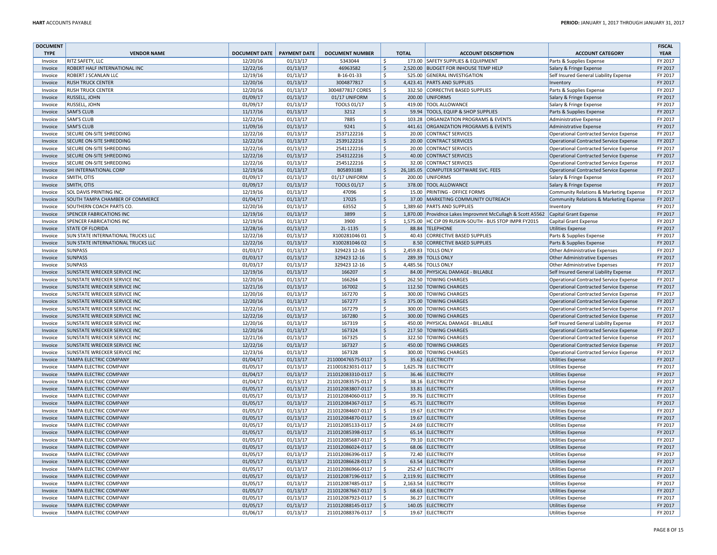| <b>DOCUMENT</b> |                                     |                      |                     |                        |                       |              |                                                            |                                               | <b>FISCAL</b> |
|-----------------|-------------------------------------|----------------------|---------------------|------------------------|-----------------------|--------------|------------------------------------------------------------|-----------------------------------------------|---------------|
| <b>TYPE</b>     | <b>VENDOR NAME</b>                  | <b>DOCUMENT DATE</b> | <b>PAYMENT DATE</b> | <b>DOCUMENT NUMBER</b> |                       | <b>TOTAL</b> | <b>ACCOUNT DESCRIPTION</b>                                 | <b>ACCOUNT CATEGORY</b>                       | <b>YEAR</b>   |
| Invoice         | RITZ SAFETY, LLC                    | 12/20/16             | 01/13/17            | 5343044                | -Ś                    |              | 173.00 SAFETY SUPPLIES & EQUIPMENT                         | Parts & Supplies Expense                      | FY 2017       |
| Invoice         | ROBERT HALF INTERNATIONAL INC       | 12/22/16             | 01/13/17            | 46963582               | \$                    |              | 2,520.00 BUDGET FOR INHOUSE TEMP HELP                      | Salary & Fringe Expense                       | FY 2017       |
| Invoice         | ROBERT J SCANLAN LLC                | 12/19/16             | 01/13/17            | B-16-01-33             | \$                    |              | 525.00 GENERAL INVESTIGATION                               | Self Insured General Liability Expense        | FY 2017       |
| Invoice         | <b>RUSH TRUCK CENTER</b>            | 12/20/16             | 01/13/17            | 3004877817             | $\ddot{\varsigma}$    |              | 4.423.41 PARTS AND SUPPLIES                                | Inventory                                     | FY 2017       |
| Invoice         | <b>RUSH TRUCK CENTER</b>            | 12/20/16             | 01/13/17            | 3004877817 CORES       | \$                    |              | 332.50 CORRECTIVE BASED SUPPLIES                           | Parts & Supplies Expense                      | FY 2017       |
| Invoice         | RUSSELL, JOHN                       |                      | 01/13/17            |                        | $\zeta$               |              | 200.00 UNIFORMS                                            |                                               | FY 2017       |
|                 |                                     | 01/09/17             |                     | 01/17 UNIFORM          |                       |              |                                                            | Salary & Fringe Expense                       |               |
| Invoice         | RUSSELL, JOHN                       | 01/09/17             | 01/13/17            | TOOLS 01/17            | -Ś                    |              | 419.00 TOOL ALLOWANCE                                      | Salary & Fringe Expense                       | FY 2017       |
| Invoice         | <b>SAM'S CLUB</b>                   | 11/17/16             | 01/13/17            | 3212                   | $\zeta$               |              | 59.94 TOOLS, EQUIP & SHOP SUPPLIES                         | Parts & Supplies Expense                      | FY 2017       |
| Invoice         | <b>SAM'S CLUB</b>                   | 12/22/16             | 01/13/17            | 7885                   | \$                    |              | 103.28 ORGANIZATION PROGRAMS & EVENTS                      | Administrative Expense                        | FY 2017       |
| Invoice         | <b>SAM'S CLUB</b>                   | 11/09/16             | 01/13/17            | 9241                   | $\zeta$               |              | 441.61 ORGANIZATION PROGRAMS & EVENTS                      | <b>Administrative Expense</b>                 | FY 2017       |
| Invoice         | SECURE ON-SITE SHREDDING            | 12/22/16             | 01/13/17            | 2537122216             | \$                    |              | 20.00 CONTRACT SERVICES                                    | Operational Contracted Service Expense        | FY 2017       |
| Invoice         | SECURE ON-SITE SHREDDING            | 12/22/16             | 01/13/17            | 2539122216             | \$                    |              | 20.00 CONTRACT SERVICES                                    | Operational Contracted Service Expense        | FY 2017       |
| Invoice         | SECURE ON-SITE SHREDDING            | 12/22/16             | 01/13/17            | 2541122216             | \$                    |              | 20.00 CONTRACT SERVICES                                    | <b>Operational Contracted Service Expense</b> | FY 2017       |
| Invoice         | SECURE ON-SITE SHREDDING            | 12/22/16             | 01/13/17            | 2543122216             | $\zeta$               |              | 40.00 CONTRACT SERVICES                                    | Operational Contracted Service Expense        | FY 2017       |
| Invoice         | SECURE ON-SITE SHREDDING            | 12/22/16             | 01/13/17            | 2545122216             | \$                    |              | 32.00 CONTRACT SERVICES                                    | Operational Contracted Service Expense        | FY 2017       |
| Invoice         | SHI INTERNATIONAL CORP              | 12/19/16             | 01/13/17            | B05893188              | \$                    |              | 26,185.05 COMPUTER SOFTWARE SVC. FEES                      | Operational Contracted Service Expense        | FY 2017       |
| Invoice         | SMITH, OTIS                         | 01/09/17             | 01/13/17            | 01/17 UNIFORM          | \$                    |              | 200.00 UNIFORMS                                            | Salary & Fringe Expense                       | FY 2017       |
| Invoice         | SMITH, OTIS                         | 01/09/17             | 01/13/17            | TOOLS 01/17            | $\ddot{\varsigma}$    |              | 378.00 TOOL ALLOWANCE                                      | Salary & Fringe Expense                       | FY 2017       |
| Invoice         | SOL DAVIS PRINTING INC.             | 12/19/16             | 01/13/17            | 47096                  | <sup>S</sup>          |              | 15.00 PRINTING - OFFICE FORMS                              | Community Relations & Marketing Expense       | FY 2017       |
| Invoice         | SOUTH TAMPA CHAMBER OF COMMERCE     | 01/04/17             | 01/13/17            | 17025                  | $\ddot{\varsigma}$    |              | 37.00 MARKETING COMMUNITY OUTREACH                         | Community Relations & Marketing Expense       | FY 2017       |
| Invoice         | SOUTHERN COACH PARTS CO.            | 12/20/16             | 01/13/17            | 63552                  | $\mathsf{\hat{S}}$    |              | 1,389.60 PARTS AND SUPPLIES                                | Inventory                                     | FY 2017       |
| Invoice         | <b>SPENCER FABRICATIONS INC</b>     | 12/19/16             | 01/13/17            | 3899                   | $\mathsf{S}$          |              | 1,870.00 Providnce Lakes Improvmnt McCullagh & Scott A5562 | Capital Grant Expense                         | FY 2017       |
| Invoice         | SPENCER FABRICATIONS INC            | 12/19/16             | 01/13/17            | 3900                   | $\mathsf{\hat{S}}$    |              | 1,575.00 HC CIP 09 RUSKIN-SOUTH - BUS STOP IMPR FY2015     | Capital Grant Expense                         | FY 2017       |
|                 | <b>STATE OF FLORIDA</b>             |                      |                     | 2L-1135                | $\zeta$               |              | 88.84 TELEPHONE                                            |                                               | FY 2017       |
| Invoice         |                                     | 12/28/16             | 01/13/17            |                        |                       |              |                                                            | <b>Utilities Expense</b>                      |               |
| Invoice         | SUN STATE INTERNATIONAL TRUCKS LLC  | 12/22/16             | 01/13/17            | X10028104601           | $\zeta$               |              | 40.43 CORRECTIVE BASED SUPPLIES                            | Parts & Supplies Expense                      | FY 2017       |
| Invoice         | SUN STATE INTERNATIONAL TRUCKS LLC  | 12/22/16             | 01/13/17            | X100281046 02          | $\zeta$               |              | 8.50 CORRECTIVE BASED SUPPLIES                             | Parts & Supplies Expense                      | FY 2017       |
| Invoice         | <b>SUNPASS</b>                      | 01/03/17             | 01/13/17            | 329423 12-16           | \$                    |              | 2,459.83 TOLLS ONLY                                        | Other Administrative Expenses                 | FY 2017       |
| Invoice         | <b>SUNPASS</b>                      | 01/03/17             | 01/13/17            | 329423 12-16           | $\ddot{\varsigma}$    |              | 289.39 TOLLS ONLY                                          | Other Administrative Expenses                 | FY 2017       |
| Invoice         | <b>SUNPASS</b>                      | 01/03/17             | 01/13/17            | 329423 12-16           | \$                    |              | 4,485.56 TOLLS ONLY                                        | Other Administrative Expenses                 | FY 2017       |
| Invoice         | <b>SUNSTATE WRECKER SERVICE INC</b> | 12/19/16             | 01/13/17            | 166207                 | $\zeta$               |              | 84.00 PHYSICAL DAMAGE - BILLABLE                           | Self Insured General Liability Expense        | FY 2017       |
| Invoice         | SUNSTATE WRECKER SERVICE INC        | 12/20/16             | 01/13/17            | 166264                 | \$                    |              | 262.50 TOWING CHARGES                                      | Operational Contracted Service Expense        | FY 2017       |
| Invoice         | <b>SUNSTATE WRECKER SERVICE INC</b> | 12/21/16             | 01/13/17            | 167002                 | $\mathsf{S}$          |              | 112.50 TOWING CHARGES                                      | Operational Contracted Service Expense        | FY 2017       |
| Invoice         | SUNSTATE WRECKER SERVICE INC        | 12/20/16             | 01/13/17            | 167270                 | <sup>S</sup>          |              | 300.00 TOWING CHARGES                                      | <b>Operational Contracted Service Expense</b> | FY 2017       |
| Invoice         | SUNSTATE WRECKER SERVICE INC        | 12/20/16             | 01/13/17            | 167277                 | $\zeta$               |              | 375.00 TOWING CHARGES                                      | Operational Contracted Service Expense        | FY 2017       |
| Invoice         | SUNSTATE WRECKER SERVICE INC        | 12/22/16             | 01/13/17            | 167279                 | S.                    |              | 300.00 TOWING CHARGES                                      | Operational Contracted Service Expense        | FY 2017       |
| Invoice         | SUNSTATE WRECKER SERVICE INC        | 12/22/16             | 01/13/17            | 167280                 | $\zeta$               |              | 300.00 TOWING CHARGES                                      | Operational Contracted Service Expense        | FY 2017       |
| Invoice         | SUNSTATE WRECKER SERVICE INC        | 12/20/16             | 01/13/17            | 167319                 | \$                    |              | 450.00 PHYSICAL DAMAGE - BILLABLE                          | Self Insured General Liability Expense        | FY 2017       |
| Invoice         | SUNSTATE WRECKER SERVICE INC        | 12/20/16             | 01/13/17            | 167324                 | $\ddot{\varsigma}$    |              | 217.50 TOWING CHARGES                                      | Operational Contracted Service Expense        | FY 2017       |
| Invoice         | SUNSTATE WRECKER SERVICE INC        | 12/21/16             | 01/13/17            | 167325                 | $\mathsf{\hat{S}}$    |              | 322.50 TOWING CHARGES                                      | Operational Contracted Service Expense        | FY 2017       |
| Invoice         | SUNSTATE WRECKER SERVICE INC        | 12/22/16             | 01/13/17            | 167327                 | \$                    |              | 450.00 TOWING CHARGES                                      | Operational Contracted Service Expense        | FY 2017       |
| Invoice         | SUNSTATE WRECKER SERVICE INC        | 12/23/16             | 01/13/17            | 167328                 | \$                    |              | 300.00 TOWING CHARGES                                      | Operational Contracted Service Expense        | FY 2017       |
| Invoice         | <b>TAMPA ELECTRIC COMPANY</b>       | 01/04/17             | 01/13/17            | 211000476575-0117      | $\mathsf{\mathsf{S}}$ |              | 35.62 ELECTRICITY                                          | <b>Utilities Expense</b>                      | FY 2017       |
| Invoice         | TAMPA ELECTRIC COMPANY              | 01/05/17             | 01/13/17            | 211001823031-0117      | <sub>S</sub>          |              | 1,625.78 ELECTRICITY                                       | <b>Utilities Expense</b>                      | FY 2017       |
| Invoice         | <b>TAMPA ELECTRIC COMPANY</b>       | 01/04/17             | 01/13/17            | 211012083310-0117      | $\zeta$               |              | 36.46 ELECTRICITY                                          | <b>Utilities Expense</b>                      | FY 2017       |
| Invoice         | <b>TAMPA ELECTRIC COMPANY</b>       | 01/04/17             | 01/13/17            | 211012083575-0117      | -Ś                    |              | 38.16 ELECTRICITY                                          | <b>Utilities Expense</b>                      | FY 2017       |
| Invoice         | <b>TAMPA ELECTRIC COMPANY</b>       | 01/05/17             | 01/13/17            | 211012083807-0117      | <sup>S</sup>          |              | 33.81 ELECTRICITY                                          | <b>Utilities Expense</b>                      | FY 2017       |
| Invoice         | <b>TAMPA ELECTRIC COMPANY</b>       | 01/05/17             | 01/13/17            | 211012084060-0117      | <sub>S</sub>          |              | 39.76 ELECTRICITY                                          | <b>Utilities Expense</b>                      | FY 2017       |
| Invoice         | TAMPA ELECTRIC COMPANY              | 01/05/17             | 01/13/17            | 211012084367-0117      | <sup>S</sup>          |              | 45.71 ELECTRICITY                                          | <b>Utilities Expense</b>                      | FY 2017       |
| Invoice         | <b>TAMPA ELECTRIC COMPANY</b>       | 01/05/17             | 01/13/17            | 211012084607-0117      | <sub>S</sub>          |              | 19.67 ELECTRICITY                                          | <b>Utilities Expense</b>                      | FY 2017       |
| Invoice         | <b>TAMPA ELECTRIC COMPANY</b>       | 01/05/17             | 01/13/17            | 211012084870-0117      | <sup>S</sup>          |              | 19.67 ELECTRICITY                                          | <b>Utilities Expense</b>                      | FY 2017       |
| Invoice         | <b>TAMPA ELECTRIC COMPANY</b>       | 01/05/17             | 01/13/17            | 211012085133-0117      | -Ś                    |              | 24.69 ELECTRICITY                                          | <b>Utilities Expense</b>                      | FY 2017       |
| Invoice         | <b>TAMPA ELECTRIC COMPANY</b>       | 01/05/17             | 01/13/17            | 211012085398-0117      | <sup>S</sup>          |              | 65.14 ELECTRICITY                                          | <b>Utilities Expense</b>                      | FY 2017       |
| Invoice         | TAMPA ELECTRIC COMPANY              | 01/05/17             | 01/13/17            | 211012085687-0117      | <sub>S</sub>          |              | 79.10 ELECTRICITY                                          | <b>Utilities Expense</b>                      | FY 2017       |
| Invoice         | <b>TAMPA ELECTRIC COMPANY</b>       | 01/05/17             | 01/13/17            | 211012086024-0117      | $\zeta$               |              | 68.06 ELECTRICITY                                          | <b>Utilities Expense</b>                      | FY 2017       |
| Invoice         | <b>TAMPA ELECTRIC COMPANY</b>       | 01/05/17             | 01/13/17            | 211012086396-0117      | <sup>S</sup>          |              | 72.40 ELECTRICITY                                          | <b>Utilities Expense</b>                      | FY 2017       |
| Invoice         | <b>TAMPA ELECTRIC COMPANY</b>       | 01/05/17             | 01/13/17            | 211012086628-0117      | <sup>S</sup>          |              | 63.54 ELECTRICITY                                          | <b>Utilities Expense</b>                      | FY 2017       |
| Invoice         | <b>TAMPA ELECTRIC COMPANY</b>       | 01/05/17             | 01/13/17            | 211012086966-0117      | $\mathsf{\hat{S}}$    |              | 252.47 ELECTRICITY                                         | <b>Utilities Expense</b>                      | FY 2017       |
| Invoice         | <b>TAMPA ELECTRIC COMPANY</b>       | 01/05/17             | 01/13/17            | 211012087196-0117      | <b>S</b>              |              | 2,119.91 ELECTRICITY                                       | <b>Utilities Expense</b>                      | FY 2017       |
| Invoice         | <b>TAMPA ELECTRIC COMPANY</b>       | 01/05/17             | 01/13/17            | 211012087485-0117      | $\mathsf{\hat{S}}$    |              | 2,163.54 ELECTRICITY                                       | <b>Utilities Expense</b>                      | FY 2017       |
| Invoice         | <b>TAMPA ELECTRIC COMPANY</b>       | 01/05/17             | 01/13/17            | 211012087667-0117      | <sup>S</sup>          |              | 68.63 ELECTRICITY                                          | <b>Utilities Expense</b>                      | FY 2017       |
| Invoice         | TAMPA ELECTRIC COMPANY              | 01/05/17             | 01/13/17            | 211012087923-0117      | -Ś                    |              | 36.27 ELECTRICITY                                          | <b>Utilities Expense</b>                      | FY 2017       |
| Invoice         | <b>TAMPA ELECTRIC COMPANY</b>       | 01/05/17             | 01/13/17            | 211012088145-0117      | <sup>S</sup>          |              | 140.05 ELECTRICITY                                         | Utilities Expense                             | FY 2017       |
| Invoice         | <b>TAMPA ELECTRIC COMPANY</b>       | 01/06/17             | 01/13/17            | 211012088376-0117      | $\ddot{\varsigma}$    |              | 19.67 ELECTRICITY                                          | <b>Utilities Expense</b>                      | FY 2017       |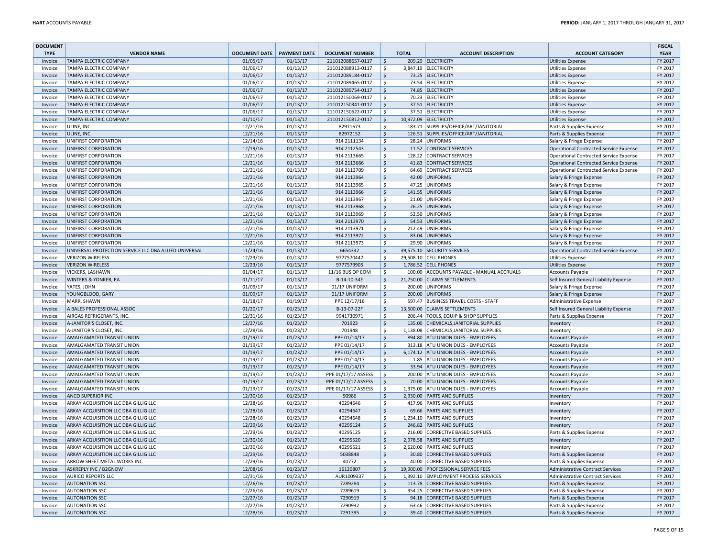| <b>DOCUMENT</b> |                                                       |                      |                     |                        |                           |              |                                           |                                        | <b>FISCAL</b> |
|-----------------|-------------------------------------------------------|----------------------|---------------------|------------------------|---------------------------|--------------|-------------------------------------------|----------------------------------------|---------------|
| <b>TYPE</b>     | <b>VENDOR NAME</b>                                    | <b>DOCUMENT DATE</b> | <b>PAYMENT DATE</b> | <b>DOCUMENT NUMBER</b> |                           | <b>TOTAL</b> | <b>ACCOUNT DESCRIPTION</b>                | <b>ACCOUNT CATEGORY</b>                | <b>YEAR</b>   |
| Invoice         | <b>TAMPA ELECTRIC COMPANY</b>                         | 01/05/17             | 01/13/17            | 211012088657-0117      | $\ddot{\mathsf{S}}$       |              | 209.29 ELECTRICITY                        | <b>Utilities Expense</b>               | FY 2017       |
| Invoice         | <b>TAMPA ELECTRIC COMPANY</b>                         | 01/06/17             | 01/13/17            | 211012088913-0117      | Ŝ.                        |              | 3,847.19 ELECTRICITY                      | Utilities Expense                      | FY 2017       |
| Invoice         | TAMPA ELECTRIC COMPANY                                | 01/06/17             | 01/13/17            | 211012089184-0117      | Ś                         |              | 73.25 ELECTRICITY                         | <b>Utilities Expense</b>               | FY 2017       |
| Invoice         | TAMPA ELECTRIC COMPANY                                | 01/06/17             | 01/13/17            | 211012089465-0117      | \$                        |              | 73.54 ELECTRICITY                         | <b>Utilities Expense</b>               | FY 2017       |
| Invoice         | <b>TAMPA ELECTRIC COMPANY</b>                         | 01/06/17             | 01/13/17            | 211012089754-0117      | <sup>S</sup>              |              | 74.85 ELECTRICITY                         | <b>Utilities Expense</b>               | FY 2017       |
| Invoice         | TAMPA ELECTRIC COMPANY                                | 01/06/17             | 01/13/17            | 211012150069-0117      | \$                        |              | 70.23 ELECTRICITY                         | <b>Utilities Expense</b>               | FY 2017       |
| Invoice         | <b>TAMPA ELECTRIC COMPANY</b>                         | 01/06/17             | 01/13/17            | 211012150341-0117      | \$                        |              | 37.51 ELECTRICITY                         | <b>Utilities Expense</b>               | FY 2017       |
| Invoice         | TAMPA ELECTRIC COMPANY                                | 01/06/17             | 01/13/17            | 211012150622-0117      | Ŝ.                        |              | 37.51 ELECTRICITY                         | <b>Utilities Expense</b>               | FY 2017       |
| Invoice         | <b>TAMPA ELECTRIC COMPANY</b>                         | 01/10/17             | 01/13/17            | 211012150812-0117      | $\ddot{\mathsf{S}}$       |              | 10,972.09 ELECTRICITY                     | <b>Utilities Expense</b>               | FY 2017       |
| Invoice         | ULINE, INC.                                           | 12/21/16             | 01/13/17            | 82971673               | \$                        |              | 183.71 SUPPLIES/OFFICE/ART/JANITORIAL     | Parts & Supplies Expense               | FY 2017       |
| Invoice         | ULINE, INC.                                           | 12/21/16             | 01/13/17            | 82972152               | $\zeta$                   |              | 126.51 SUPPLIES/OFFICE/ART/JANITORIAL     | Parts & Supplies Expense               | FY 2017       |
| Invoice         | UNIFIRST CORPORATION                                  | 12/14/16             | 01/13/17            | 914 2111134            | $\ddot{\mathsf{S}}$       |              | 28.24 UNIFORMS                            | Salary & Fringe Expense                | FY 2017       |
| Invoice         | UNIFIRST CORPORATION                                  | 12/19/16             | 01/13/17            | 914 2112543            | $\ddot{\mathsf{S}}$       |              | 11.52 CONTRACT SERVICES                   | Operational Contracted Service Expense | FY 2017       |
| Invoice         | UNIFIRST CORPORATION                                  | 12/21/16             | 01/13/17            | 914 2113665            | $\zeta$                   |              | 128.22 CONTRACT SERVICES                  | Operational Contracted Service Expense | FY 2017       |
| Invoice         | UNIFIRST CORPORATION                                  | 12/21/16             | 01/13/17            | 914 2113666            | $\zeta$                   |              | 41.83 CONTRACT SERVICES                   | Operational Contracted Service Expense | FY 2017       |
| Invoice         | UNIFIRST CORPORATION                                  | 12/21/16             | 01/13/17            | 914 2113709            | $\zeta$                   |              | 64.69 CONTRACT SERVICES                   | Operational Contracted Service Expense | FY 2017       |
| Invoice         | UNIFIRST CORPORATION                                  | 12/21/16             | 01/13/17            | 914 2113964            | $\boldsymbol{\mathsf{S}}$ |              | 42.00 UNIFORMS                            |                                        | FY 2017       |
|                 |                                                       |                      |                     |                        |                           |              |                                           | Salary & Fringe Expense                | FY 2017       |
| Invoice         | UNIFIRST CORPORATION                                  | 12/21/16             | 01/13/17            | 914 2113965            | $\zeta$                   |              | 47.25 UNIFORMS                            | Salary & Fringe Expense                |               |
| Invoice         | UNIFIRST CORPORATION                                  | 12/21/16             | 01/13/17            | 914 2113966            | $\zeta$                   |              | 141.55 UNIFORMS                           | Salary & Fringe Expense                | FY 2017       |
| Invoice         | UNIFIRST CORPORATION                                  | 12/21/16             | 01/13/17            | 914 2113967            | $\ddot{\mathsf{S}}$       |              | 21.00 UNIFORMS                            | Salary & Fringe Expense                | FY 2017       |
| Invoice         | UNIFIRST CORPORATION                                  | 12/21/16             | 01/13/17            | 914 2113968            | $\mathsf{S}$              |              | 26.25 UNIFORMS                            | Salary & Fringe Expense                | FY 2017       |
| Invoice         | UNIFIRST CORPORATION                                  | 12/21/16             | 01/13/17            | 914 2113969            | $\ddot{\mathsf{S}}$       |              | 52.50 UNIFORMS                            | Salary & Fringe Expense                | FY 2017       |
| Invoice         | UNIFIRST CORPORATION                                  | 12/21/16             | 01/13/17            | 914 2113970            | $\mathsf{S}$              |              | 54.53 UNIFORMS                            | Salary & Fringe Expense                | FY 2017       |
| Invoice         | UNIFIRST CORPORATION                                  | 12/21/16             | 01/13/17            | 914 2113971            | $\zeta$                   |              | 212.49 UNIFORMS                           | Salary & Fringe Expense                | FY 2017       |
| Invoice         | UNIFIRST CORPORATION                                  | 12/21/16             | 01/13/17            | 914 2113972            | $\mathsf{S}$              |              | 83.04 UNIFORMS                            | Salary & Fringe Expense                | FY 2017       |
| Invoice         | UNIFIRST CORPORATION                                  | 12/21/16             | 01/13/17            | 914 2113973            | <sub>S</sub>              |              | 29.90 UNIFORMS                            | Salary & Fringe Expense                | FY 2017       |
| Invoice         | UNIVERSAL PROTECTION SERVICE LLC DBA ALLIED UNIVERSAL | 11/24/16             | 01/13/17            | 6654332                | $\ddot{\mathsf{S}}$       |              | 39,575.10 SECURITY SERVICES               | Operational Contracted Service Expense | FY 2017       |
| Invoice         | <b>VERIZON WIRELESS</b>                               | 12/23/16             | 01/13/17            | 9777570447             | \$                        |              | 29,508.10 CELL PHONES                     | <b>Utilities Expense</b>               | FY 2017       |
| Invoice         | <b>VERIZON WIRELESS</b>                               | 12/23/16             | 01/13/17            | 9777579905             | $\boldsymbol{\mathsf{S}}$ |              | 1,786.52 CELL PHONES                      | <b>Utilities Expense</b>               | FY 2017       |
| Invoice         | VICKERS, LASHAWN                                      | 01/04/17             | 01/13/17            | 11/16 BUS OP EOM       | $\zeta$                   |              | 100.00 ACCOUNTS PAYABLE - MANUAL ACCRUALS | <b>Accounts Payable</b>                | FY 2017       |
| Invoice         | <b>WINTERS &amp; YONKER, PA</b>                       | 01/11/17             | 01/13/17            | B-14-10-34E            | \$                        |              | 21,750.00 CLAIMS SETTLEMENTS              | Self Insured General Liability Expense | FY 2017       |
| Invoice         | YATES, JOHN                                           | 01/09/17             | 01/13/17            | 01/17 UNIFORM          | \$                        | 200.00       | <b>UNIFORMS</b>                           | Salary & Fringe Expense                | FY 2017       |
| Invoice         | YOUNGBLOOD, GARY                                      | 01/09/17             | 01/13/17            | 01/17 UNIFORM          | $\zeta$                   |              | 200.00 UNIFORMS                           | Salary & Fringe Expense                | FY 2017       |
| Invoice         | MARR, SHAWN                                           | 01/18/17             | 01/19/17            | PPE 12/17/16           | \$                        |              | 597.47 BUSINESS TRAVEL COSTS - STAFF      | Administrative Expense                 | FY 2017       |
| Invoice         | A BALES PROFESSIONAL ASSOC                            | 01/20/17             | 01/23/17            | B-13-07-22F            | $\boldsymbol{\mathsf{S}}$ |              | 13.500.00 CLAIMS SETTLEMENTS              | Self Insured General Liability Expense | FY 2017       |
| Invoice         | AIRGAS REFRIGERANTS, INC.                             | 12/31/16             | 01/23/17            | 9941730971             | $\overline{\xi}$          |              | 206.44 TOOLS, EQUIP & SHOP SUPPLIES       | Parts & Supplies Expense               | FY 2017       |
| Invoice         | A-JANITOR'S CLOSET, INC.                              | 12/27/16             | 01/23/17            | 701923                 | $\zeta$                   | 135.00       | CHEMICALS, JANITORIAL SUPPLIES            | Inventory                              | FY 2017       |
| Invoice         | A-JANITOR'S CLOSET, INC.                              | 12/28/16             | 01/23/17            | 701948                 | $\zeta$                   |              | 1,138.08 CHEMICALS, JANITORIAL SUPPLIES   | Inventory                              | FY 2017       |
| Invoice         | AMALGAMATED TRANSIT UNION                             | 01/19/17             | 01/23/17            | PPE 01/14/17           | $\ddot{\mathsf{S}}$       | 894.80       | <b>ATU UNION DUES - EMPLOYEES</b>         | Accounts Payable                       | FY 2017       |
| Invoice         | AMALGAMATED TRANSIT UNION                             | 01/19/17             | 01/23/17            | PPE 01/14/17           | $\ddot{\mathsf{S}}$       |              | 313.18 ATU UNION DUES - EMPLOYEES         | <b>Accounts Payable</b>                | FY 2017       |
| Invoice         | AMALGAMATED TRANSIT UNION                             | 01/19/17             | 01/23/17            | PPE 01/14/17           | $\zeta$                   |              | 6,174.12 ATU UNION DUES - EMPLOYEES       | Accounts Payable                       | FY 2017       |
| Invoice         | AMALGAMATED TRANSIT UNION                             | 01/19/17             | 01/23/17            | PPE 01/14/17           | $\ddot{\mathsf{S}}$       |              | 1.85 ATU UNION DUES - EMPLOYEES           | <b>Accounts Payable</b>                | FY 2017       |
| Invoice         | AMALGAMATED TRANSIT UNION                             | 01/19/17             | 01/23/17            | PPE 01/14/17           | $\ddot{\mathsf{S}}$       |              | 33.94 ATU UNION DUES - EMPLOYEES          | <b>Accounts Payable</b>                | FY 2017       |
| Invoice         | AMALGAMATED TRANSIT UNION                             | 01/19/17             | 01/23/17            | PPE 01/17/17 ASSESS    | $\ddot{\mathsf{S}}$       |              | 200.00 ATU UNION DUES - EMPLOYEES         | <b>Accounts Payable</b>                | FY 2017       |
| Invoice         | AMALGAMATED TRANSIT UNION                             | 01/19/17             | 01/23/17            | PPE 01/17/17 ASSESS    | $\ddot{\mathsf{S}}$       |              | 70.00 ATU UNION DUES - EMPLOYEES          | <b>Accounts Payable</b>                | FY 2017       |
| Invoice         | AMALGAMATED TRANSIT UNION                             | 01/19/17             | 01/23/17            | PPE 01/17/17 ASSESS    | \$                        |              | 1,375.00 ATU UNION DUES - EMPLOYEES       | <b>Accounts Payable</b>                | FY 2017       |
| Invoice         | <b>ANCO SUPERIOR INC</b>                              | 12/30/16             | 01/23/17            | 90986                  | \$                        |              | 2,930.00 PARTS AND SUPPLIES               |                                        | FY 2017       |
| Invoice         | ARKAY ACQUISITION LLC DBA GILLIG LLC                  | 12/28/16             | 01/23/17            | 40294646               | \$                        |              | 417.96 PARTS AND SUPPLIES                 | Inventory                              | FY 2017       |
|                 |                                                       |                      |                     |                        | $\zeta$                   |              |                                           | Inventory                              | FY 2017       |
| Invoice         | ARKAY ACQUISITION LLC DBA GILLIG LLC                  | 12/28/16             | 01/23/17            | 40294647               |                           |              | 69.66 PARTS AND SUPPLIES                  | Inventory                              |               |
| Invoice         | ARKAY ACQUISITION LLC DBA GILLIG LLC                  | 12/28/16             | 01/23/17            | 40294648               | $\ddot{\mathsf{S}}$       |              | 1,234.10 PARTS AND SUPPLIES               | Inventory                              | FY 2017       |
| Invoice         | ARKAY ACQUISITION LLC DBA GILLIG LLC                  | 12/29/16             | 01/23/17            | 40295124               | $\ddot{\mathsf{S}}$       |              | 246.82 PARTS AND SUPPLIES                 | Inventory                              | FY 2017       |
| Invoice         | ARKAY ACQUISITION LLC DBA GILLIG LLC                  | 12/29/16             | 01/23/17            | 40295125               | $\ddot{\mathsf{S}}$       | 216.00       | CORRECTIVE BASED SUPPLIES                 | Parts & Supplies Expense               | FY 2017       |
| Invoice         | ARKAY ACQUISITION LLC DBA GILLIG LLC                  | 12/30/16             | 01/23/17            | 40295520               | $\zeta$                   |              | 2,978.58 PARTS AND SUPPLIES               | Inventory                              | FY 2017       |
| Invoice         | ARKAY ACQUISITION LLC DBA GILLIG LLC                  | 12/30/16             | 01/23/17            | 40295521               | $\zeta$                   |              | 2,620.00 PARTS AND SUPPLIES               | Inventory                              | FY 2017       |
| Invoice         | ARKAY ACQUISITION LLC DBA GILLIG LLC                  | 12/29/16             | 01/23/17            | 5038848                | $\zeta$                   | 30.80        | CORRECTIVE BASED SUPPLIES                 | Parts & Supplies Expense               | FY 2017       |
| Invoice         | ARROW SHEET METAL WORKS INC                           | 12/29/16             | 01/23/17            | 40772                  | $\zeta$                   | 40.00        | <b>CORRECTIVE BASED SUPPLIES</b>          | Parts & Supplies Expense               | FY 2017       |
| Invoice         | ASKREPLY INC / B2GNOW                                 | 12/08/16             | 01/23/17            | 16120807               | \$                        |              | 19,900.00 PROFESSIONAL SERVICE FEES       | Administrative Contract Services       | FY 2017       |
| Invoice         | <b>AURICO REPORTS LLC</b>                             | 12/31/16             | 01/23/17            | AUR1009337             | \$                        |              | 1,392.10 EMPLOYMENT PROCESS SERVICES      | Administrative Contract Services       | FY 2017       |
| Invoice         | <b>AUTONATION SSC</b>                                 | 12/26/16             | 01/23/17            | 7289284                | $\zeta$                   |              | 113.78 CORRECTIVE BASED SUPPLIES          | Parts & Supplies Expense               | FY 2017       |
| Invoice         | <b>AUTONATION SSC</b>                                 | 12/26/16             | 01/23/17            | 7289619                | $\ddot{\mathsf{S}}$       | 354.25       | <b>CORRECTIVE BASED SUPPLIES</b>          | Parts & Supplies Expense               | FY 2017       |
| Invoice         | <b>AUTONATION SSC</b>                                 | 12/27/16             | 01/23/17            | 7290919                | $\zeta$                   | 94.18        | <b>CORRECTIVE BASED SUPPLIES</b>          | Parts & Supplies Expense               | FY 2017       |
| Invoice         | <b>AUTONATION SSC</b>                                 | 12/27/16             | 01/23/17            | 7290932                | $\zeta$                   |              | 63.46 CORRECTIVE BASED SUPPLIES           | Parts & Supplies Expense               | FY 2017       |
| Invoice         | <b>AUTONATION SSC</b>                                 | 12/28/16             | 01/23/17            | 7291395                | $\mathsf{S}$              |              | 39.40 CORRECTIVE BASED SUPPLIES           | Parts & Supplies Expense               | FY 2017       |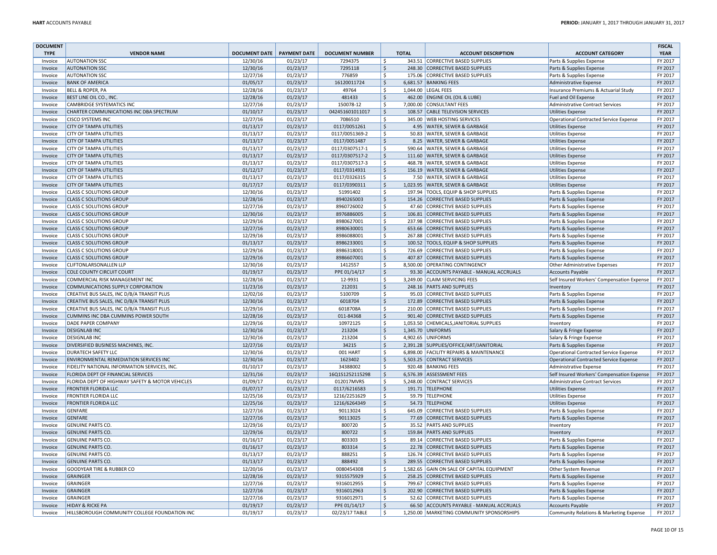| <b>TYPE</b><br><b>VENDOR NAME</b><br><b>DOCUMENT DATE</b><br><b>PAYMENT DATE</b><br><b>DOCUMENT NUMBER</b><br><b>TOTAL</b><br><b>ACCOUNT DESCRIPTION</b><br><b>ACCOUNT CATEGORY</b><br><b>YEAR</b><br>343.51 CORRECTIVE BASED SUPPLIES<br>FY 2017<br><b>AUTONATION SSC</b><br>12/30/16<br>01/23/17<br>7294375<br>\$<br>Parts & Supplies Expense<br>Invoice<br><b>AUTONATION SSC</b><br>12/30/16<br>01/23/17<br>7295118<br>$\zeta$<br>FY 2017<br>Invoice<br>248.30 CORRECTIVE BASED SUPPLIES<br>Parts & Supplies Expense<br>$\mathsf{S}$<br>12/27/16<br>01/23/17<br>FY 2017<br>Invoice<br><b>AUTONATION SSC</b><br>776859<br>175.06 CORRECTIVE BASED SUPPLIES<br>Parts & Supplies Expense<br>01/05/17<br>01/23/17<br>16120011724<br>$\zeta$<br>6,681.57 BANKING FEES<br>FY 2017<br><b>BANK OF AMERICA</b><br>Invoice<br>Administrative Expense<br>12/28/16<br>01/23/17<br>\$<br>1,044.00 LEGAL FEES<br>FY 2017<br>Invoice<br><b>BELL &amp; ROPER, PA</b><br>49764<br>Insurance Premiums & Actuarial Study<br>FY 2017<br>12/28/16<br>01/23/17<br>481433<br>$\zeta$<br>462.00 ENGINE OIL (OIL & LUBE)<br>BEST LINE OIL CO., INC.<br>Invoice<br>Fuel and Oil Expense<br>12/27/16<br>01/23/17<br>150078-12<br>\$<br>7,000.00 CONSULTANT FEES<br>FY 2017<br>Invoice<br>CAMBRIDGE SYSTEMATICS INC<br><b>Administrative Contract Services</b><br>CHARTER COMMUNICATIONS INC DBA SPECTRUM<br>01/10/17<br>01/23/17<br>042451601011017<br>$\zeta$<br>108.57 CABLE TELEVISION SERVICES<br>FY 2017<br>Invoice<br><b>Utilities Expense</b><br>12/27/16<br>01/23/17<br>7086510<br>\$<br>345.00 WEB HOSTING SERVICES<br>FY 2017<br><b>CISCO SYSTEMS INC</b><br><b>Operational Contracted Service Expense</b><br>Invoice<br>$\zeta$<br><b>CITY OF TAMPA UTILITIES</b><br>01/13/17<br>01/23/17<br>0117/0051261<br>4.95 WATER, SEWER & GARBAGE<br>FY 2017<br>Invoice<br><b>Utilities Expense</b><br>01/13/17<br>01/23/17<br>0117/0051369-2<br>\$<br>FY 2017<br><b>CITY OF TAMPA UTILITIES</b><br>50.83 WATER, SEWER & GARBAGE<br>Invoice<br><b>Utilities Expense</b><br><b>CITY OF TAMPA UTILITIES</b><br>01/13/17<br>01/23/17<br>0117/0051487<br>$\zeta$<br>8.25 WATER, SEWER & GARBAGE<br>FY 2017<br>Invoice<br><b>Utilities Expense</b><br>01/13/17<br>01/23/17<br>0117/0307517-1<br><b>S</b><br>FY 2017<br><b>CITY OF TAMPA UTILITIES</b><br>590.64 WATER, SEWER & GARBAGE<br>Invoice<br><b>Utilities Expense</b><br>01/13/17<br>$\zeta$<br>FY 2017<br><b>CITY OF TAMPA UTILITIES</b><br>01/23/17<br>0117/0307517-2<br>111.60 WATER, SEWER & GARBAGE<br>Invoice<br><b>Utilities Expense</b><br><b>CITY OF TAMPA UTILITIES</b><br>01/13/17<br>01/23/17<br>0117/0307517-3<br>\$<br>468.78 WATER, SEWER & GARBAGE<br>FY 2017<br>Invoice<br><b>Utilities Expense</b><br>01/12/17<br>$\zeta$<br>FY 2017<br><b>CITY OF TAMPA UTILITIES</b><br>01/23/17<br>0117/0314931<br>156.19 WATER, SEWER & GARBAGE<br>Invoice<br><b>Utilities Expense</b><br>01/13/17<br><b>CITY OF TAMPA UTILITIES</b><br>01/23/17<br>0117/0326315<br>\$<br>7.50 WATER, SEWER & GARBAGE<br>FY 2017<br>Invoice<br><b>Utilities Expense</b><br>01/17/17<br>01/23/17<br>0117/0390311<br>$\zeta$<br>FY 2017<br>Invoice<br><b>CITY OF TAMPA UTILITIES</b><br>1,023.95 WATER, SEWER & GARBAGE<br><b>Utilities Expense</b><br>01/23/17<br>$\dot{\mathsf{s}}$<br>FY 2017<br><b>CLASS C SOLUTIONS GROUP</b><br>12/30/16<br>51991402<br>197.94 TOOLS, EQUIP & SHOP SUPPLIES<br>Parts & Supplies Expense<br>Invoice<br>12/28/16<br>01/23/17<br>$\zeta$<br>154.26 CORRECTIVE BASED SUPPLIES<br>FY 2017<br>Invoice<br><b>CLASS C SOLUTIONS GROUP</b><br>8940265003<br>Parts & Supplies Expense<br>12/27/16<br>$\mathsf{\hat{S}}$<br>FY 2017<br><b>CLASS C SOLUTIONS GROUP</b><br>01/23/17<br>8960726002<br>47.60 CORRECTIVE BASED SUPPLIES<br>Invoice<br>Parts & Supplies Expense<br>12/30/16<br>$\zeta$<br>FY 2017<br><b>CLASS C SOLUTIONS GROUP</b><br>01/23/17<br>8976886005<br>106.81 CORRECTIVE BASED SUPPLIES<br>Parts & Supplies Expense<br>Invoice<br>$\mathsf{\hat{S}}$<br><b>CLASS C SOLUTIONS GROUP</b><br>12/29/16<br>01/23/17<br>8980627001<br>237.98 CORRECTIVE BASED SUPPLIES<br>FY 2017<br>Invoice<br>Parts & Supplies Expense<br>12/27/16<br>$\zeta$<br>FY 2017<br><b>CLASS C SOLUTIONS GROUP</b><br>01/23/17<br>653.66 CORRECTIVE BASED SUPPLIES<br>Invoice<br>8980630001<br>Parts & Supplies Expense<br>12/29/16<br>01/23/17<br>\$<br>267.88 CORRECTIVE BASED SUPPLIES<br>FY 2017<br>Invoice<br><b>CLASS C SOLUTIONS GROUP</b><br>8986088001<br>Parts & Supplies Expense<br>01/13/17<br>01/23/17<br>$\zeta$<br>FY 2017<br><b>CLASS C SOLUTIONS GROUP</b><br>100.52 TOOLS, EQUIP & SHOP SUPPLIES<br>Invoice<br>8986233001<br>Parts & Supplies Expense<br><b>CLASS C SOLUTIONS GROUP</b><br>12/29/16<br>01/23/17<br>8986318001<br>\$<br>726.69 CORRECTIVE BASED SUPPLIES<br>FY 2017<br>Invoice<br>Parts & Supplies Expense<br><b>CLASS C SOLUTIONS GROUP</b><br>12/29/16<br>01/23/17<br>8986607001<br>$\zeta$<br>407.87 CORRECTIVE BASED SUPPLIES<br>FY 2017<br>Invoice<br>Parts & Supplies Expense<br>12/30/16<br>01/23/17<br>$\dot{\mathsf{s}}$<br>FY 2017<br>CLIFTONLARSONALLEN LLP<br>1412557<br>8,500.00 OPERATING CONTINGENCY<br>Invoice<br>Other Administrative Expenses<br>01/19/17<br>01/23/17<br>$\boldsymbol{\mathsf{S}}$<br>FY 2017<br>Invoice<br><b>COLE COUNTY CIRCUIT COURT</b><br>PPE 01/14/17<br>93.30 ACCOUNTS PAYABLE - MANUAL ACCRUALS<br><b>Accounts Payable</b><br>12/28/16<br>01/23/17<br>S.<br>3,249.00 CLAIM SERVICING FEES<br>FY 2017<br>Invoice<br>COMMERCIAL RISK MANAGEMENT INC<br>12-9931<br>Self Insured Workers' Compensation Expense<br>FY 2017<br>COMMUNICATIONS SUPPLY CORPORATION<br>11/23/16<br>01/23/17<br>212031<br>$\zeta$<br>248.16 PARTS AND SUPPLIES<br>Invoice<br>Inventory<br>FY 2017<br>CREATIVE BUS SALES, INC D/B/A TRANSIT PLUS<br>12/02/16<br>01/23/17<br>5100709<br>\$<br>95.03 CORRECTIVE BASED SUPPLIES<br>Invoice<br>Parts & Supplies Expense<br>12/30/16<br>6018704<br>$\boldsymbol{\mathsf{S}}$<br>FY 2017<br>CREATIVE BUS SALES, INC D/B/A TRANSIT PLUS<br>01/23/17<br>172.89 CORRECTIVE BASED SUPPLIES<br>Invoice<br>Parts & Supplies Expense<br>12/29/16<br>01/23/17<br>$\mathsf{S}$<br>FY 2017<br>Invoice<br>CREATIVE BUS SALES, INC D/B/A TRANSIT PLUS<br>6018708A<br>210.00 CORRECTIVE BASED SUPPLIES<br>Parts & Supplies Expense<br>12/28/16<br>01/23/17<br>011-84368<br>$\zeta$<br>FY 2017<br>CUMMINS INC DBA CUMMINS POWER SOUTH<br>901.40 CORRECTIVE BASED SUPPLIES<br>Invoice<br>Parts & Supplies Expense<br>12/29/16<br>01/23/17<br>\$<br>FY 2017<br>DADE PAPER COMPANY<br>10972125<br>1,053.50 CHEMICALS, JANITORIAL SUPPLIES<br>Invoice<br>Inventory<br>12/30/16<br>$\zeta$<br>FY 2017<br><b>DESIGNLAB INC</b><br>01/23/17<br>213204<br>1,345.70 UNIFORMS<br>Salary & Fringe Expense<br>Invoice<br>12/30/16<br>01/23/17<br><b>S</b><br>4,902.65 UNIFORMS<br>FY 2017<br><b>DESIGNLAB INC</b><br>213204<br>Invoice<br>Salary & Fringe Expense<br>DIVERSIFIED BUSINESS MACHINES, INC.<br>12/27/16<br>01/23/17<br>34215<br>$\zeta$<br>2,391.28 SUPPLIES/OFFICE/ART/JANITORIAL<br>FY 2017<br>Invoice<br>Parts & Supplies Expense<br>12/30/16<br>FY 2017<br><b>DURATECH SAFETY LLC</b><br>01/23/17<br>001 HART<br>\$<br>6,898.00 FACILITY REPAIRS & MAINTENANCE<br>Invoice<br><b>Operational Contracted Service Expense</b><br>ENVIRONMENTAL REMEDIATION SERVICES INC<br>12/30/16<br>01/23/17<br>1623402<br>$\zeta$<br>5,503.25 CONTRACT SERVICES<br>FY 2017<br><b>Operational Contracted Service Expense</b><br>Invoice<br>$\overline{\xi}$<br>01/10/17<br>01/23/17<br>FY 2017<br>FIDELITY NATIONAL INFORMATION SERVICES, INC.<br>34388002<br>920.48 BANKING FEES<br>Invoice<br><b>Administrative Expense</b><br>12/31/16<br>01/23/17<br>16Q1S1252115298<br>$\zeta$<br>FY 2017<br>FLORIDA DEPT OF FINANCIAL SERVICES<br>6,576.39 ASSESSMENT FEES<br>Invoice<br>Self Insured Workers' Compensation Expense<br>01/09/17<br>01/23/17<br>012017MVRS<br>5,248.00 CONTRACT SERVICES<br>FY 2017<br>Invoice<br>FLORIDA DEPT OF HIGHWAY SAFETY & MOTOR VEHICLES<br>\$<br><b>Administrative Contract Services</b><br>FY 2017<br>01/07/17<br>01/23/17<br>0117/6216583<br>$\zeta$<br>191.71 TELEPHONE<br>Invoice<br><b>FRONTIER FLORIDA LLC</b><br><b>Utilities Expense</b><br><b>FRONTIER FLORIDA LLC</b><br>12/25/16<br>01/23/17<br>1216/2251629<br>\$<br>59.79 TELEPHONE<br>FY 2017<br>Invoice<br><b>Utilities Expense</b><br><b>FRONTIER FLORIDA LLC</b><br>12/25/16<br>01/23/17<br>1216/6264349<br>$\zeta$<br>54.73 TELEPHONE<br>FY 2017<br>Invoice<br><b>Utilities Expense</b><br>$\mathsf{S}$<br>FY 2017<br>12/27/16<br>01/23/17<br>90113024<br><b>GENFARE</b><br>645.09 CORRECTIVE BASED SUPPLIES<br>Invoice<br>Parts & Supplies Expense<br>12/27/16<br>01/23/17<br>$\zeta$<br>FY 2017<br>Invoice<br><b>GENFARE</b><br>90113025<br>77.69 CORRECTIVE BASED SUPPLIES<br>Parts & Supplies Expense<br>12/29/16<br>01/23/17<br>35.52 PARTS AND SUPPLIES<br>FY 2017<br>Invoice<br><b>GENUINE PARTS CO</b><br>800720<br>\$<br>Inventory<br><b>GENUINE PARTS CO</b><br>12/29/16<br>01/23/17<br>800722<br>$\zeta$<br>159.84 PARTS AND SUPPLIES<br>FY 2017<br>Invoice<br>Inventory<br><b>GENUINE PARTS CO</b><br>01/16/17<br>01/23/17<br>803303<br>\$<br>89.14 CORRECTIVE BASED SUPPLIES<br>FY 2017<br>Invoice<br>Parts & Supplies Expense<br>FY 2017<br><b>GENUINE PARTS CO.</b><br>01/16/17<br>01/23/17<br>803314<br>$\zeta$<br>22.78 CORRECTIVE BASED SUPPLIES<br>Invoice<br>Parts & Supplies Expense<br>$\mathsf{\hat{S}}$<br><b>GENUINE PARTS CO</b><br>01/13/17<br>01/23/17<br>888251<br>126.74 CORRECTIVE BASED SUPPLIES<br>FY 2017<br>Invoice<br>Parts & Supplies Expense<br>$\zeta$<br>01/13/17<br>01/23/17<br>888492<br>FY 2017<br>Invoice<br><b>GENUINE PARTS CO</b><br>289.55 CORRECTIVE BASED SUPPLIES<br>Parts & Supplies Expense<br>12/20/16<br>01/23/17<br>\$<br>FY 2017<br>GOODYEAR TIRE & RUBBER CO<br>0080454308<br>1,582.65 GAIN ON SALE OF CAPITAL EQUIPMENT<br>Invoice<br>Other System Revenue<br>12/28/16<br>01/23/17<br>9315575929<br>$\zeta$<br>258.25 CORRECTIVE BASED SUPPLIES<br>FY 2017<br>Invoice<br><b>GRAINGER</b><br>Parts & Supplies Expense<br>12/27/16<br>01/23/17<br><b>S</b><br>FY 2017<br><b>GRAINGER</b><br>9316012955<br>799.67 CORRECTIVE BASED SUPPLIES<br>Invoice<br>Parts & Supplies Expense<br><b>GRAINGER</b><br>12/27/16<br>01/23/17<br>9316012963<br>$\zeta$<br>202.90 CORRECTIVE BASED SUPPLIES<br>FY 2017<br>Invoice<br>Parts & Supplies Expense<br>12/27/16<br>FY 2017<br><b>GRAINGER</b><br>01/23/17<br>9316012971<br>\$<br>52.62 CORRECTIVE BASED SUPPLIES<br>Parts & Supplies Expense<br>Invoice<br>01/19/17<br>$\zeta$<br>FY 2017<br><b>HIDAY &amp; RICKE PA</b><br>01/23/17<br>PPE 01/14/17<br>66.50 ACCOUNTS PAYABLE - MANUAL ACCRUALS<br><b>Accounts Payable</b><br>Invoice<br>1,250.00 MARKETING COMMUNITY SPONSORSHIPS | <b>DOCUMENT</b> |                                               |          |          |                |    |                                         | <b>FISCAL</b> |
|---------------------------------------------------------------------------------------------------------------------------------------------------------------------------------------------------------------------------------------------------------------------------------------------------------------------------------------------------------------------------------------------------------------------------------------------------------------------------------------------------------------------------------------------------------------------------------------------------------------------------------------------------------------------------------------------------------------------------------------------------------------------------------------------------------------------------------------------------------------------------------------------------------------------------------------------------------------------------------------------------------------------------------------------------------------------------------------------------------------------------------------------------------------------------------------------------------------------------------------------------------------------------------------------------------------------------------------------------------------------------------------------------------------------------------------------------------------------------------------------------------------------------------------------------------------------------------------------------------------------------------------------------------------------------------------------------------------------------------------------------------------------------------------------------------------------------------------------------------------------------------------------------------------------------------------------------------------------------------------------------------------------------------------------------------------------------------------------------------------------------------------------------------------------------------------------------------------------------------------------------------------------------------------------------------------------------------------------------------------------------------------------------------------------------------------------------------------------------------------------------------------------------------------------------------------------------------------------------------------------------------------------------------------------------------------------------------------------------------------------------------------------------------------------------------------------------------------------------------------------------------------------------------------------------------------------------------------------------------------------------------------------------------------------------------------------------------------------------------------------------------------------------------------------------------------------------------------------------------------------------------------------------------------------------------------------------------------------------------------------------------------------------------------------------------------------------------------------------------------------------------------------------------------------------------------------------------------------------------------------------------------------------------------------------------------------------------------------------------------------------------------------------------------------------------------------------------------------------------------------------------------------------------------------------------------------------------------------------------------------------------------------------------------------------------------------------------------------------------------------------------------------------------------------------------------------------------------------------------------------------------------------------------------------------------------------------------------------------------------------------------------------------------------------------------------------------------------------------------------------------------------------------------------------------------------------------------------------------------------------------------------------------------------------------------------------------------------------------------------------------------------------------------------------------------------------------------------------------------------------------------------------------------------------------------------------------------------------------------------------------------------------------------------------------------------------------------------------------------------------------------------------------------------------------------------------------------------------------------------------------------------------------------------------------------------------------------------------------------------------------------------------------------------------------------------------------------------------------------------------------------------------------------------------------------------------------------------------------------------------------------------------------------------------------------------------------------------------------------------------------------------------------------------------------------------------------------------------------------------------------------------------------------------------------------------------------------------------------------------------------------------------------------------------------------------------------------------------------------------------------------------------------------------------------------------------------------------------------------------------------------------------------------------------------------------------------------------------------------------------------------------------------------------------------------------------------------------------------------------------------------------------------------------------------------------------------------------------------------------------------------------------------------------------------------------------------------------------------------------------------------------------------------------------------------------------------------------------------------------------------------------------------------------------------------------------------------------------------------------------------------------------------------------------------------------------------------------------------------------------------------------------------------------------------------------------------------------------------------------------------------------------------------------------------------------------------------------------------------------------------------------------------------------------------------------------------------------------------------------------------------------------------------------------------------------------------------------------------------------------------------------------------------------------------------------------------------------------------------------------------------------------------------------------------------------------------------------------------------------------------------------------------------------------------------------------------------------------------------------------------------------------------------------------------------------------------------------------------------------------------------------------------------------------------------------------------------------------------------------------------------------------------------------------------------------------------------------------------------------------------------------------------------------------------------------------------------------------------------------------------------------------------------------------------------------------------------------------------------------------------------------------------------------------------------------------------------------------------------------------------------------------------------------------------------------------------------------------------------------------------------------------------------------------------------------------------------------------------------------------------------------------------------------------------------------------------------------------------------------------------------------------------------------------------------------------------------------------------------------------------------------------------------------------------------------------------------------------------------------------------------------------------------------------------------------------------------------------------------------------------------------------------------------------------------------------------------------------------------------------------------------------------------------------------------------------------------------------------------------------------------------------------------------------------------------------------------------------------------------------------------------------------------------------------------------------------------------------------------------------------------------------------------------------------------------------------------------------------------------------------------------------------------------------------------------------------------------------------------------------------------------------------------------------------------------------------------------------------------------------------------------------------------------------------------------------------------------------------------------------------------------------------------------------------------------------------------------------------------------------------------------------------------------------------------------------------------------------------------------------------------------------------------------------------------------------------------------------------------------------------------------------|-----------------|-----------------------------------------------|----------|----------|----------------|----|-----------------------------------------|---------------|
|                                                                                                                                                                                                                                                                                                                                                                                                                                                                                                                                                                                                                                                                                                                                                                                                                                                                                                                                                                                                                                                                                                                                                                                                                                                                                                                                                                                                                                                                                                                                                                                                                                                                                                                                                                                                                                                                                                                                                                                                                                                                                                                                                                                                                                                                                                                                                                                                                                                                                                                                                                                                                                                                                                                                                                                                                                                                                                                                                                                                                                                                                                                                                                                                                                                                                                                                                                                                                                                                                                                                                                                                                                                                                                                                                                                                                                                                                                                                                                                                                                                                                                                                                                                                                                                                                                                                                                                                                                                                                                                                                                                                                                                                                                                                                                                                                                                                                                                                                                                                                                                                                                                                                                                                                                                                                                                                                                                                                                                                                                                                                                                                                                                                                                                                                                                                                                                                                                                                                                                                                                                                                                                                                                                                                                                                                                                                                                                                                                                                                                                                                                                                                                                                                                                                                                                                                                                                                                                                                                                                                                                                                                                                                                                                                                                                                                                                                                                                                                                                                                                                                                                                                                                                                                                                                                                                                                                                                                                                                                                                                                                                                                                                                                                                                                                                                                                                                                                                                                                                                                                                                                                                                                                                                                                                                                                                                                                                                                                                                                                                                                                                                                                                                                                                                                                                                                                                                                                                                                                                                                                                                                                                                                                                                                                                                                                                                                                                                                                                                                                                                                                                                                                                                                                                                                                                                                                                                                                                                                                                                                                                                                                                                                                                                                                                                                                                                                                                                             |                 |                                               |          |          |                |    |                                         |               |
|                                                                                                                                                                                                                                                                                                                                                                                                                                                                                                                                                                                                                                                                                                                                                                                                                                                                                                                                                                                                                                                                                                                                                                                                                                                                                                                                                                                                                                                                                                                                                                                                                                                                                                                                                                                                                                                                                                                                                                                                                                                                                                                                                                                                                                                                                                                                                                                                                                                                                                                                                                                                                                                                                                                                                                                                                                                                                                                                                                                                                                                                                                                                                                                                                                                                                                                                                                                                                                                                                                                                                                                                                                                                                                                                                                                                                                                                                                                                                                                                                                                                                                                                                                                                                                                                                                                                                                                                                                                                                                                                                                                                                                                                                                                                                                                                                                                                                                                                                                                                                                                                                                                                                                                                                                                                                                                                                                                                                                                                                                                                                                                                                                                                                                                                                                                                                                                                                                                                                                                                                                                                                                                                                                                                                                                                                                                                                                                                                                                                                                                                                                                                                                                                                                                                                                                                                                                                                                                                                                                                                                                                                                                                                                                                                                                                                                                                                                                                                                                                                                                                                                                                                                                                                                                                                                                                                                                                                                                                                                                                                                                                                                                                                                                                                                                                                                                                                                                                                                                                                                                                                                                                                                                                                                                                                                                                                                                                                                                                                                                                                                                                                                                                                                                                                                                                                                                                                                                                                                                                                                                                                                                                                                                                                                                                                                                                                                                                                                                                                                                                                                                                                                                                                                                                                                                                                                                                                                                                                                                                                                                                                                                                                                                                                                                                                                                                                                                                                             |                 |                                               |          |          |                |    |                                         |               |
|                                                                                                                                                                                                                                                                                                                                                                                                                                                                                                                                                                                                                                                                                                                                                                                                                                                                                                                                                                                                                                                                                                                                                                                                                                                                                                                                                                                                                                                                                                                                                                                                                                                                                                                                                                                                                                                                                                                                                                                                                                                                                                                                                                                                                                                                                                                                                                                                                                                                                                                                                                                                                                                                                                                                                                                                                                                                                                                                                                                                                                                                                                                                                                                                                                                                                                                                                                                                                                                                                                                                                                                                                                                                                                                                                                                                                                                                                                                                                                                                                                                                                                                                                                                                                                                                                                                                                                                                                                                                                                                                                                                                                                                                                                                                                                                                                                                                                                                                                                                                                                                                                                                                                                                                                                                                                                                                                                                                                                                                                                                                                                                                                                                                                                                                                                                                                                                                                                                                                                                                                                                                                                                                                                                                                                                                                                                                                                                                                                                                                                                                                                                                                                                                                                                                                                                                                                                                                                                                                                                                                                                                                                                                                                                                                                                                                                                                                                                                                                                                                                                                                                                                                                                                                                                                                                                                                                                                                                                                                                                                                                                                                                                                                                                                                                                                                                                                                                                                                                                                                                                                                                                                                                                                                                                                                                                                                                                                                                                                                                                                                                                                                                                                                                                                                                                                                                                                                                                                                                                                                                                                                                                                                                                                                                                                                                                                                                                                                                                                                                                                                                                                                                                                                                                                                                                                                                                                                                                                                                                                                                                                                                                                                                                                                                                                                                                                                                                                                             |                 |                                               |          |          |                |    |                                         |               |
|                                                                                                                                                                                                                                                                                                                                                                                                                                                                                                                                                                                                                                                                                                                                                                                                                                                                                                                                                                                                                                                                                                                                                                                                                                                                                                                                                                                                                                                                                                                                                                                                                                                                                                                                                                                                                                                                                                                                                                                                                                                                                                                                                                                                                                                                                                                                                                                                                                                                                                                                                                                                                                                                                                                                                                                                                                                                                                                                                                                                                                                                                                                                                                                                                                                                                                                                                                                                                                                                                                                                                                                                                                                                                                                                                                                                                                                                                                                                                                                                                                                                                                                                                                                                                                                                                                                                                                                                                                                                                                                                                                                                                                                                                                                                                                                                                                                                                                                                                                                                                                                                                                                                                                                                                                                                                                                                                                                                                                                                                                                                                                                                                                                                                                                                                                                                                                                                                                                                                                                                                                                                                                                                                                                                                                                                                                                                                                                                                                                                                                                                                                                                                                                                                                                                                                                                                                                                                                                                                                                                                                                                                                                                                                                                                                                                                                                                                                                                                                                                                                                                                                                                                                                                                                                                                                                                                                                                                                                                                                                                                                                                                                                                                                                                                                                                                                                                                                                                                                                                                                                                                                                                                                                                                                                                                                                                                                                                                                                                                                                                                                                                                                                                                                                                                                                                                                                                                                                                                                                                                                                                                                                                                                                                                                                                                                                                                                                                                                                                                                                                                                                                                                                                                                                                                                                                                                                                                                                                                                                                                                                                                                                                                                                                                                                                                                                                                                                                                             |                 |                                               |          |          |                |    |                                         |               |
|                                                                                                                                                                                                                                                                                                                                                                                                                                                                                                                                                                                                                                                                                                                                                                                                                                                                                                                                                                                                                                                                                                                                                                                                                                                                                                                                                                                                                                                                                                                                                                                                                                                                                                                                                                                                                                                                                                                                                                                                                                                                                                                                                                                                                                                                                                                                                                                                                                                                                                                                                                                                                                                                                                                                                                                                                                                                                                                                                                                                                                                                                                                                                                                                                                                                                                                                                                                                                                                                                                                                                                                                                                                                                                                                                                                                                                                                                                                                                                                                                                                                                                                                                                                                                                                                                                                                                                                                                                                                                                                                                                                                                                                                                                                                                                                                                                                                                                                                                                                                                                                                                                                                                                                                                                                                                                                                                                                                                                                                                                                                                                                                                                                                                                                                                                                                                                                                                                                                                                                                                                                                                                                                                                                                                                                                                                                                                                                                                                                                                                                                                                                                                                                                                                                                                                                                                                                                                                                                                                                                                                                                                                                                                                                                                                                                                                                                                                                                                                                                                                                                                                                                                                                                                                                                                                                                                                                                                                                                                                                                                                                                                                                                                                                                                                                                                                                                                                                                                                                                                                                                                                                                                                                                                                                                                                                                                                                                                                                                                                                                                                                                                                                                                                                                                                                                                                                                                                                                                                                                                                                                                                                                                                                                                                                                                                                                                                                                                                                                                                                                                                                                                                                                                                                                                                                                                                                                                                                                                                                                                                                                                                                                                                                                                                                                                                                                                                                                                             |                 |                                               |          |          |                |    |                                         |               |
|                                                                                                                                                                                                                                                                                                                                                                                                                                                                                                                                                                                                                                                                                                                                                                                                                                                                                                                                                                                                                                                                                                                                                                                                                                                                                                                                                                                                                                                                                                                                                                                                                                                                                                                                                                                                                                                                                                                                                                                                                                                                                                                                                                                                                                                                                                                                                                                                                                                                                                                                                                                                                                                                                                                                                                                                                                                                                                                                                                                                                                                                                                                                                                                                                                                                                                                                                                                                                                                                                                                                                                                                                                                                                                                                                                                                                                                                                                                                                                                                                                                                                                                                                                                                                                                                                                                                                                                                                                                                                                                                                                                                                                                                                                                                                                                                                                                                                                                                                                                                                                                                                                                                                                                                                                                                                                                                                                                                                                                                                                                                                                                                                                                                                                                                                                                                                                                                                                                                                                                                                                                                                                                                                                                                                                                                                                                                                                                                                                                                                                                                                                                                                                                                                                                                                                                                                                                                                                                                                                                                                                                                                                                                                                                                                                                                                                                                                                                                                                                                                                                                                                                                                                                                                                                                                                                                                                                                                                                                                                                                                                                                                                                                                                                                                                                                                                                                                                                                                                                                                                                                                                                                                                                                                                                                                                                                                                                                                                                                                                                                                                                                                                                                                                                                                                                                                                                                                                                                                                                                                                                                                                                                                                                                                                                                                                                                                                                                                                                                                                                                                                                                                                                                                                                                                                                                                                                                                                                                                                                                                                                                                                                                                                                                                                                                                                                                                                                                                             |                 |                                               |          |          |                |    |                                         |               |
|                                                                                                                                                                                                                                                                                                                                                                                                                                                                                                                                                                                                                                                                                                                                                                                                                                                                                                                                                                                                                                                                                                                                                                                                                                                                                                                                                                                                                                                                                                                                                                                                                                                                                                                                                                                                                                                                                                                                                                                                                                                                                                                                                                                                                                                                                                                                                                                                                                                                                                                                                                                                                                                                                                                                                                                                                                                                                                                                                                                                                                                                                                                                                                                                                                                                                                                                                                                                                                                                                                                                                                                                                                                                                                                                                                                                                                                                                                                                                                                                                                                                                                                                                                                                                                                                                                                                                                                                                                                                                                                                                                                                                                                                                                                                                                                                                                                                                                                                                                                                                                                                                                                                                                                                                                                                                                                                                                                                                                                                                                                                                                                                                                                                                                                                                                                                                                                                                                                                                                                                                                                                                                                                                                                                                                                                                                                                                                                                                                                                                                                                                                                                                                                                                                                                                                                                                                                                                                                                                                                                                                                                                                                                                                                                                                                                                                                                                                                                                                                                                                                                                                                                                                                                                                                                                                                                                                                                                                                                                                                                                                                                                                                                                                                                                                                                                                                                                                                                                                                                                                                                                                                                                                                                                                                                                                                                                                                                                                                                                                                                                                                                                                                                                                                                                                                                                                                                                                                                                                                                                                                                                                                                                                                                                                                                                                                                                                                                                                                                                                                                                                                                                                                                                                                                                                                                                                                                                                                                                                                                                                                                                                                                                                                                                                                                                                                                                                                                                             |                 |                                               |          |          |                |    |                                         |               |
|                                                                                                                                                                                                                                                                                                                                                                                                                                                                                                                                                                                                                                                                                                                                                                                                                                                                                                                                                                                                                                                                                                                                                                                                                                                                                                                                                                                                                                                                                                                                                                                                                                                                                                                                                                                                                                                                                                                                                                                                                                                                                                                                                                                                                                                                                                                                                                                                                                                                                                                                                                                                                                                                                                                                                                                                                                                                                                                                                                                                                                                                                                                                                                                                                                                                                                                                                                                                                                                                                                                                                                                                                                                                                                                                                                                                                                                                                                                                                                                                                                                                                                                                                                                                                                                                                                                                                                                                                                                                                                                                                                                                                                                                                                                                                                                                                                                                                                                                                                                                                                                                                                                                                                                                                                                                                                                                                                                                                                                                                                                                                                                                                                                                                                                                                                                                                                                                                                                                                                                                                                                                                                                                                                                                                                                                                                                                                                                                                                                                                                                                                                                                                                                                                                                                                                                                                                                                                                                                                                                                                                                                                                                                                                                                                                                                                                                                                                                                                                                                                                                                                                                                                                                                                                                                                                                                                                                                                                                                                                                                                                                                                                                                                                                                                                                                                                                                                                                                                                                                                                                                                                                                                                                                                                                                                                                                                                                                                                                                                                                                                                                                                                                                                                                                                                                                                                                                                                                                                                                                                                                                                                                                                                                                                                                                                                                                                                                                                                                                                                                                                                                                                                                                                                                                                                                                                                                                                                                                                                                                                                                                                                                                                                                                                                                                                                                                                                                                                             |                 |                                               |          |          |                |    |                                         |               |
|                                                                                                                                                                                                                                                                                                                                                                                                                                                                                                                                                                                                                                                                                                                                                                                                                                                                                                                                                                                                                                                                                                                                                                                                                                                                                                                                                                                                                                                                                                                                                                                                                                                                                                                                                                                                                                                                                                                                                                                                                                                                                                                                                                                                                                                                                                                                                                                                                                                                                                                                                                                                                                                                                                                                                                                                                                                                                                                                                                                                                                                                                                                                                                                                                                                                                                                                                                                                                                                                                                                                                                                                                                                                                                                                                                                                                                                                                                                                                                                                                                                                                                                                                                                                                                                                                                                                                                                                                                                                                                                                                                                                                                                                                                                                                                                                                                                                                                                                                                                                                                                                                                                                                                                                                                                                                                                                                                                                                                                                                                                                                                                                                                                                                                                                                                                                                                                                                                                                                                                                                                                                                                                                                                                                                                                                                                                                                                                                                                                                                                                                                                                                                                                                                                                                                                                                                                                                                                                                                                                                                                                                                                                                                                                                                                                                                                                                                                                                                                                                                                                                                                                                                                                                                                                                                                                                                                                                                                                                                                                                                                                                                                                                                                                                                                                                                                                                                                                                                                                                                                                                                                                                                                                                                                                                                                                                                                                                                                                                                                                                                                                                                                                                                                                                                                                                                                                                                                                                                                                                                                                                                                                                                                                                                                                                                                                                                                                                                                                                                                                                                                                                                                                                                                                                                                                                                                                                                                                                                                                                                                                                                                                                                                                                                                                                                                                                                                                                                             |                 |                                               |          |          |                |    |                                         |               |
|                                                                                                                                                                                                                                                                                                                                                                                                                                                                                                                                                                                                                                                                                                                                                                                                                                                                                                                                                                                                                                                                                                                                                                                                                                                                                                                                                                                                                                                                                                                                                                                                                                                                                                                                                                                                                                                                                                                                                                                                                                                                                                                                                                                                                                                                                                                                                                                                                                                                                                                                                                                                                                                                                                                                                                                                                                                                                                                                                                                                                                                                                                                                                                                                                                                                                                                                                                                                                                                                                                                                                                                                                                                                                                                                                                                                                                                                                                                                                                                                                                                                                                                                                                                                                                                                                                                                                                                                                                                                                                                                                                                                                                                                                                                                                                                                                                                                                                                                                                                                                                                                                                                                                                                                                                                                                                                                                                                                                                                                                                                                                                                                                                                                                                                                                                                                                                                                                                                                                                                                                                                                                                                                                                                                                                                                                                                                                                                                                                                                                                                                                                                                                                                                                                                                                                                                                                                                                                                                                                                                                                                                                                                                                                                                                                                                                                                                                                                                                                                                                                                                                                                                                                                                                                                                                                                                                                                                                                                                                                                                                                                                                                                                                                                                                                                                                                                                                                                                                                                                                                                                                                                                                                                                                                                                                                                                                                                                                                                                                                                                                                                                                                                                                                                                                                                                                                                                                                                                                                                                                                                                                                                                                                                                                                                                                                                                                                                                                                                                                                                                                                                                                                                                                                                                                                                                                                                                                                                                                                                                                                                                                                                                                                                                                                                                                                                                                                                                                             |                 |                                               |          |          |                |    |                                         |               |
|                                                                                                                                                                                                                                                                                                                                                                                                                                                                                                                                                                                                                                                                                                                                                                                                                                                                                                                                                                                                                                                                                                                                                                                                                                                                                                                                                                                                                                                                                                                                                                                                                                                                                                                                                                                                                                                                                                                                                                                                                                                                                                                                                                                                                                                                                                                                                                                                                                                                                                                                                                                                                                                                                                                                                                                                                                                                                                                                                                                                                                                                                                                                                                                                                                                                                                                                                                                                                                                                                                                                                                                                                                                                                                                                                                                                                                                                                                                                                                                                                                                                                                                                                                                                                                                                                                                                                                                                                                                                                                                                                                                                                                                                                                                                                                                                                                                                                                                                                                                                                                                                                                                                                                                                                                                                                                                                                                                                                                                                                                                                                                                                                                                                                                                                                                                                                                                                                                                                                                                                                                                                                                                                                                                                                                                                                                                                                                                                                                                                                                                                                                                                                                                                                                                                                                                                                                                                                                                                                                                                                                                                                                                                                                                                                                                                                                                                                                                                                                                                                                                                                                                                                                                                                                                                                                                                                                                                                                                                                                                                                                                                                                                                                                                                                                                                                                                                                                                                                                                                                                                                                                                                                                                                                                                                                                                                                                                                                                                                                                                                                                                                                                                                                                                                                                                                                                                                                                                                                                                                                                                                                                                                                                                                                                                                                                                                                                                                                                                                                                                                                                                                                                                                                                                                                                                                                                                                                                                                                                                                                                                                                                                                                                                                                                                                                                                                                                                                                             |                 |                                               |          |          |                |    |                                         |               |
|                                                                                                                                                                                                                                                                                                                                                                                                                                                                                                                                                                                                                                                                                                                                                                                                                                                                                                                                                                                                                                                                                                                                                                                                                                                                                                                                                                                                                                                                                                                                                                                                                                                                                                                                                                                                                                                                                                                                                                                                                                                                                                                                                                                                                                                                                                                                                                                                                                                                                                                                                                                                                                                                                                                                                                                                                                                                                                                                                                                                                                                                                                                                                                                                                                                                                                                                                                                                                                                                                                                                                                                                                                                                                                                                                                                                                                                                                                                                                                                                                                                                                                                                                                                                                                                                                                                                                                                                                                                                                                                                                                                                                                                                                                                                                                                                                                                                                                                                                                                                                                                                                                                                                                                                                                                                                                                                                                                                                                                                                                                                                                                                                                                                                                                                                                                                                                                                                                                                                                                                                                                                                                                                                                                                                                                                                                                                                                                                                                                                                                                                                                                                                                                                                                                                                                                                                                                                                                                                                                                                                                                                                                                                                                                                                                                                                                                                                                                                                                                                                                                                                                                                                                                                                                                                                                                                                                                                                                                                                                                                                                                                                                                                                                                                                                                                                                                                                                                                                                                                                                                                                                                                                                                                                                                                                                                                                                                                                                                                                                                                                                                                                                                                                                                                                                                                                                                                                                                                                                                                                                                                                                                                                                                                                                                                                                                                                                                                                                                                                                                                                                                                                                                                                                                                                                                                                                                                                                                                                                                                                                                                                                                                                                                                                                                                                                                                                                                                                             |                 |                                               |          |          |                |    |                                         |               |
|                                                                                                                                                                                                                                                                                                                                                                                                                                                                                                                                                                                                                                                                                                                                                                                                                                                                                                                                                                                                                                                                                                                                                                                                                                                                                                                                                                                                                                                                                                                                                                                                                                                                                                                                                                                                                                                                                                                                                                                                                                                                                                                                                                                                                                                                                                                                                                                                                                                                                                                                                                                                                                                                                                                                                                                                                                                                                                                                                                                                                                                                                                                                                                                                                                                                                                                                                                                                                                                                                                                                                                                                                                                                                                                                                                                                                                                                                                                                                                                                                                                                                                                                                                                                                                                                                                                                                                                                                                                                                                                                                                                                                                                                                                                                                                                                                                                                                                                                                                                                                                                                                                                                                                                                                                                                                                                                                                                                                                                                                                                                                                                                                                                                                                                                                                                                                                                                                                                                                                                                                                                                                                                                                                                                                                                                                                                                                                                                                                                                                                                                                                                                                                                                                                                                                                                                                                                                                                                                                                                                                                                                                                                                                                                                                                                                                                                                                                                                                                                                                                                                                                                                                                                                                                                                                                                                                                                                                                                                                                                                                                                                                                                                                                                                                                                                                                                                                                                                                                                                                                                                                                                                                                                                                                                                                                                                                                                                                                                                                                                                                                                                                                                                                                                                                                                                                                                                                                                                                                                                                                                                                                                                                                                                                                                                                                                                                                                                                                                                                                                                                                                                                                                                                                                                                                                                                                                                                                                                                                                                                                                                                                                                                                                                                                                                                                                                                                                                                             |                 |                                               |          |          |                |    |                                         |               |
|                                                                                                                                                                                                                                                                                                                                                                                                                                                                                                                                                                                                                                                                                                                                                                                                                                                                                                                                                                                                                                                                                                                                                                                                                                                                                                                                                                                                                                                                                                                                                                                                                                                                                                                                                                                                                                                                                                                                                                                                                                                                                                                                                                                                                                                                                                                                                                                                                                                                                                                                                                                                                                                                                                                                                                                                                                                                                                                                                                                                                                                                                                                                                                                                                                                                                                                                                                                                                                                                                                                                                                                                                                                                                                                                                                                                                                                                                                                                                                                                                                                                                                                                                                                                                                                                                                                                                                                                                                                                                                                                                                                                                                                                                                                                                                                                                                                                                                                                                                                                                                                                                                                                                                                                                                                                                                                                                                                                                                                                                                                                                                                                                                                                                                                                                                                                                                                                                                                                                                                                                                                                                                                                                                                                                                                                                                                                                                                                                                                                                                                                                                                                                                                                                                                                                                                                                                                                                                                                                                                                                                                                                                                                                                                                                                                                                                                                                                                                                                                                                                                                                                                                                                                                                                                                                                                                                                                                                                                                                                                                                                                                                                                                                                                                                                                                                                                                                                                                                                                                                                                                                                                                                                                                                                                                                                                                                                                                                                                                                                                                                                                                                                                                                                                                                                                                                                                                                                                                                                                                                                                                                                                                                                                                                                                                                                                                                                                                                                                                                                                                                                                                                                                                                                                                                                                                                                                                                                                                                                                                                                                                                                                                                                                                                                                                                                                                                                                                                             |                 |                                               |          |          |                |    |                                         |               |
|                                                                                                                                                                                                                                                                                                                                                                                                                                                                                                                                                                                                                                                                                                                                                                                                                                                                                                                                                                                                                                                                                                                                                                                                                                                                                                                                                                                                                                                                                                                                                                                                                                                                                                                                                                                                                                                                                                                                                                                                                                                                                                                                                                                                                                                                                                                                                                                                                                                                                                                                                                                                                                                                                                                                                                                                                                                                                                                                                                                                                                                                                                                                                                                                                                                                                                                                                                                                                                                                                                                                                                                                                                                                                                                                                                                                                                                                                                                                                                                                                                                                                                                                                                                                                                                                                                                                                                                                                                                                                                                                                                                                                                                                                                                                                                                                                                                                                                                                                                                                                                                                                                                                                                                                                                                                                                                                                                                                                                                                                                                                                                                                                                                                                                                                                                                                                                                                                                                                                                                                                                                                                                                                                                                                                                                                                                                                                                                                                                                                                                                                                                                                                                                                                                                                                                                                                                                                                                                                                                                                                                                                                                                                                                                                                                                                                                                                                                                                                                                                                                                                                                                                                                                                                                                                                                                                                                                                                                                                                                                                                                                                                                                                                                                                                                                                                                                                                                                                                                                                                                                                                                                                                                                                                                                                                                                                                                                                                                                                                                                                                                                                                                                                                                                                                                                                                                                                                                                                                                                                                                                                                                                                                                                                                                                                                                                                                                                                                                                                                                                                                                                                                                                                                                                                                                                                                                                                                                                                                                                                                                                                                                                                                                                                                                                                                                                                                                                                                             |                 |                                               |          |          |                |    |                                         |               |
|                                                                                                                                                                                                                                                                                                                                                                                                                                                                                                                                                                                                                                                                                                                                                                                                                                                                                                                                                                                                                                                                                                                                                                                                                                                                                                                                                                                                                                                                                                                                                                                                                                                                                                                                                                                                                                                                                                                                                                                                                                                                                                                                                                                                                                                                                                                                                                                                                                                                                                                                                                                                                                                                                                                                                                                                                                                                                                                                                                                                                                                                                                                                                                                                                                                                                                                                                                                                                                                                                                                                                                                                                                                                                                                                                                                                                                                                                                                                                                                                                                                                                                                                                                                                                                                                                                                                                                                                                                                                                                                                                                                                                                                                                                                                                                                                                                                                                                                                                                                                                                                                                                                                                                                                                                                                                                                                                                                                                                                                                                                                                                                                                                                                                                                                                                                                                                                                                                                                                                                                                                                                                                                                                                                                                                                                                                                                                                                                                                                                                                                                                                                                                                                                                                                                                                                                                                                                                                                                                                                                                                                                                                                                                                                                                                                                                                                                                                                                                                                                                                                                                                                                                                                                                                                                                                                                                                                                                                                                                                                                                                                                                                                                                                                                                                                                                                                                                                                                                                                                                                                                                                                                                                                                                                                                                                                                                                                                                                                                                                                                                                                                                                                                                                                                                                                                                                                                                                                                                                                                                                                                                                                                                                                                                                                                                                                                                                                                                                                                                                                                                                                                                                                                                                                                                                                                                                                                                                                                                                                                                                                                                                                                                                                                                                                                                                                                                                                                                             |                 |                                               |          |          |                |    |                                         |               |
|                                                                                                                                                                                                                                                                                                                                                                                                                                                                                                                                                                                                                                                                                                                                                                                                                                                                                                                                                                                                                                                                                                                                                                                                                                                                                                                                                                                                                                                                                                                                                                                                                                                                                                                                                                                                                                                                                                                                                                                                                                                                                                                                                                                                                                                                                                                                                                                                                                                                                                                                                                                                                                                                                                                                                                                                                                                                                                                                                                                                                                                                                                                                                                                                                                                                                                                                                                                                                                                                                                                                                                                                                                                                                                                                                                                                                                                                                                                                                                                                                                                                                                                                                                                                                                                                                                                                                                                                                                                                                                                                                                                                                                                                                                                                                                                                                                                                                                                                                                                                                                                                                                                                                                                                                                                                                                                                                                                                                                                                                                                                                                                                                                                                                                                                                                                                                                                                                                                                                                                                                                                                                                                                                                                                                                                                                                                                                                                                                                                                                                                                                                                                                                                                                                                                                                                                                                                                                                                                                                                                                                                                                                                                                                                                                                                                                                                                                                                                                                                                                                                                                                                                                                                                                                                                                                                                                                                                                                                                                                                                                                                                                                                                                                                                                                                                                                                                                                                                                                                                                                                                                                                                                                                                                                                                                                                                                                                                                                                                                                                                                                                                                                                                                                                                                                                                                                                                                                                                                                                                                                                                                                                                                                                                                                                                                                                                                                                                                                                                                                                                                                                                                                                                                                                                                                                                                                                                                                                                                                                                                                                                                                                                                                                                                                                                                                                                                                                                                             |                 |                                               |          |          |                |    |                                         |               |
|                                                                                                                                                                                                                                                                                                                                                                                                                                                                                                                                                                                                                                                                                                                                                                                                                                                                                                                                                                                                                                                                                                                                                                                                                                                                                                                                                                                                                                                                                                                                                                                                                                                                                                                                                                                                                                                                                                                                                                                                                                                                                                                                                                                                                                                                                                                                                                                                                                                                                                                                                                                                                                                                                                                                                                                                                                                                                                                                                                                                                                                                                                                                                                                                                                                                                                                                                                                                                                                                                                                                                                                                                                                                                                                                                                                                                                                                                                                                                                                                                                                                                                                                                                                                                                                                                                                                                                                                                                                                                                                                                                                                                                                                                                                                                                                                                                                                                                                                                                                                                                                                                                                                                                                                                                                                                                                                                                                                                                                                                                                                                                                                                                                                                                                                                                                                                                                                                                                                                                                                                                                                                                                                                                                                                                                                                                                                                                                                                                                                                                                                                                                                                                                                                                                                                                                                                                                                                                                                                                                                                                                                                                                                                                                                                                                                                                                                                                                                                                                                                                                                                                                                                                                                                                                                                                                                                                                                                                                                                                                                                                                                                                                                                                                                                                                                                                                                                                                                                                                                                                                                                                                                                                                                                                                                                                                                                                                                                                                                                                                                                                                                                                                                                                                                                                                                                                                                                                                                                                                                                                                                                                                                                                                                                                                                                                                                                                                                                                                                                                                                                                                                                                                                                                                                                                                                                                                                                                                                                                                                                                                                                                                                                                                                                                                                                                                                                                                                                             |                 |                                               |          |          |                |    |                                         |               |
|                                                                                                                                                                                                                                                                                                                                                                                                                                                                                                                                                                                                                                                                                                                                                                                                                                                                                                                                                                                                                                                                                                                                                                                                                                                                                                                                                                                                                                                                                                                                                                                                                                                                                                                                                                                                                                                                                                                                                                                                                                                                                                                                                                                                                                                                                                                                                                                                                                                                                                                                                                                                                                                                                                                                                                                                                                                                                                                                                                                                                                                                                                                                                                                                                                                                                                                                                                                                                                                                                                                                                                                                                                                                                                                                                                                                                                                                                                                                                                                                                                                                                                                                                                                                                                                                                                                                                                                                                                                                                                                                                                                                                                                                                                                                                                                                                                                                                                                                                                                                                                                                                                                                                                                                                                                                                                                                                                                                                                                                                                                                                                                                                                                                                                                                                                                                                                                                                                                                                                                                                                                                                                                                                                                                                                                                                                                                                                                                                                                                                                                                                                                                                                                                                                                                                                                                                                                                                                                                                                                                                                                                                                                                                                                                                                                                                                                                                                                                                                                                                                                                                                                                                                                                                                                                                                                                                                                                                                                                                                                                                                                                                                                                                                                                                                                                                                                                                                                                                                                                                                                                                                                                                                                                                                                                                                                                                                                                                                                                                                                                                                                                                                                                                                                                                                                                                                                                                                                                                                                                                                                                                                                                                                                                                                                                                                                                                                                                                                                                                                                                                                                                                                                                                                                                                                                                                                                                                                                                                                                                                                                                                                                                                                                                                                                                                                                                                                                                                             |                 |                                               |          |          |                |    |                                         |               |
|                                                                                                                                                                                                                                                                                                                                                                                                                                                                                                                                                                                                                                                                                                                                                                                                                                                                                                                                                                                                                                                                                                                                                                                                                                                                                                                                                                                                                                                                                                                                                                                                                                                                                                                                                                                                                                                                                                                                                                                                                                                                                                                                                                                                                                                                                                                                                                                                                                                                                                                                                                                                                                                                                                                                                                                                                                                                                                                                                                                                                                                                                                                                                                                                                                                                                                                                                                                                                                                                                                                                                                                                                                                                                                                                                                                                                                                                                                                                                                                                                                                                                                                                                                                                                                                                                                                                                                                                                                                                                                                                                                                                                                                                                                                                                                                                                                                                                                                                                                                                                                                                                                                                                                                                                                                                                                                                                                                                                                                                                                                                                                                                                                                                                                                                                                                                                                                                                                                                                                                                                                                                                                                                                                                                                                                                                                                                                                                                                                                                                                                                                                                                                                                                                                                                                                                                                                                                                                                                                                                                                                                                                                                                                                                                                                                                                                                                                                                                                                                                                                                                                                                                                                                                                                                                                                                                                                                                                                                                                                                                                                                                                                                                                                                                                                                                                                                                                                                                                                                                                                                                                                                                                                                                                                                                                                                                                                                                                                                                                                                                                                                                                                                                                                                                                                                                                                                                                                                                                                                                                                                                                                                                                                                                                                                                                                                                                                                                                                                                                                                                                                                                                                                                                                                                                                                                                                                                                                                                                                                                                                                                                                                                                                                                                                                                                                                                                                                                                             |                 |                                               |          |          |                |    |                                         |               |
|                                                                                                                                                                                                                                                                                                                                                                                                                                                                                                                                                                                                                                                                                                                                                                                                                                                                                                                                                                                                                                                                                                                                                                                                                                                                                                                                                                                                                                                                                                                                                                                                                                                                                                                                                                                                                                                                                                                                                                                                                                                                                                                                                                                                                                                                                                                                                                                                                                                                                                                                                                                                                                                                                                                                                                                                                                                                                                                                                                                                                                                                                                                                                                                                                                                                                                                                                                                                                                                                                                                                                                                                                                                                                                                                                                                                                                                                                                                                                                                                                                                                                                                                                                                                                                                                                                                                                                                                                                                                                                                                                                                                                                                                                                                                                                                                                                                                                                                                                                                                                                                                                                                                                                                                                                                                                                                                                                                                                                                                                                                                                                                                                                                                                                                                                                                                                                                                                                                                                                                                                                                                                                                                                                                                                                                                                                                                                                                                                                                                                                                                                                                                                                                                                                                                                                                                                                                                                                                                                                                                                                                                                                                                                                                                                                                                                                                                                                                                                                                                                                                                                                                                                                                                                                                                                                                                                                                                                                                                                                                                                                                                                                                                                                                                                                                                                                                                                                                                                                                                                                                                                                                                                                                                                                                                                                                                                                                                                                                                                                                                                                                                                                                                                                                                                                                                                                                                                                                                                                                                                                                                                                                                                                                                                                                                                                                                                                                                                                                                                                                                                                                                                                                                                                                                                                                                                                                                                                                                                                                                                                                                                                                                                                                                                                                                                                                                                                                                                             |                 |                                               |          |          |                |    |                                         |               |
|                                                                                                                                                                                                                                                                                                                                                                                                                                                                                                                                                                                                                                                                                                                                                                                                                                                                                                                                                                                                                                                                                                                                                                                                                                                                                                                                                                                                                                                                                                                                                                                                                                                                                                                                                                                                                                                                                                                                                                                                                                                                                                                                                                                                                                                                                                                                                                                                                                                                                                                                                                                                                                                                                                                                                                                                                                                                                                                                                                                                                                                                                                                                                                                                                                                                                                                                                                                                                                                                                                                                                                                                                                                                                                                                                                                                                                                                                                                                                                                                                                                                                                                                                                                                                                                                                                                                                                                                                                                                                                                                                                                                                                                                                                                                                                                                                                                                                                                                                                                                                                                                                                                                                                                                                                                                                                                                                                                                                                                                                                                                                                                                                                                                                                                                                                                                                                                                                                                                                                                                                                                                                                                                                                                                                                                                                                                                                                                                                                                                                                                                                                                                                                                                                                                                                                                                                                                                                                                                                                                                                                                                                                                                                                                                                                                                                                                                                                                                                                                                                                                                                                                                                                                                                                                                                                                                                                                                                                                                                                                                                                                                                                                                                                                                                                                                                                                                                                                                                                                                                                                                                                                                                                                                                                                                                                                                                                                                                                                                                                                                                                                                                                                                                                                                                                                                                                                                                                                                                                                                                                                                                                                                                                                                                                                                                                                                                                                                                                                                                                                                                                                                                                                                                                                                                                                                                                                                                                                                                                                                                                                                                                                                                                                                                                                                                                                                                                                                                             |                 |                                               |          |          |                |    |                                         |               |
|                                                                                                                                                                                                                                                                                                                                                                                                                                                                                                                                                                                                                                                                                                                                                                                                                                                                                                                                                                                                                                                                                                                                                                                                                                                                                                                                                                                                                                                                                                                                                                                                                                                                                                                                                                                                                                                                                                                                                                                                                                                                                                                                                                                                                                                                                                                                                                                                                                                                                                                                                                                                                                                                                                                                                                                                                                                                                                                                                                                                                                                                                                                                                                                                                                                                                                                                                                                                                                                                                                                                                                                                                                                                                                                                                                                                                                                                                                                                                                                                                                                                                                                                                                                                                                                                                                                                                                                                                                                                                                                                                                                                                                                                                                                                                                                                                                                                                                                                                                                                                                                                                                                                                                                                                                                                                                                                                                                                                                                                                                                                                                                                                                                                                                                                                                                                                                                                                                                                                                                                                                                                                                                                                                                                                                                                                                                                                                                                                                                                                                                                                                                                                                                                                                                                                                                                                                                                                                                                                                                                                                                                                                                                                                                                                                                                                                                                                                                                                                                                                                                                                                                                                                                                                                                                                                                                                                                                                                                                                                                                                                                                                                                                                                                                                                                                                                                                                                                                                                                                                                                                                                                                                                                                                                                                                                                                                                                                                                                                                                                                                                                                                                                                                                                                                                                                                                                                                                                                                                                                                                                                                                                                                                                                                                                                                                                                                                                                                                                                                                                                                                                                                                                                                                                                                                                                                                                                                                                                                                                                                                                                                                                                                                                                                                                                                                                                                                                                                             |                 |                                               |          |          |                |    |                                         |               |
|                                                                                                                                                                                                                                                                                                                                                                                                                                                                                                                                                                                                                                                                                                                                                                                                                                                                                                                                                                                                                                                                                                                                                                                                                                                                                                                                                                                                                                                                                                                                                                                                                                                                                                                                                                                                                                                                                                                                                                                                                                                                                                                                                                                                                                                                                                                                                                                                                                                                                                                                                                                                                                                                                                                                                                                                                                                                                                                                                                                                                                                                                                                                                                                                                                                                                                                                                                                                                                                                                                                                                                                                                                                                                                                                                                                                                                                                                                                                                                                                                                                                                                                                                                                                                                                                                                                                                                                                                                                                                                                                                                                                                                                                                                                                                                                                                                                                                                                                                                                                                                                                                                                                                                                                                                                                                                                                                                                                                                                                                                                                                                                                                                                                                                                                                                                                                                                                                                                                                                                                                                                                                                                                                                                                                                                                                                                                                                                                                                                                                                                                                                                                                                                                                                                                                                                                                                                                                                                                                                                                                                                                                                                                                                                                                                                                                                                                                                                                                                                                                                                                                                                                                                                                                                                                                                                                                                                                                                                                                                                                                                                                                                                                                                                                                                                                                                                                                                                                                                                                                                                                                                                                                                                                                                                                                                                                                                                                                                                                                                                                                                                                                                                                                                                                                                                                                                                                                                                                                                                                                                                                                                                                                                                                                                                                                                                                                                                                                                                                                                                                                                                                                                                                                                                                                                                                                                                                                                                                                                                                                                                                                                                                                                                                                                                                                                                                                                                                                             |                 |                                               |          |          |                |    |                                         |               |
|                                                                                                                                                                                                                                                                                                                                                                                                                                                                                                                                                                                                                                                                                                                                                                                                                                                                                                                                                                                                                                                                                                                                                                                                                                                                                                                                                                                                                                                                                                                                                                                                                                                                                                                                                                                                                                                                                                                                                                                                                                                                                                                                                                                                                                                                                                                                                                                                                                                                                                                                                                                                                                                                                                                                                                                                                                                                                                                                                                                                                                                                                                                                                                                                                                                                                                                                                                                                                                                                                                                                                                                                                                                                                                                                                                                                                                                                                                                                                                                                                                                                                                                                                                                                                                                                                                                                                                                                                                                                                                                                                                                                                                                                                                                                                                                                                                                                                                                                                                                                                                                                                                                                                                                                                                                                                                                                                                                                                                                                                                                                                                                                                                                                                                                                                                                                                                                                                                                                                                                                                                                                                                                                                                                                                                                                                                                                                                                                                                                                                                                                                                                                                                                                                                                                                                                                                                                                                                                                                                                                                                                                                                                                                                                                                                                                                                                                                                                                                                                                                                                                                                                                                                                                                                                                                                                                                                                                                                                                                                                                                                                                                                                                                                                                                                                                                                                                                                                                                                                                                                                                                                                                                                                                                                                                                                                                                                                                                                                                                                                                                                                                                                                                                                                                                                                                                                                                                                                                                                                                                                                                                                                                                                                                                                                                                                                                                                                                                                                                                                                                                                                                                                                                                                                                                                                                                                                                                                                                                                                                                                                                                                                                                                                                                                                                                                                                                                                                                             |                 |                                               |          |          |                |    |                                         |               |
|                                                                                                                                                                                                                                                                                                                                                                                                                                                                                                                                                                                                                                                                                                                                                                                                                                                                                                                                                                                                                                                                                                                                                                                                                                                                                                                                                                                                                                                                                                                                                                                                                                                                                                                                                                                                                                                                                                                                                                                                                                                                                                                                                                                                                                                                                                                                                                                                                                                                                                                                                                                                                                                                                                                                                                                                                                                                                                                                                                                                                                                                                                                                                                                                                                                                                                                                                                                                                                                                                                                                                                                                                                                                                                                                                                                                                                                                                                                                                                                                                                                                                                                                                                                                                                                                                                                                                                                                                                                                                                                                                                                                                                                                                                                                                                                                                                                                                                                                                                                                                                                                                                                                                                                                                                                                                                                                                                                                                                                                                                                                                                                                                                                                                                                                                                                                                                                                                                                                                                                                                                                                                                                                                                                                                                                                                                                                                                                                                                                                                                                                                                                                                                                                                                                                                                                                                                                                                                                                                                                                                                                                                                                                                                                                                                                                                                                                                                                                                                                                                                                                                                                                                                                                                                                                                                                                                                                                                                                                                                                                                                                                                                                                                                                                                                                                                                                                                                                                                                                                                                                                                                                                                                                                                                                                                                                                                                                                                                                                                                                                                                                                                                                                                                                                                                                                                                                                                                                                                                                                                                                                                                                                                                                                                                                                                                                                                                                                                                                                                                                                                                                                                                                                                                                                                                                                                                                                                                                                                                                                                                                                                                                                                                                                                                                                                                                                                                                                                             |                 |                                               |          |          |                |    |                                         |               |
|                                                                                                                                                                                                                                                                                                                                                                                                                                                                                                                                                                                                                                                                                                                                                                                                                                                                                                                                                                                                                                                                                                                                                                                                                                                                                                                                                                                                                                                                                                                                                                                                                                                                                                                                                                                                                                                                                                                                                                                                                                                                                                                                                                                                                                                                                                                                                                                                                                                                                                                                                                                                                                                                                                                                                                                                                                                                                                                                                                                                                                                                                                                                                                                                                                                                                                                                                                                                                                                                                                                                                                                                                                                                                                                                                                                                                                                                                                                                                                                                                                                                                                                                                                                                                                                                                                                                                                                                                                                                                                                                                                                                                                                                                                                                                                                                                                                                                                                                                                                                                                                                                                                                                                                                                                                                                                                                                                                                                                                                                                                                                                                                                                                                                                                                                                                                                                                                                                                                                                                                                                                                                                                                                                                                                                                                                                                                                                                                                                                                                                                                                                                                                                                                                                                                                                                                                                                                                                                                                                                                                                                                                                                                                                                                                                                                                                                                                                                                                                                                                                                                                                                                                                                                                                                                                                                                                                                                                                                                                                                                                                                                                                                                                                                                                                                                                                                                                                                                                                                                                                                                                                                                                                                                                                                                                                                                                                                                                                                                                                                                                                                                                                                                                                                                                                                                                                                                                                                                                                                                                                                                                                                                                                                                                                                                                                                                                                                                                                                                                                                                                                                                                                                                                                                                                                                                                                                                                                                                                                                                                                                                                                                                                                                                                                                                                                                                                                                                                             |                 |                                               |          |          |                |    |                                         |               |
|                                                                                                                                                                                                                                                                                                                                                                                                                                                                                                                                                                                                                                                                                                                                                                                                                                                                                                                                                                                                                                                                                                                                                                                                                                                                                                                                                                                                                                                                                                                                                                                                                                                                                                                                                                                                                                                                                                                                                                                                                                                                                                                                                                                                                                                                                                                                                                                                                                                                                                                                                                                                                                                                                                                                                                                                                                                                                                                                                                                                                                                                                                                                                                                                                                                                                                                                                                                                                                                                                                                                                                                                                                                                                                                                                                                                                                                                                                                                                                                                                                                                                                                                                                                                                                                                                                                                                                                                                                                                                                                                                                                                                                                                                                                                                                                                                                                                                                                                                                                                                                                                                                                                                                                                                                                                                                                                                                                                                                                                                                                                                                                                                                                                                                                                                                                                                                                                                                                                                                                                                                                                                                                                                                                                                                                                                                                                                                                                                                                                                                                                                                                                                                                                                                                                                                                                                                                                                                                                                                                                                                                                                                                                                                                                                                                                                                                                                                                                                                                                                                                                                                                                                                                                                                                                                                                                                                                                                                                                                                                                                                                                                                                                                                                                                                                                                                                                                                                                                                                                                                                                                                                                                                                                                                                                                                                                                                                                                                                                                                                                                                                                                                                                                                                                                                                                                                                                                                                                                                                                                                                                                                                                                                                                                                                                                                                                                                                                                                                                                                                                                                                                                                                                                                                                                                                                                                                                                                                                                                                                                                                                                                                                                                                                                                                                                                                                                                                                                             |                 |                                               |          |          |                |    |                                         |               |
|                                                                                                                                                                                                                                                                                                                                                                                                                                                                                                                                                                                                                                                                                                                                                                                                                                                                                                                                                                                                                                                                                                                                                                                                                                                                                                                                                                                                                                                                                                                                                                                                                                                                                                                                                                                                                                                                                                                                                                                                                                                                                                                                                                                                                                                                                                                                                                                                                                                                                                                                                                                                                                                                                                                                                                                                                                                                                                                                                                                                                                                                                                                                                                                                                                                                                                                                                                                                                                                                                                                                                                                                                                                                                                                                                                                                                                                                                                                                                                                                                                                                                                                                                                                                                                                                                                                                                                                                                                                                                                                                                                                                                                                                                                                                                                                                                                                                                                                                                                                                                                                                                                                                                                                                                                                                                                                                                                                                                                                                                                                                                                                                                                                                                                                                                                                                                                                                                                                                                                                                                                                                                                                                                                                                                                                                                                                                                                                                                                                                                                                                                                                                                                                                                                                                                                                                                                                                                                                                                                                                                                                                                                                                                                                                                                                                                                                                                                                                                                                                                                                                                                                                                                                                                                                                                                                                                                                                                                                                                                                                                                                                                                                                                                                                                                                                                                                                                                                                                                                                                                                                                                                                                                                                                                                                                                                                                                                                                                                                                                                                                                                                                                                                                                                                                                                                                                                                                                                                                                                                                                                                                                                                                                                                                                                                                                                                                                                                                                                                                                                                                                                                                                                                                                                                                                                                                                                                                                                                                                                                                                                                                                                                                                                                                                                                                                                                                                                                                             |                 |                                               |          |          |                |    |                                         |               |
|                                                                                                                                                                                                                                                                                                                                                                                                                                                                                                                                                                                                                                                                                                                                                                                                                                                                                                                                                                                                                                                                                                                                                                                                                                                                                                                                                                                                                                                                                                                                                                                                                                                                                                                                                                                                                                                                                                                                                                                                                                                                                                                                                                                                                                                                                                                                                                                                                                                                                                                                                                                                                                                                                                                                                                                                                                                                                                                                                                                                                                                                                                                                                                                                                                                                                                                                                                                                                                                                                                                                                                                                                                                                                                                                                                                                                                                                                                                                                                                                                                                                                                                                                                                                                                                                                                                                                                                                                                                                                                                                                                                                                                                                                                                                                                                                                                                                                                                                                                                                                                                                                                                                                                                                                                                                                                                                                                                                                                                                                                                                                                                                                                                                                                                                                                                                                                                                                                                                                                                                                                                                                                                                                                                                                                                                                                                                                                                                                                                                                                                                                                                                                                                                                                                                                                                                                                                                                                                                                                                                                                                                                                                                                                                                                                                                                                                                                                                                                                                                                                                                                                                                                                                                                                                                                                                                                                                                                                                                                                                                                                                                                                                                                                                                                                                                                                                                                                                                                                                                                                                                                                                                                                                                                                                                                                                                                                                                                                                                                                                                                                                                                                                                                                                                                                                                                                                                                                                                                                                                                                                                                                                                                                                                                                                                                                                                                                                                                                                                                                                                                                                                                                                                                                                                                                                                                                                                                                                                                                                                                                                                                                                                                                                                                                                                                                                                                                                                                             |                 |                                               |          |          |                |    |                                         |               |
|                                                                                                                                                                                                                                                                                                                                                                                                                                                                                                                                                                                                                                                                                                                                                                                                                                                                                                                                                                                                                                                                                                                                                                                                                                                                                                                                                                                                                                                                                                                                                                                                                                                                                                                                                                                                                                                                                                                                                                                                                                                                                                                                                                                                                                                                                                                                                                                                                                                                                                                                                                                                                                                                                                                                                                                                                                                                                                                                                                                                                                                                                                                                                                                                                                                                                                                                                                                                                                                                                                                                                                                                                                                                                                                                                                                                                                                                                                                                                                                                                                                                                                                                                                                                                                                                                                                                                                                                                                                                                                                                                                                                                                                                                                                                                                                                                                                                                                                                                                                                                                                                                                                                                                                                                                                                                                                                                                                                                                                                                                                                                                                                                                                                                                                                                                                                                                                                                                                                                                                                                                                                                                                                                                                                                                                                                                                                                                                                                                                                                                                                                                                                                                                                                                                                                                                                                                                                                                                                                                                                                                                                                                                                                                                                                                                                                                                                                                                                                                                                                                                                                                                                                                                                                                                                                                                                                                                                                                                                                                                                                                                                                                                                                                                                                                                                                                                                                                                                                                                                                                                                                                                                                                                                                                                                                                                                                                                                                                                                                                                                                                                                                                                                                                                                                                                                                                                                                                                                                                                                                                                                                                                                                                                                                                                                                                                                                                                                                                                                                                                                                                                                                                                                                                                                                                                                                                                                                                                                                                                                                                                                                                                                                                                                                                                                                                                                                                                                                             |                 |                                               |          |          |                |    |                                         |               |
|                                                                                                                                                                                                                                                                                                                                                                                                                                                                                                                                                                                                                                                                                                                                                                                                                                                                                                                                                                                                                                                                                                                                                                                                                                                                                                                                                                                                                                                                                                                                                                                                                                                                                                                                                                                                                                                                                                                                                                                                                                                                                                                                                                                                                                                                                                                                                                                                                                                                                                                                                                                                                                                                                                                                                                                                                                                                                                                                                                                                                                                                                                                                                                                                                                                                                                                                                                                                                                                                                                                                                                                                                                                                                                                                                                                                                                                                                                                                                                                                                                                                                                                                                                                                                                                                                                                                                                                                                                                                                                                                                                                                                                                                                                                                                                                                                                                                                                                                                                                                                                                                                                                                                                                                                                                                                                                                                                                                                                                                                                                                                                                                                                                                                                                                                                                                                                                                                                                                                                                                                                                                                                                                                                                                                                                                                                                                                                                                                                                                                                                                                                                                                                                                                                                                                                                                                                                                                                                                                                                                                                                                                                                                                                                                                                                                                                                                                                                                                                                                                                                                                                                                                                                                                                                                                                                                                                                                                                                                                                                                                                                                                                                                                                                                                                                                                                                                                                                                                                                                                                                                                                                                                                                                                                                                                                                                                                                                                                                                                                                                                                                                                                                                                                                                                                                                                                                                                                                                                                                                                                                                                                                                                                                                                                                                                                                                                                                                                                                                                                                                                                                                                                                                                                                                                                                                                                                                                                                                                                                                                                                                                                                                                                                                                                                                                                                                                                                                                             |                 |                                               |          |          |                |    |                                         |               |
|                                                                                                                                                                                                                                                                                                                                                                                                                                                                                                                                                                                                                                                                                                                                                                                                                                                                                                                                                                                                                                                                                                                                                                                                                                                                                                                                                                                                                                                                                                                                                                                                                                                                                                                                                                                                                                                                                                                                                                                                                                                                                                                                                                                                                                                                                                                                                                                                                                                                                                                                                                                                                                                                                                                                                                                                                                                                                                                                                                                                                                                                                                                                                                                                                                                                                                                                                                                                                                                                                                                                                                                                                                                                                                                                                                                                                                                                                                                                                                                                                                                                                                                                                                                                                                                                                                                                                                                                                                                                                                                                                                                                                                                                                                                                                                                                                                                                                                                                                                                                                                                                                                                                                                                                                                                                                                                                                                                                                                                                                                                                                                                                                                                                                                                                                                                                                                                                                                                                                                                                                                                                                                                                                                                                                                                                                                                                                                                                                                                                                                                                                                                                                                                                                                                                                                                                                                                                                                                                                                                                                                                                                                                                                                                                                                                                                                                                                                                                                                                                                                                                                                                                                                                                                                                                                                                                                                                                                                                                                                                                                                                                                                                                                                                                                                                                                                                                                                                                                                                                                                                                                                                                                                                                                                                                                                                                                                                                                                                                                                                                                                                                                                                                                                                                                                                                                                                                                                                                                                                                                                                                                                                                                                                                                                                                                                                                                                                                                                                                                                                                                                                                                                                                                                                                                                                                                                                                                                                                                                                                                                                                                                                                                                                                                                                                                                                                                                                                                             |                 |                                               |          |          |                |    |                                         |               |
|                                                                                                                                                                                                                                                                                                                                                                                                                                                                                                                                                                                                                                                                                                                                                                                                                                                                                                                                                                                                                                                                                                                                                                                                                                                                                                                                                                                                                                                                                                                                                                                                                                                                                                                                                                                                                                                                                                                                                                                                                                                                                                                                                                                                                                                                                                                                                                                                                                                                                                                                                                                                                                                                                                                                                                                                                                                                                                                                                                                                                                                                                                                                                                                                                                                                                                                                                                                                                                                                                                                                                                                                                                                                                                                                                                                                                                                                                                                                                                                                                                                                                                                                                                                                                                                                                                                                                                                                                                                                                                                                                                                                                                                                                                                                                                                                                                                                                                                                                                                                                                                                                                                                                                                                                                                                                                                                                                                                                                                                                                                                                                                                                                                                                                                                                                                                                                                                                                                                                                                                                                                                                                                                                                                                                                                                                                                                                                                                                                                                                                                                                                                                                                                                                                                                                                                                                                                                                                                                                                                                                                                                                                                                                                                                                                                                                                                                                                                                                                                                                                                                                                                                                                                                                                                                                                                                                                                                                                                                                                                                                                                                                                                                                                                                                                                                                                                                                                                                                                                                                                                                                                                                                                                                                                                                                                                                                                                                                                                                                                                                                                                                                                                                                                                                                                                                                                                                                                                                                                                                                                                                                                                                                                                                                                                                                                                                                                                                                                                                                                                                                                                                                                                                                                                                                                                                                                                                                                                                                                                                                                                                                                                                                                                                                                                                                                                                                                                                                             |                 |                                               |          |          |                |    |                                         |               |
|                                                                                                                                                                                                                                                                                                                                                                                                                                                                                                                                                                                                                                                                                                                                                                                                                                                                                                                                                                                                                                                                                                                                                                                                                                                                                                                                                                                                                                                                                                                                                                                                                                                                                                                                                                                                                                                                                                                                                                                                                                                                                                                                                                                                                                                                                                                                                                                                                                                                                                                                                                                                                                                                                                                                                                                                                                                                                                                                                                                                                                                                                                                                                                                                                                                                                                                                                                                                                                                                                                                                                                                                                                                                                                                                                                                                                                                                                                                                                                                                                                                                                                                                                                                                                                                                                                                                                                                                                                                                                                                                                                                                                                                                                                                                                                                                                                                                                                                                                                                                                                                                                                                                                                                                                                                                                                                                                                                                                                                                                                                                                                                                                                                                                                                                                                                                                                                                                                                                                                                                                                                                                                                                                                                                                                                                                                                                                                                                                                                                                                                                                                                                                                                                                                                                                                                                                                                                                                                                                                                                                                                                                                                                                                                                                                                                                                                                                                                                                                                                                                                                                                                                                                                                                                                                                                                                                                                                                                                                                                                                                                                                                                                                                                                                                                                                                                                                                                                                                                                                                                                                                                                                                                                                                                                                                                                                                                                                                                                                                                                                                                                                                                                                                                                                                                                                                                                                                                                                                                                                                                                                                                                                                                                                                                                                                                                                                                                                                                                                                                                                                                                                                                                                                                                                                                                                                                                                                                                                                                                                                                                                                                                                                                                                                                                                                                                                                                                                                             |                 |                                               |          |          |                |    |                                         |               |
|                                                                                                                                                                                                                                                                                                                                                                                                                                                                                                                                                                                                                                                                                                                                                                                                                                                                                                                                                                                                                                                                                                                                                                                                                                                                                                                                                                                                                                                                                                                                                                                                                                                                                                                                                                                                                                                                                                                                                                                                                                                                                                                                                                                                                                                                                                                                                                                                                                                                                                                                                                                                                                                                                                                                                                                                                                                                                                                                                                                                                                                                                                                                                                                                                                                                                                                                                                                                                                                                                                                                                                                                                                                                                                                                                                                                                                                                                                                                                                                                                                                                                                                                                                                                                                                                                                                                                                                                                                                                                                                                                                                                                                                                                                                                                                                                                                                                                                                                                                                                                                                                                                                                                                                                                                                                                                                                                                                                                                                                                                                                                                                                                                                                                                                                                                                                                                                                                                                                                                                                                                                                                                                                                                                                                                                                                                                                                                                                                                                                                                                                                                                                                                                                                                                                                                                                                                                                                                                                                                                                                                                                                                                                                                                                                                                                                                                                                                                                                                                                                                                                                                                                                                                                                                                                                                                                                                                                                                                                                                                                                                                                                                                                                                                                                                                                                                                                                                                                                                                                                                                                                                                                                                                                                                                                                                                                                                                                                                                                                                                                                                                                                                                                                                                                                                                                                                                                                                                                                                                                                                                                                                                                                                                                                                                                                                                                                                                                                                                                                                                                                                                                                                                                                                                                                                                                                                                                                                                                                                                                                                                                                                                                                                                                                                                                                                                                                                                                                             |                 |                                               |          |          |                |    |                                         |               |
|                                                                                                                                                                                                                                                                                                                                                                                                                                                                                                                                                                                                                                                                                                                                                                                                                                                                                                                                                                                                                                                                                                                                                                                                                                                                                                                                                                                                                                                                                                                                                                                                                                                                                                                                                                                                                                                                                                                                                                                                                                                                                                                                                                                                                                                                                                                                                                                                                                                                                                                                                                                                                                                                                                                                                                                                                                                                                                                                                                                                                                                                                                                                                                                                                                                                                                                                                                                                                                                                                                                                                                                                                                                                                                                                                                                                                                                                                                                                                                                                                                                                                                                                                                                                                                                                                                                                                                                                                                                                                                                                                                                                                                                                                                                                                                                                                                                                                                                                                                                                                                                                                                                                                                                                                                                                                                                                                                                                                                                                                                                                                                                                                                                                                                                                                                                                                                                                                                                                                                                                                                                                                                                                                                                                                                                                                                                                                                                                                                                                                                                                                                                                                                                                                                                                                                                                                                                                                                                                                                                                                                                                                                                                                                                                                                                                                                                                                                                                                                                                                                                                                                                                                                                                                                                                                                                                                                                                                                                                                                                                                                                                                                                                                                                                                                                                                                                                                                                                                                                                                                                                                                                                                                                                                                                                                                                                                                                                                                                                                                                                                                                                                                                                                                                                                                                                                                                                                                                                                                                                                                                                                                                                                                                                                                                                                                                                                                                                                                                                                                                                                                                                                                                                                                                                                                                                                                                                                                                                                                                                                                                                                                                                                                                                                                                                                                                                                                                                                             |                 |                                               |          |          |                |    |                                         |               |
|                                                                                                                                                                                                                                                                                                                                                                                                                                                                                                                                                                                                                                                                                                                                                                                                                                                                                                                                                                                                                                                                                                                                                                                                                                                                                                                                                                                                                                                                                                                                                                                                                                                                                                                                                                                                                                                                                                                                                                                                                                                                                                                                                                                                                                                                                                                                                                                                                                                                                                                                                                                                                                                                                                                                                                                                                                                                                                                                                                                                                                                                                                                                                                                                                                                                                                                                                                                                                                                                                                                                                                                                                                                                                                                                                                                                                                                                                                                                                                                                                                                                                                                                                                                                                                                                                                                                                                                                                                                                                                                                                                                                                                                                                                                                                                                                                                                                                                                                                                                                                                                                                                                                                                                                                                                                                                                                                                                                                                                                                                                                                                                                                                                                                                                                                                                                                                                                                                                                                                                                                                                                                                                                                                                                                                                                                                                                                                                                                                                                                                                                                                                                                                                                                                                                                                                                                                                                                                                                                                                                                                                                                                                                                                                                                                                                                                                                                                                                                                                                                                                                                                                                                                                                                                                                                                                                                                                                                                                                                                                                                                                                                                                                                                                                                                                                                                                                                                                                                                                                                                                                                                                                                                                                                                                                                                                                                                                                                                                                                                                                                                                                                                                                                                                                                                                                                                                                                                                                                                                                                                                                                                                                                                                                                                                                                                                                                                                                                                                                                                                                                                                                                                                                                                                                                                                                                                                                                                                                                                                                                                                                                                                                                                                                                                                                                                                                                                                                                             |                 |                                               |          |          |                |    |                                         |               |
|                                                                                                                                                                                                                                                                                                                                                                                                                                                                                                                                                                                                                                                                                                                                                                                                                                                                                                                                                                                                                                                                                                                                                                                                                                                                                                                                                                                                                                                                                                                                                                                                                                                                                                                                                                                                                                                                                                                                                                                                                                                                                                                                                                                                                                                                                                                                                                                                                                                                                                                                                                                                                                                                                                                                                                                                                                                                                                                                                                                                                                                                                                                                                                                                                                                                                                                                                                                                                                                                                                                                                                                                                                                                                                                                                                                                                                                                                                                                                                                                                                                                                                                                                                                                                                                                                                                                                                                                                                                                                                                                                                                                                                                                                                                                                                                                                                                                                                                                                                                                                                                                                                                                                                                                                                                                                                                                                                                                                                                                                                                                                                                                                                                                                                                                                                                                                                                                                                                                                                                                                                                                                                                                                                                                                                                                                                                                                                                                                                                                                                                                                                                                                                                                                                                                                                                                                                                                                                                                                                                                                                                                                                                                                                                                                                                                                                                                                                                                                                                                                                                                                                                                                                                                                                                                                                                                                                                                                                                                                                                                                                                                                                                                                                                                                                                                                                                                                                                                                                                                                                                                                                                                                                                                                                                                                                                                                                                                                                                                                                                                                                                                                                                                                                                                                                                                                                                                                                                                                                                                                                                                                                                                                                                                                                                                                                                                                                                                                                                                                                                                                                                                                                                                                                                                                                                                                                                                                                                                                                                                                                                                                                                                                                                                                                                                                                                                                                                                                             |                 |                                               |          |          |                |    |                                         |               |
|                                                                                                                                                                                                                                                                                                                                                                                                                                                                                                                                                                                                                                                                                                                                                                                                                                                                                                                                                                                                                                                                                                                                                                                                                                                                                                                                                                                                                                                                                                                                                                                                                                                                                                                                                                                                                                                                                                                                                                                                                                                                                                                                                                                                                                                                                                                                                                                                                                                                                                                                                                                                                                                                                                                                                                                                                                                                                                                                                                                                                                                                                                                                                                                                                                                                                                                                                                                                                                                                                                                                                                                                                                                                                                                                                                                                                                                                                                                                                                                                                                                                                                                                                                                                                                                                                                                                                                                                                                                                                                                                                                                                                                                                                                                                                                                                                                                                                                                                                                                                                                                                                                                                                                                                                                                                                                                                                                                                                                                                                                                                                                                                                                                                                                                                                                                                                                                                                                                                                                                                                                                                                                                                                                                                                                                                                                                                                                                                                                                                                                                                                                                                                                                                                                                                                                                                                                                                                                                                                                                                                                                                                                                                                                                                                                                                                                                                                                                                                                                                                                                                                                                                                                                                                                                                                                                                                                                                                                                                                                                                                                                                                                                                                                                                                                                                                                                                                                                                                                                                                                                                                                                                                                                                                                                                                                                                                                                                                                                                                                                                                                                                                                                                                                                                                                                                                                                                                                                                                                                                                                                                                                                                                                                                                                                                                                                                                                                                                                                                                                                                                                                                                                                                                                                                                                                                                                                                                                                                                                                                                                                                                                                                                                                                                                                                                                                                                                                                                             |                 |                                               |          |          |                |    |                                         |               |
|                                                                                                                                                                                                                                                                                                                                                                                                                                                                                                                                                                                                                                                                                                                                                                                                                                                                                                                                                                                                                                                                                                                                                                                                                                                                                                                                                                                                                                                                                                                                                                                                                                                                                                                                                                                                                                                                                                                                                                                                                                                                                                                                                                                                                                                                                                                                                                                                                                                                                                                                                                                                                                                                                                                                                                                                                                                                                                                                                                                                                                                                                                                                                                                                                                                                                                                                                                                                                                                                                                                                                                                                                                                                                                                                                                                                                                                                                                                                                                                                                                                                                                                                                                                                                                                                                                                                                                                                                                                                                                                                                                                                                                                                                                                                                                                                                                                                                                                                                                                                                                                                                                                                                                                                                                                                                                                                                                                                                                                                                                                                                                                                                                                                                                                                                                                                                                                                                                                                                                                                                                                                                                                                                                                                                                                                                                                                                                                                                                                                                                                                                                                                                                                                                                                                                                                                                                                                                                                                                                                                                                                                                                                                                                                                                                                                                                                                                                                                                                                                                                                                                                                                                                                                                                                                                                                                                                                                                                                                                                                                                                                                                                                                                                                                                                                                                                                                                                                                                                                                                                                                                                                                                                                                                                                                                                                                                                                                                                                                                                                                                                                                                                                                                                                                                                                                                                                                                                                                                                                                                                                                                                                                                                                                                                                                                                                                                                                                                                                                                                                                                                                                                                                                                                                                                                                                                                                                                                                                                                                                                                                                                                                                                                                                                                                                                                                                                                                                                             |                 |                                               |          |          |                |    |                                         |               |
|                                                                                                                                                                                                                                                                                                                                                                                                                                                                                                                                                                                                                                                                                                                                                                                                                                                                                                                                                                                                                                                                                                                                                                                                                                                                                                                                                                                                                                                                                                                                                                                                                                                                                                                                                                                                                                                                                                                                                                                                                                                                                                                                                                                                                                                                                                                                                                                                                                                                                                                                                                                                                                                                                                                                                                                                                                                                                                                                                                                                                                                                                                                                                                                                                                                                                                                                                                                                                                                                                                                                                                                                                                                                                                                                                                                                                                                                                                                                                                                                                                                                                                                                                                                                                                                                                                                                                                                                                                                                                                                                                                                                                                                                                                                                                                                                                                                                                                                                                                                                                                                                                                                                                                                                                                                                                                                                                                                                                                                                                                                                                                                                                                                                                                                                                                                                                                                                                                                                                                                                                                                                                                                                                                                                                                                                                                                                                                                                                                                                                                                                                                                                                                                                                                                                                                                                                                                                                                                                                                                                                                                                                                                                                                                                                                                                                                                                                                                                                                                                                                                                                                                                                                                                                                                                                                                                                                                                                                                                                                                                                                                                                                                                                                                                                                                                                                                                                                                                                                                                                                                                                                                                                                                                                                                                                                                                                                                                                                                                                                                                                                                                                                                                                                                                                                                                                                                                                                                                                                                                                                                                                                                                                                                                                                                                                                                                                                                                                                                                                                                                                                                                                                                                                                                                                                                                                                                                                                                                                                                                                                                                                                                                                                                                                                                                                                                                                                                                                             |                 |                                               |          |          |                |    |                                         |               |
|                                                                                                                                                                                                                                                                                                                                                                                                                                                                                                                                                                                                                                                                                                                                                                                                                                                                                                                                                                                                                                                                                                                                                                                                                                                                                                                                                                                                                                                                                                                                                                                                                                                                                                                                                                                                                                                                                                                                                                                                                                                                                                                                                                                                                                                                                                                                                                                                                                                                                                                                                                                                                                                                                                                                                                                                                                                                                                                                                                                                                                                                                                                                                                                                                                                                                                                                                                                                                                                                                                                                                                                                                                                                                                                                                                                                                                                                                                                                                                                                                                                                                                                                                                                                                                                                                                                                                                                                                                                                                                                                                                                                                                                                                                                                                                                                                                                                                                                                                                                                                                                                                                                                                                                                                                                                                                                                                                                                                                                                                                                                                                                                                                                                                                                                                                                                                                                                                                                                                                                                                                                                                                                                                                                                                                                                                                                                                                                                                                                                                                                                                                                                                                                                                                                                                                                                                                                                                                                                                                                                                                                                                                                                                                                                                                                                                                                                                                                                                                                                                                                                                                                                                                                                                                                                                                                                                                                                                                                                                                                                                                                                                                                                                                                                                                                                                                                                                                                                                                                                                                                                                                                                                                                                                                                                                                                                                                                                                                                                                                                                                                                                                                                                                                                                                                                                                                                                                                                                                                                                                                                                                                                                                                                                                                                                                                                                                                                                                                                                                                                                                                                                                                                                                                                                                                                                                                                                                                                                                                                                                                                                                                                                                                                                                                                                                                                                                                                                                             |                 |                                               |          |          |                |    |                                         |               |
|                                                                                                                                                                                                                                                                                                                                                                                                                                                                                                                                                                                                                                                                                                                                                                                                                                                                                                                                                                                                                                                                                                                                                                                                                                                                                                                                                                                                                                                                                                                                                                                                                                                                                                                                                                                                                                                                                                                                                                                                                                                                                                                                                                                                                                                                                                                                                                                                                                                                                                                                                                                                                                                                                                                                                                                                                                                                                                                                                                                                                                                                                                                                                                                                                                                                                                                                                                                                                                                                                                                                                                                                                                                                                                                                                                                                                                                                                                                                                                                                                                                                                                                                                                                                                                                                                                                                                                                                                                                                                                                                                                                                                                                                                                                                                                                                                                                                                                                                                                                                                                                                                                                                                                                                                                                                                                                                                                                                                                                                                                                                                                                                                                                                                                                                                                                                                                                                                                                                                                                                                                                                                                                                                                                                                                                                                                                                                                                                                                                                                                                                                                                                                                                                                                                                                                                                                                                                                                                                                                                                                                                                                                                                                                                                                                                                                                                                                                                                                                                                                                                                                                                                                                                                                                                                                                                                                                                                                                                                                                                                                                                                                                                                                                                                                                                                                                                                                                                                                                                                                                                                                                                                                                                                                                                                                                                                                                                                                                                                                                                                                                                                                                                                                                                                                                                                                                                                                                                                                                                                                                                                                                                                                                                                                                                                                                                                                                                                                                                                                                                                                                                                                                                                                                                                                                                                                                                                                                                                                                                                                                                                                                                                                                                                                                                                                                                                                                                                                             |                 |                                               |          |          |                |    |                                         |               |
|                                                                                                                                                                                                                                                                                                                                                                                                                                                                                                                                                                                                                                                                                                                                                                                                                                                                                                                                                                                                                                                                                                                                                                                                                                                                                                                                                                                                                                                                                                                                                                                                                                                                                                                                                                                                                                                                                                                                                                                                                                                                                                                                                                                                                                                                                                                                                                                                                                                                                                                                                                                                                                                                                                                                                                                                                                                                                                                                                                                                                                                                                                                                                                                                                                                                                                                                                                                                                                                                                                                                                                                                                                                                                                                                                                                                                                                                                                                                                                                                                                                                                                                                                                                                                                                                                                                                                                                                                                                                                                                                                                                                                                                                                                                                                                                                                                                                                                                                                                                                                                                                                                                                                                                                                                                                                                                                                                                                                                                                                                                                                                                                                                                                                                                                                                                                                                                                                                                                                                                                                                                                                                                                                                                                                                                                                                                                                                                                                                                                                                                                                                                                                                                                                                                                                                                                                                                                                                                                                                                                                                                                                                                                                                                                                                                                                                                                                                                                                                                                                                                                                                                                                                                                                                                                                                                                                                                                                                                                                                                                                                                                                                                                                                                                                                                                                                                                                                                                                                                                                                                                                                                                                                                                                                                                                                                                                                                                                                                                                                                                                                                                                                                                                                                                                                                                                                                                                                                                                                                                                                                                                                                                                                                                                                                                                                                                                                                                                                                                                                                                                                                                                                                                                                                                                                                                                                                                                                                                                                                                                                                                                                                                                                                                                                                                                                                                                                                                                             |                 |                                               |          |          |                |    |                                         |               |
|                                                                                                                                                                                                                                                                                                                                                                                                                                                                                                                                                                                                                                                                                                                                                                                                                                                                                                                                                                                                                                                                                                                                                                                                                                                                                                                                                                                                                                                                                                                                                                                                                                                                                                                                                                                                                                                                                                                                                                                                                                                                                                                                                                                                                                                                                                                                                                                                                                                                                                                                                                                                                                                                                                                                                                                                                                                                                                                                                                                                                                                                                                                                                                                                                                                                                                                                                                                                                                                                                                                                                                                                                                                                                                                                                                                                                                                                                                                                                                                                                                                                                                                                                                                                                                                                                                                                                                                                                                                                                                                                                                                                                                                                                                                                                                                                                                                                                                                                                                                                                                                                                                                                                                                                                                                                                                                                                                                                                                                                                                                                                                                                                                                                                                                                                                                                                                                                                                                                                                                                                                                                                                                                                                                                                                                                                                                                                                                                                                                                                                                                                                                                                                                                                                                                                                                                                                                                                                                                                                                                                                                                                                                                                                                                                                                                                                                                                                                                                                                                                                                                                                                                                                                                                                                                                                                                                                                                                                                                                                                                                                                                                                                                                                                                                                                                                                                                                                                                                                                                                                                                                                                                                                                                                                                                                                                                                                                                                                                                                                                                                                                                                                                                                                                                                                                                                                                                                                                                                                                                                                                                                                                                                                                                                                                                                                                                                                                                                                                                                                                                                                                                                                                                                                                                                                                                                                                                                                                                                                                                                                                                                                                                                                                                                                                                                                                                                                                                                             |                 |                                               |          |          |                |    |                                         |               |
|                                                                                                                                                                                                                                                                                                                                                                                                                                                                                                                                                                                                                                                                                                                                                                                                                                                                                                                                                                                                                                                                                                                                                                                                                                                                                                                                                                                                                                                                                                                                                                                                                                                                                                                                                                                                                                                                                                                                                                                                                                                                                                                                                                                                                                                                                                                                                                                                                                                                                                                                                                                                                                                                                                                                                                                                                                                                                                                                                                                                                                                                                                                                                                                                                                                                                                                                                                                                                                                                                                                                                                                                                                                                                                                                                                                                                                                                                                                                                                                                                                                                                                                                                                                                                                                                                                                                                                                                                                                                                                                                                                                                                                                                                                                                                                                                                                                                                                                                                                                                                                                                                                                                                                                                                                                                                                                                                                                                                                                                                                                                                                                                                                                                                                                                                                                                                                                                                                                                                                                                                                                                                                                                                                                                                                                                                                                                                                                                                                                                                                                                                                                                                                                                                                                                                                                                                                                                                                                                                                                                                                                                                                                                                                                                                                                                                                                                                                                                                                                                                                                                                                                                                                                                                                                                                                                                                                                                                                                                                                                                                                                                                                                                                                                                                                                                                                                                                                                                                                                                                                                                                                                                                                                                                                                                                                                                                                                                                                                                                                                                                                                                                                                                                                                                                                                                                                                                                                                                                                                                                                                                                                                                                                                                                                                                                                                                                                                                                                                                                                                                                                                                                                                                                                                                                                                                                                                                                                                                                                                                                                                                                                                                                                                                                                                                                                                                                                                                                             |                 |                                               |          |          |                |    |                                         |               |
|                                                                                                                                                                                                                                                                                                                                                                                                                                                                                                                                                                                                                                                                                                                                                                                                                                                                                                                                                                                                                                                                                                                                                                                                                                                                                                                                                                                                                                                                                                                                                                                                                                                                                                                                                                                                                                                                                                                                                                                                                                                                                                                                                                                                                                                                                                                                                                                                                                                                                                                                                                                                                                                                                                                                                                                                                                                                                                                                                                                                                                                                                                                                                                                                                                                                                                                                                                                                                                                                                                                                                                                                                                                                                                                                                                                                                                                                                                                                                                                                                                                                                                                                                                                                                                                                                                                                                                                                                                                                                                                                                                                                                                                                                                                                                                                                                                                                                                                                                                                                                                                                                                                                                                                                                                                                                                                                                                                                                                                                                                                                                                                                                                                                                                                                                                                                                                                                                                                                                                                                                                                                                                                                                                                                                                                                                                                                                                                                                                                                                                                                                                                                                                                                                                                                                                                                                                                                                                                                                                                                                                                                                                                                                                                                                                                                                                                                                                                                                                                                                                                                                                                                                                                                                                                                                                                                                                                                                                                                                                                                                                                                                                                                                                                                                                                                                                                                                                                                                                                                                                                                                                                                                                                                                                                                                                                                                                                                                                                                                                                                                                                                                                                                                                                                                                                                                                                                                                                                                                                                                                                                                                                                                                                                                                                                                                                                                                                                                                                                                                                                                                                                                                                                                                                                                                                                                                                                                                                                                                                                                                                                                                                                                                                                                                                                                                                                                                                                                             |                 |                                               |          |          |                |    |                                         |               |
|                                                                                                                                                                                                                                                                                                                                                                                                                                                                                                                                                                                                                                                                                                                                                                                                                                                                                                                                                                                                                                                                                                                                                                                                                                                                                                                                                                                                                                                                                                                                                                                                                                                                                                                                                                                                                                                                                                                                                                                                                                                                                                                                                                                                                                                                                                                                                                                                                                                                                                                                                                                                                                                                                                                                                                                                                                                                                                                                                                                                                                                                                                                                                                                                                                                                                                                                                                                                                                                                                                                                                                                                                                                                                                                                                                                                                                                                                                                                                                                                                                                                                                                                                                                                                                                                                                                                                                                                                                                                                                                                                                                                                                                                                                                                                                                                                                                                                                                                                                                                                                                                                                                                                                                                                                                                                                                                                                                                                                                                                                                                                                                                                                                                                                                                                                                                                                                                                                                                                                                                                                                                                                                                                                                                                                                                                                                                                                                                                                                                                                                                                                                                                                                                                                                                                                                                                                                                                                                                                                                                                                                                                                                                                                                                                                                                                                                                                                                                                                                                                                                                                                                                                                                                                                                                                                                                                                                                                                                                                                                                                                                                                                                                                                                                                                                                                                                                                                                                                                                                                                                                                                                                                                                                                                                                                                                                                                                                                                                                                                                                                                                                                                                                                                                                                                                                                                                                                                                                                                                                                                                                                                                                                                                                                                                                                                                                                                                                                                                                                                                                                                                                                                                                                                                                                                                                                                                                                                                                                                                                                                                                                                                                                                                                                                                                                                                                                                                                                             |                 |                                               |          |          |                |    |                                         |               |
|                                                                                                                                                                                                                                                                                                                                                                                                                                                                                                                                                                                                                                                                                                                                                                                                                                                                                                                                                                                                                                                                                                                                                                                                                                                                                                                                                                                                                                                                                                                                                                                                                                                                                                                                                                                                                                                                                                                                                                                                                                                                                                                                                                                                                                                                                                                                                                                                                                                                                                                                                                                                                                                                                                                                                                                                                                                                                                                                                                                                                                                                                                                                                                                                                                                                                                                                                                                                                                                                                                                                                                                                                                                                                                                                                                                                                                                                                                                                                                                                                                                                                                                                                                                                                                                                                                                                                                                                                                                                                                                                                                                                                                                                                                                                                                                                                                                                                                                                                                                                                                                                                                                                                                                                                                                                                                                                                                                                                                                                                                                                                                                                                                                                                                                                                                                                                                                                                                                                                                                                                                                                                                                                                                                                                                                                                                                                                                                                                                                                                                                                                                                                                                                                                                                                                                                                                                                                                                                                                                                                                                                                                                                                                                                                                                                                                                                                                                                                                                                                                                                                                                                                                                                                                                                                                                                                                                                                                                                                                                                                                                                                                                                                                                                                                                                                                                                                                                                                                                                                                                                                                                                                                                                                                                                                                                                                                                                                                                                                                                                                                                                                                                                                                                                                                                                                                                                                                                                                                                                                                                                                                                                                                                                                                                                                                                                                                                                                                                                                                                                                                                                                                                                                                                                                                                                                                                                                                                                                                                                                                                                                                                                                                                                                                                                                                                                                                                                                                             |                 |                                               |          |          |                |    |                                         |               |
|                                                                                                                                                                                                                                                                                                                                                                                                                                                                                                                                                                                                                                                                                                                                                                                                                                                                                                                                                                                                                                                                                                                                                                                                                                                                                                                                                                                                                                                                                                                                                                                                                                                                                                                                                                                                                                                                                                                                                                                                                                                                                                                                                                                                                                                                                                                                                                                                                                                                                                                                                                                                                                                                                                                                                                                                                                                                                                                                                                                                                                                                                                                                                                                                                                                                                                                                                                                                                                                                                                                                                                                                                                                                                                                                                                                                                                                                                                                                                                                                                                                                                                                                                                                                                                                                                                                                                                                                                                                                                                                                                                                                                                                                                                                                                                                                                                                                                                                                                                                                                                                                                                                                                                                                                                                                                                                                                                                                                                                                                                                                                                                                                                                                                                                                                                                                                                                                                                                                                                                                                                                                                                                                                                                                                                                                                                                                                                                                                                                                                                                                                                                                                                                                                                                                                                                                                                                                                                                                                                                                                                                                                                                                                                                                                                                                                                                                                                                                                                                                                                                                                                                                                                                                                                                                                                                                                                                                                                                                                                                                                                                                                                                                                                                                                                                                                                                                                                                                                                                                                                                                                                                                                                                                                                                                                                                                                                                                                                                                                                                                                                                                                                                                                                                                                                                                                                                                                                                                                                                                                                                                                                                                                                                                                                                                                                                                                                                                                                                                                                                                                                                                                                                                                                                                                                                                                                                                                                                                                                                                                                                                                                                                                                                                                                                                                                                                                                                                                             |                 |                                               |          |          |                |    |                                         |               |
|                                                                                                                                                                                                                                                                                                                                                                                                                                                                                                                                                                                                                                                                                                                                                                                                                                                                                                                                                                                                                                                                                                                                                                                                                                                                                                                                                                                                                                                                                                                                                                                                                                                                                                                                                                                                                                                                                                                                                                                                                                                                                                                                                                                                                                                                                                                                                                                                                                                                                                                                                                                                                                                                                                                                                                                                                                                                                                                                                                                                                                                                                                                                                                                                                                                                                                                                                                                                                                                                                                                                                                                                                                                                                                                                                                                                                                                                                                                                                                                                                                                                                                                                                                                                                                                                                                                                                                                                                                                                                                                                                                                                                                                                                                                                                                                                                                                                                                                                                                                                                                                                                                                                                                                                                                                                                                                                                                                                                                                                                                                                                                                                                                                                                                                                                                                                                                                                                                                                                                                                                                                                                                                                                                                                                                                                                                                                                                                                                                                                                                                                                                                                                                                                                                                                                                                                                                                                                                                                                                                                                                                                                                                                                                                                                                                                                                                                                                                                                                                                                                                                                                                                                                                                                                                                                                                                                                                                                                                                                                                                                                                                                                                                                                                                                                                                                                                                                                                                                                                                                                                                                                                                                                                                                                                                                                                                                                                                                                                                                                                                                                                                                                                                                                                                                                                                                                                                                                                                                                                                                                                                                                                                                                                                                                                                                                                                                                                                                                                                                                                                                                                                                                                                                                                                                                                                                                                                                                                                                                                                                                                                                                                                                                                                                                                                                                                                                                                                                             |                 |                                               |          |          |                |    |                                         |               |
|                                                                                                                                                                                                                                                                                                                                                                                                                                                                                                                                                                                                                                                                                                                                                                                                                                                                                                                                                                                                                                                                                                                                                                                                                                                                                                                                                                                                                                                                                                                                                                                                                                                                                                                                                                                                                                                                                                                                                                                                                                                                                                                                                                                                                                                                                                                                                                                                                                                                                                                                                                                                                                                                                                                                                                                                                                                                                                                                                                                                                                                                                                                                                                                                                                                                                                                                                                                                                                                                                                                                                                                                                                                                                                                                                                                                                                                                                                                                                                                                                                                                                                                                                                                                                                                                                                                                                                                                                                                                                                                                                                                                                                                                                                                                                                                                                                                                                                                                                                                                                                                                                                                                                                                                                                                                                                                                                                                                                                                                                                                                                                                                                                                                                                                                                                                                                                                                                                                                                                                                                                                                                                                                                                                                                                                                                                                                                                                                                                                                                                                                                                                                                                                                                                                                                                                                                                                                                                                                                                                                                                                                                                                                                                                                                                                                                                                                                                                                                                                                                                                                                                                                                                                                                                                                                                                                                                                                                                                                                                                                                                                                                                                                                                                                                                                                                                                                                                                                                                                                                                                                                                                                                                                                                                                                                                                                                                                                                                                                                                                                                                                                                                                                                                                                                                                                                                                                                                                                                                                                                                                                                                                                                                                                                                                                                                                                                                                                                                                                                                                                                                                                                                                                                                                                                                                                                                                                                                                                                                                                                                                                                                                                                                                                                                                                                                                                                                                                                             |                 |                                               |          |          |                |    |                                         |               |
|                                                                                                                                                                                                                                                                                                                                                                                                                                                                                                                                                                                                                                                                                                                                                                                                                                                                                                                                                                                                                                                                                                                                                                                                                                                                                                                                                                                                                                                                                                                                                                                                                                                                                                                                                                                                                                                                                                                                                                                                                                                                                                                                                                                                                                                                                                                                                                                                                                                                                                                                                                                                                                                                                                                                                                                                                                                                                                                                                                                                                                                                                                                                                                                                                                                                                                                                                                                                                                                                                                                                                                                                                                                                                                                                                                                                                                                                                                                                                                                                                                                                                                                                                                                                                                                                                                                                                                                                                                                                                                                                                                                                                                                                                                                                                                                                                                                                                                                                                                                                                                                                                                                                                                                                                                                                                                                                                                                                                                                                                                                                                                                                                                                                                                                                                                                                                                                                                                                                                                                                                                                                                                                                                                                                                                                                                                                                                                                                                                                                                                                                                                                                                                                                                                                                                                                                                                                                                                                                                                                                                                                                                                                                                                                                                                                                                                                                                                                                                                                                                                                                                                                                                                                                                                                                                                                                                                                                                                                                                                                                                                                                                                                                                                                                                                                                                                                                                                                                                                                                                                                                                                                                                                                                                                                                                                                                                                                                                                                                                                                                                                                                                                                                                                                                                                                                                                                                                                                                                                                                                                                                                                                                                                                                                                                                                                                                                                                                                                                                                                                                                                                                                                                                                                                                                                                                                                                                                                                                                                                                                                                                                                                                                                                                                                                                                                                                                                                                                             |                 |                                               |          |          |                |    |                                         |               |
|                                                                                                                                                                                                                                                                                                                                                                                                                                                                                                                                                                                                                                                                                                                                                                                                                                                                                                                                                                                                                                                                                                                                                                                                                                                                                                                                                                                                                                                                                                                                                                                                                                                                                                                                                                                                                                                                                                                                                                                                                                                                                                                                                                                                                                                                                                                                                                                                                                                                                                                                                                                                                                                                                                                                                                                                                                                                                                                                                                                                                                                                                                                                                                                                                                                                                                                                                                                                                                                                                                                                                                                                                                                                                                                                                                                                                                                                                                                                                                                                                                                                                                                                                                                                                                                                                                                                                                                                                                                                                                                                                                                                                                                                                                                                                                                                                                                                                                                                                                                                                                                                                                                                                                                                                                                                                                                                                                                                                                                                                                                                                                                                                                                                                                                                                                                                                                                                                                                                                                                                                                                                                                                                                                                                                                                                                                                                                                                                                                                                                                                                                                                                                                                                                                                                                                                                                                                                                                                                                                                                                                                                                                                                                                                                                                                                                                                                                                                                                                                                                                                                                                                                                                                                                                                                                                                                                                                                                                                                                                                                                                                                                                                                                                                                                                                                                                                                                                                                                                                                                                                                                                                                                                                                                                                                                                                                                                                                                                                                                                                                                                                                                                                                                                                                                                                                                                                                                                                                                                                                                                                                                                                                                                                                                                                                                                                                                                                                                                                                                                                                                                                                                                                                                                                                                                                                                                                                                                                                                                                                                                                                                                                                                                                                                                                                                                                                                                                                                             |                 |                                               |          |          |                |    |                                         |               |
|                                                                                                                                                                                                                                                                                                                                                                                                                                                                                                                                                                                                                                                                                                                                                                                                                                                                                                                                                                                                                                                                                                                                                                                                                                                                                                                                                                                                                                                                                                                                                                                                                                                                                                                                                                                                                                                                                                                                                                                                                                                                                                                                                                                                                                                                                                                                                                                                                                                                                                                                                                                                                                                                                                                                                                                                                                                                                                                                                                                                                                                                                                                                                                                                                                                                                                                                                                                                                                                                                                                                                                                                                                                                                                                                                                                                                                                                                                                                                                                                                                                                                                                                                                                                                                                                                                                                                                                                                                                                                                                                                                                                                                                                                                                                                                                                                                                                                                                                                                                                                                                                                                                                                                                                                                                                                                                                                                                                                                                                                                                                                                                                                                                                                                                                                                                                                                                                                                                                                                                                                                                                                                                                                                                                                                                                                                                                                                                                                                                                                                                                                                                                                                                                                                                                                                                                                                                                                                                                                                                                                                                                                                                                                                                                                                                                                                                                                                                                                                                                                                                                                                                                                                                                                                                                                                                                                                                                                                                                                                                                                                                                                                                                                                                                                                                                                                                                                                                                                                                                                                                                                                                                                                                                                                                                                                                                                                                                                                                                                                                                                                                                                                                                                                                                                                                                                                                                                                                                                                                                                                                                                                                                                                                                                                                                                                                                                                                                                                                                                                                                                                                                                                                                                                                                                                                                                                                                                                                                                                                                                                                                                                                                                                                                                                                                                                                                                                                                                             |                 |                                               |          |          |                |    |                                         |               |
|                                                                                                                                                                                                                                                                                                                                                                                                                                                                                                                                                                                                                                                                                                                                                                                                                                                                                                                                                                                                                                                                                                                                                                                                                                                                                                                                                                                                                                                                                                                                                                                                                                                                                                                                                                                                                                                                                                                                                                                                                                                                                                                                                                                                                                                                                                                                                                                                                                                                                                                                                                                                                                                                                                                                                                                                                                                                                                                                                                                                                                                                                                                                                                                                                                                                                                                                                                                                                                                                                                                                                                                                                                                                                                                                                                                                                                                                                                                                                                                                                                                                                                                                                                                                                                                                                                                                                                                                                                                                                                                                                                                                                                                                                                                                                                                                                                                                                                                                                                                                                                                                                                                                                                                                                                                                                                                                                                                                                                                                                                                                                                                                                                                                                                                                                                                                                                                                                                                                                                                                                                                                                                                                                                                                                                                                                                                                                                                                                                                                                                                                                                                                                                                                                                                                                                                                                                                                                                                                                                                                                                                                                                                                                                                                                                                                                                                                                                                                                                                                                                                                                                                                                                                                                                                                                                                                                                                                                                                                                                                                                                                                                                                                                                                                                                                                                                                                                                                                                                                                                                                                                                                                                                                                                                                                                                                                                                                                                                                                                                                                                                                                                                                                                                                                                                                                                                                                                                                                                                                                                                                                                                                                                                                                                                                                                                                                                                                                                                                                                                                                                                                                                                                                                                                                                                                                                                                                                                                                                                                                                                                                                                                                                                                                                                                                                                                                                                                                                             |                 |                                               |          |          |                |    |                                         |               |
|                                                                                                                                                                                                                                                                                                                                                                                                                                                                                                                                                                                                                                                                                                                                                                                                                                                                                                                                                                                                                                                                                                                                                                                                                                                                                                                                                                                                                                                                                                                                                                                                                                                                                                                                                                                                                                                                                                                                                                                                                                                                                                                                                                                                                                                                                                                                                                                                                                                                                                                                                                                                                                                                                                                                                                                                                                                                                                                                                                                                                                                                                                                                                                                                                                                                                                                                                                                                                                                                                                                                                                                                                                                                                                                                                                                                                                                                                                                                                                                                                                                                                                                                                                                                                                                                                                                                                                                                                                                                                                                                                                                                                                                                                                                                                                                                                                                                                                                                                                                                                                                                                                                                                                                                                                                                                                                                                                                                                                                                                                                                                                                                                                                                                                                                                                                                                                                                                                                                                                                                                                                                                                                                                                                                                                                                                                                                                                                                                                                                                                                                                                                                                                                                                                                                                                                                                                                                                                                                                                                                                                                                                                                                                                                                                                                                                                                                                                                                                                                                                                                                                                                                                                                                                                                                                                                                                                                                                                                                                                                                                                                                                                                                                                                                                                                                                                                                                                                                                                                                                                                                                                                                                                                                                                                                                                                                                                                                                                                                                                                                                                                                                                                                                                                                                                                                                                                                                                                                                                                                                                                                                                                                                                                                                                                                                                                                                                                                                                                                                                                                                                                                                                                                                                                                                                                                                                                                                                                                                                                                                                                                                                                                                                                                                                                                                                                                                                                                                             |                 |                                               |          |          |                |    |                                         |               |
|                                                                                                                                                                                                                                                                                                                                                                                                                                                                                                                                                                                                                                                                                                                                                                                                                                                                                                                                                                                                                                                                                                                                                                                                                                                                                                                                                                                                                                                                                                                                                                                                                                                                                                                                                                                                                                                                                                                                                                                                                                                                                                                                                                                                                                                                                                                                                                                                                                                                                                                                                                                                                                                                                                                                                                                                                                                                                                                                                                                                                                                                                                                                                                                                                                                                                                                                                                                                                                                                                                                                                                                                                                                                                                                                                                                                                                                                                                                                                                                                                                                                                                                                                                                                                                                                                                                                                                                                                                                                                                                                                                                                                                                                                                                                                                                                                                                                                                                                                                                                                                                                                                                                                                                                                                                                                                                                                                                                                                                                                                                                                                                                                                                                                                                                                                                                                                                                                                                                                                                                                                                                                                                                                                                                                                                                                                                                                                                                                                                                                                                                                                                                                                                                                                                                                                                                                                                                                                                                                                                                                                                                                                                                                                                                                                                                                                                                                                                                                                                                                                                                                                                                                                                                                                                                                                                                                                                                                                                                                                                                                                                                                                                                                                                                                                                                                                                                                                                                                                                                                                                                                                                                                                                                                                                                                                                                                                                                                                                                                                                                                                                                                                                                                                                                                                                                                                                                                                                                                                                                                                                                                                                                                                                                                                                                                                                                                                                                                                                                                                                                                                                                                                                                                                                                                                                                                                                                                                                                                                                                                                                                                                                                                                                                                                                                                                                                                                                                                             |                 |                                               |          |          |                |    |                                         |               |
|                                                                                                                                                                                                                                                                                                                                                                                                                                                                                                                                                                                                                                                                                                                                                                                                                                                                                                                                                                                                                                                                                                                                                                                                                                                                                                                                                                                                                                                                                                                                                                                                                                                                                                                                                                                                                                                                                                                                                                                                                                                                                                                                                                                                                                                                                                                                                                                                                                                                                                                                                                                                                                                                                                                                                                                                                                                                                                                                                                                                                                                                                                                                                                                                                                                                                                                                                                                                                                                                                                                                                                                                                                                                                                                                                                                                                                                                                                                                                                                                                                                                                                                                                                                                                                                                                                                                                                                                                                                                                                                                                                                                                                                                                                                                                                                                                                                                                                                                                                                                                                                                                                                                                                                                                                                                                                                                                                                                                                                                                                                                                                                                                                                                                                                                                                                                                                                                                                                                                                                                                                                                                                                                                                                                                                                                                                                                                                                                                                                                                                                                                                                                                                                                                                                                                                                                                                                                                                                                                                                                                                                                                                                                                                                                                                                                                                                                                                                                                                                                                                                                                                                                                                                                                                                                                                                                                                                                                                                                                                                                                                                                                                                                                                                                                                                                                                                                                                                                                                                                                                                                                                                                                                                                                                                                                                                                                                                                                                                                                                                                                                                                                                                                                                                                                                                                                                                                                                                                                                                                                                                                                                                                                                                                                                                                                                                                                                                                                                                                                                                                                                                                                                                                                                                                                                                                                                                                                                                                                                                                                                                                                                                                                                                                                                                                                                                                                                                                                             |                 |                                               |          |          |                |    |                                         |               |
|                                                                                                                                                                                                                                                                                                                                                                                                                                                                                                                                                                                                                                                                                                                                                                                                                                                                                                                                                                                                                                                                                                                                                                                                                                                                                                                                                                                                                                                                                                                                                                                                                                                                                                                                                                                                                                                                                                                                                                                                                                                                                                                                                                                                                                                                                                                                                                                                                                                                                                                                                                                                                                                                                                                                                                                                                                                                                                                                                                                                                                                                                                                                                                                                                                                                                                                                                                                                                                                                                                                                                                                                                                                                                                                                                                                                                                                                                                                                                                                                                                                                                                                                                                                                                                                                                                                                                                                                                                                                                                                                                                                                                                                                                                                                                                                                                                                                                                                                                                                                                                                                                                                                                                                                                                                                                                                                                                                                                                                                                                                                                                                                                                                                                                                                                                                                                                                                                                                                                                                                                                                                                                                                                                                                                                                                                                                                                                                                                                                                                                                                                                                                                                                                                                                                                                                                                                                                                                                                                                                                                                                                                                                                                                                                                                                                                                                                                                                                                                                                                                                                                                                                                                                                                                                                                                                                                                                                                                                                                                                                                                                                                                                                                                                                                                                                                                                                                                                                                                                                                                                                                                                                                                                                                                                                                                                                                                                                                                                                                                                                                                                                                                                                                                                                                                                                                                                                                                                                                                                                                                                                                                                                                                                                                                                                                                                                                                                                                                                                                                                                                                                                                                                                                                                                                                                                                                                                                                                                                                                                                                                                                                                                                                                                                                                                                                                                                                                                                             |                 |                                               |          |          |                |    |                                         |               |
|                                                                                                                                                                                                                                                                                                                                                                                                                                                                                                                                                                                                                                                                                                                                                                                                                                                                                                                                                                                                                                                                                                                                                                                                                                                                                                                                                                                                                                                                                                                                                                                                                                                                                                                                                                                                                                                                                                                                                                                                                                                                                                                                                                                                                                                                                                                                                                                                                                                                                                                                                                                                                                                                                                                                                                                                                                                                                                                                                                                                                                                                                                                                                                                                                                                                                                                                                                                                                                                                                                                                                                                                                                                                                                                                                                                                                                                                                                                                                                                                                                                                                                                                                                                                                                                                                                                                                                                                                                                                                                                                                                                                                                                                                                                                                                                                                                                                                                                                                                                                                                                                                                                                                                                                                                                                                                                                                                                                                                                                                                                                                                                                                                                                                                                                                                                                                                                                                                                                                                                                                                                                                                                                                                                                                                                                                                                                                                                                                                                                                                                                                                                                                                                                                                                                                                                                                                                                                                                                                                                                                                                                                                                                                                                                                                                                                                                                                                                                                                                                                                                                                                                                                                                                                                                                                                                                                                                                                                                                                                                                                                                                                                                                                                                                                                                                                                                                                                                                                                                                                                                                                                                                                                                                                                                                                                                                                                                                                                                                                                                                                                                                                                                                                                                                                                                                                                                                                                                                                                                                                                                                                                                                                                                                                                                                                                                                                                                                                                                                                                                                                                                                                                                                                                                                                                                                                                                                                                                                                                                                                                                                                                                                                                                                                                                                                                                                                                                                                             |                 |                                               |          |          |                |    |                                         |               |
|                                                                                                                                                                                                                                                                                                                                                                                                                                                                                                                                                                                                                                                                                                                                                                                                                                                                                                                                                                                                                                                                                                                                                                                                                                                                                                                                                                                                                                                                                                                                                                                                                                                                                                                                                                                                                                                                                                                                                                                                                                                                                                                                                                                                                                                                                                                                                                                                                                                                                                                                                                                                                                                                                                                                                                                                                                                                                                                                                                                                                                                                                                                                                                                                                                                                                                                                                                                                                                                                                                                                                                                                                                                                                                                                                                                                                                                                                                                                                                                                                                                                                                                                                                                                                                                                                                                                                                                                                                                                                                                                                                                                                                                                                                                                                                                                                                                                                                                                                                                                                                                                                                                                                                                                                                                                                                                                                                                                                                                                                                                                                                                                                                                                                                                                                                                                                                                                                                                                                                                                                                                                                                                                                                                                                                                                                                                                                                                                                                                                                                                                                                                                                                                                                                                                                                                                                                                                                                                                                                                                                                                                                                                                                                                                                                                                                                                                                                                                                                                                                                                                                                                                                                                                                                                                                                                                                                                                                                                                                                                                                                                                                                                                                                                                                                                                                                                                                                                                                                                                                                                                                                                                                                                                                                                                                                                                                                                                                                                                                                                                                                                                                                                                                                                                                                                                                                                                                                                                                                                                                                                                                                                                                                                                                                                                                                                                                                                                                                                                                                                                                                                                                                                                                                                                                                                                                                                                                                                                                                                                                                                                                                                                                                                                                                                                                                                                                                                                                             |                 |                                               |          |          |                |    |                                         |               |
|                                                                                                                                                                                                                                                                                                                                                                                                                                                                                                                                                                                                                                                                                                                                                                                                                                                                                                                                                                                                                                                                                                                                                                                                                                                                                                                                                                                                                                                                                                                                                                                                                                                                                                                                                                                                                                                                                                                                                                                                                                                                                                                                                                                                                                                                                                                                                                                                                                                                                                                                                                                                                                                                                                                                                                                                                                                                                                                                                                                                                                                                                                                                                                                                                                                                                                                                                                                                                                                                                                                                                                                                                                                                                                                                                                                                                                                                                                                                                                                                                                                                                                                                                                                                                                                                                                                                                                                                                                                                                                                                                                                                                                                                                                                                                                                                                                                                                                                                                                                                                                                                                                                                                                                                                                                                                                                                                                                                                                                                                                                                                                                                                                                                                                                                                                                                                                                                                                                                                                                                                                                                                                                                                                                                                                                                                                                                                                                                                                                                                                                                                                                                                                                                                                                                                                                                                                                                                                                                                                                                                                                                                                                                                                                                                                                                                                                                                                                                                                                                                                                                                                                                                                                                                                                                                                                                                                                                                                                                                                                                                                                                                                                                                                                                                                                                                                                                                                                                                                                                                                                                                                                                                                                                                                                                                                                                                                                                                                                                                                                                                                                                                                                                                                                                                                                                                                                                                                                                                                                                                                                                                                                                                                                                                                                                                                                                                                                                                                                                                                                                                                                                                                                                                                                                                                                                                                                                                                                                                                                                                                                                                                                                                                                                                                                                                                                                                                                                                             |                 |                                               |          |          |                |    |                                         |               |
|                                                                                                                                                                                                                                                                                                                                                                                                                                                                                                                                                                                                                                                                                                                                                                                                                                                                                                                                                                                                                                                                                                                                                                                                                                                                                                                                                                                                                                                                                                                                                                                                                                                                                                                                                                                                                                                                                                                                                                                                                                                                                                                                                                                                                                                                                                                                                                                                                                                                                                                                                                                                                                                                                                                                                                                                                                                                                                                                                                                                                                                                                                                                                                                                                                                                                                                                                                                                                                                                                                                                                                                                                                                                                                                                                                                                                                                                                                                                                                                                                                                                                                                                                                                                                                                                                                                                                                                                                                                                                                                                                                                                                                                                                                                                                                                                                                                                                                                                                                                                                                                                                                                                                                                                                                                                                                                                                                                                                                                                                                                                                                                                                                                                                                                                                                                                                                                                                                                                                                                                                                                                                                                                                                                                                                                                                                                                                                                                                                                                                                                                                                                                                                                                                                                                                                                                                                                                                                                                                                                                                                                                                                                                                                                                                                                                                                                                                                                                                                                                                                                                                                                                                                                                                                                                                                                                                                                                                                                                                                                                                                                                                                                                                                                                                                                                                                                                                                                                                                                                                                                                                                                                                                                                                                                                                                                                                                                                                                                                                                                                                                                                                                                                                                                                                                                                                                                                                                                                                                                                                                                                                                                                                                                                                                                                                                                                                                                                                                                                                                                                                                                                                                                                                                                                                                                                                                                                                                                                                                                                                                                                                                                                                                                                                                                                                                                                                                                                                             | Invoice         | HILLSBOROUGH COMMUNITY COLLEGE FOUNDATION INC | 01/19/17 | 01/23/17 | 02/23/17 TABLE | \$ | Community Relations & Marketing Expense | FY 2017       |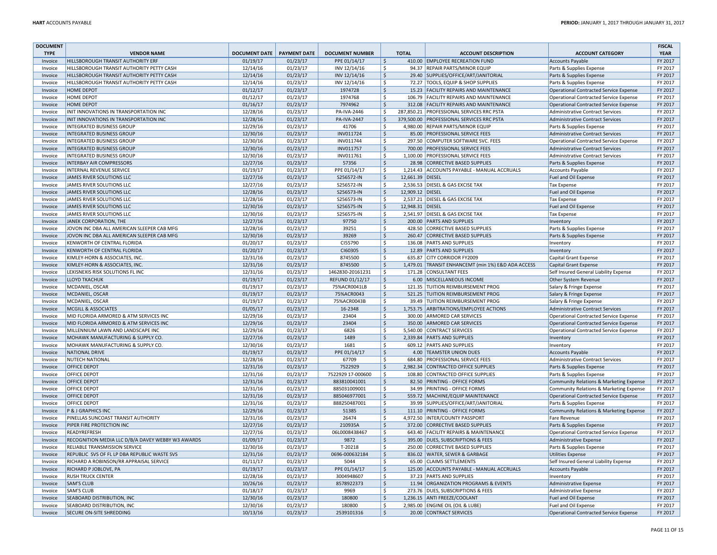| <b>DOCUMENT</b> |                                                   |               |                     |                        |                    |                  |                                                    |                                               | <b>FISCAL</b> |
|-----------------|---------------------------------------------------|---------------|---------------------|------------------------|--------------------|------------------|----------------------------------------------------|-----------------------------------------------|---------------|
| <b>TYPE</b>     | <b>VENDOR NAME</b>                                | DOCUMENT DATE | <b>PAYMENT DATE</b> | <b>DOCUMENT NUMBER</b> |                    | <b>TOTAL</b>     | <b>ACCOUNT DESCRIPTION</b>                         | <b>ACCOUNT CATEGORY</b>                       | <b>YEAR</b>   |
| Invoice         | HILLSBOROUGH TRANSIT AUTHORITY ERF                | 01/19/17      | 01/23/17            | PPE 01/14/17           | <b>S</b>           |                  | 410.00 EMPLOYEE RECREATION FUND                    | <b>Accounts Payable</b>                       | FY 2017       |
| Invoice         | HILLSBOROUGH TRANSIT AUTHORITY PETTY CASH         | 12/14/16      | 01/23/17            | INV 12/14/16           | \$                 |                  | 94.37 REPAIR PARTS/MINOR EQUIP                     | Parts & Supplies Expense                      | FY 2017       |
| Invoice         | HILLSBOROUGH TRANSIT AUTHORITY PETTY CASH         | 12/14/16      | 01/23/17            | INV 12/14/16           | $\ddot{\varsigma}$ |                  | 29.40 SUPPLIES/OFFICE/ART/JANITORIAL               | Parts & Supplies Expense                      | FY 2017       |
| Invoice         | HILLSBOROUGH TRANSIT AUTHORITY PETTY CASH         | 12/14/16      | 01/23/17            | INV 12/14/16           | \$                 |                  | 72.27 TOOLS, EQUIP & SHOP SUPPLIES                 | Parts & Supplies Expense                      | FY 2017       |
| Invoice         | <b>HOME DEPOT</b>                                 | 01/12/17      | 01/23/17            | 1974728                | $\zeta$            |                  | 15.23 FACILITY REPAIRS AND MAINTENANCE             | Operational Contracted Service Expense        | FY 2017       |
| Invoice         | <b>HOME DEPOT</b>                                 | 01/12/17      |                     | 1974768                | <b>S</b>           |                  | 106.79 FACILITY REPAIRS AND MAINTENANCE            |                                               | FY 2017       |
|                 |                                                   |               | 01/23/17            |                        |                    |                  |                                                    | <b>Operational Contracted Service Expense</b> |               |
| Invoice         | <b>HOME DEPOT</b>                                 | 01/16/17      | 01/23/17            | 7974962                | $\zeta$            |                  | 312.08 FACILITY REPAIRS AND MAINTENANCE            | Operational Contracted Service Expense        | FY 2017       |
| Invoice         | INIT INNOVATIONS IN TRANSPORTATION INC            | 12/28/16      | 01/23/17            | PA-IVA-2446            | \$                 |                  | 287,850.21 PROFESSIONAL SERVICES RRC PSTA          | Administrative Contract Services              | FY 2017       |
| Invoice         | INIT INNOVATIONS IN TRANSPORTATION INC            | 12/28/16      | 01/23/17            | <b>PA-IVA-2447</b>     | $\ddot{\varsigma}$ |                  | 379.500.00 PROFESSIONAL SERVICES RRC PSTA          | Administrative Contract Services              | FY 2017       |
| Invoice         | INTEGRATED BUSINESS GROUP                         | 12/29/16      | 01/23/17            | 41706                  | $\mathsf{\hat{S}}$ |                  | 4,980.00 REPAIR PARTS/MINOR EQUIP                  | Parts & Supplies Expense                      | FY 2017       |
| Invoice         | <b>INTEGRATED BUSINESS GROUP</b>                  | 12/30/16      | 01/23/17            | INV011724              | $\zeta$            |                  | 85.00 PROFESSIONAL SERVICE FEES                    | Administrative Contract Services              | FY 2017       |
| Invoice         | <b>INTEGRATED BUSINESS GROUP</b>                  | 12/30/16      | 01/23/17            | INV011744              | \$                 |                  | 297.50 COMPUTER SOFTWARE SVC. FEES                 | <b>Operational Contracted Service Expense</b> | FY 2017       |
| Invoice         | <b>INTEGRATED BUSINESS GROUP</b>                  | 12/30/16      | 01/23/17            | INV011757              | $\zeta$            |                  | 700.00 PROFESSIONAL SERVICE FEES                   | <b>Administrative Contract Services</b>       | FY 2017       |
| Invoice         | <b>INTEGRATED BUSINESS GROUP</b>                  | 12/30/16      | 01/23/17            | INV011761              | \$                 |                  | 1,100.00 PROFESSIONAL SERVICE FEES                 | <b>Administrative Contract Services</b>       | FY 2017       |
| Invoice         | <b>INTERBAY AIR COMPRESSORS</b>                   | 12/27/16      | 01/23/17            | 57356                  | $\zeta$            |                  | 28.98 CORRECTIVE BASED SUPPLIES                    | Parts & Supplies Expense                      | FY 2017       |
| Invoice         | <b>INTERNAL REVENUE SERVICE</b>                   | 01/19/17      | 01/23/17            | PPE 01/14/17           | \$                 |                  | 1,214.43 ACCOUNTS PAYABLE - MANUAL ACCRUALS        | <b>Accounts Payable</b>                       | FY 2017       |
| Invoice         | JAMES RIVER SOLUTIONS LLC                         | 12/27/16      | 01/23/17            | S256572-IN             | $\zeta$            | 12,661.39 DIESEL |                                                    | Fuel and Oil Expense                          | FY 2017       |
| Invoice         | JAMES RIVER SOLUTIONS LLC                         | 12/27/16      | 01/23/17            | S256572-IN             | \$                 |                  | 2,536.53 DIESEL & GAS EXCISE TAX                   | <b>Tax Expense</b>                            | FY 2017       |
| Invoice         | JAMES RIVER SOLUTIONS LLC                         | 12/28/16      | 01/23/17            | S256573-IN             | $\zeta$            | 12,909.12 DIESEL |                                                    | Fuel and Oil Expense                          | FY 2017       |
| Invoice         | JAMES RIVER SOLUTIONS LLC                         | 12/28/16      | 01/23/17            | S256573-IN             | -\$                |                  | 2,537.21 DIESEL & GAS EXCISE TAX                   | <b>Tax Expense</b>                            | FY 2017       |
|                 | JAMES RIVER SOLUTIONS LLC                         | 12/30/16      |                     |                        | $\dot{\mathsf{S}}$ | 12,948.31 DIESEL |                                                    |                                               | FY 2017       |
| Invoice         |                                                   |               | 01/23/17            | S256575-IN             |                    |                  |                                                    | Fuel and Oil Expense                          |               |
| Invoice         | JAMES RIVER SOLUTIONS LLC                         | 12/30/16      | 01/23/17            | S256575-IN             | \$                 |                  | 2,541.97 DIESEL & GAS EXCISE TAX                   | <b>Tax Expense</b>                            | FY 2017       |
| Invoice         | JANEK CORPORATION, THE                            | 12/27/16      | 01/23/17            | 97750                  | $\zeta$            |                  | 200.00 PARTS AND SUPPLIES                          | Inventory                                     | FY 2017       |
| Invoice         | JOVON INC DBA ALL AMERICAN SLEEPER CAB MFG        | 12/28/16      | 01/23/17            | 39251                  | \$                 |                  | 428.50 CORRECTIVE BASED SUPPLIES                   | Parts & Supplies Expense                      | FY 2017       |
| Invoice         | JOVON INC DBA ALL AMERICAN SLEEPER CAB MFG        | 12/30/16      | 01/23/17            | 39269                  | $\zeta$            |                  | 260.47 CORRECTIVE BASED SUPPLIES                   | Parts & Supplies Expense                      | FY 2017       |
| Invoice         | KENWORTH OF CENTRAL FLORIDA                       | 01/20/17      | 01/23/17            | CI55790                | <b>S</b>           |                  | 136.08 PARTS AND SUPPLIES                          | Inventory                                     | FY 2017       |
| Invoice         | <b>KENWORTH OF CENTRAL FLORIDA</b>                | 01/20/17      | 01/23/17            | CI60305                | $\zeta$            |                  | 12.89 PARTS AND SUPPLIES                           | Inventory                                     | FY 2017       |
| Invoice         | KIMLEY-HORN & ASSOCIATES, INC                     | 12/31/16      | 01/23/17            | 8745500                | \$                 |                  | 635.87 CITY CORRIDOR FY2009                        | Capital Grant Expense                         | FY 2017       |
| Invoice         | KIMLEY-HORN & ASSOCIATES, INC                     | 12/31/16      | 01/23/17            | 8745500                | $\zeta$            |                  | 1,479.01 TRANSIT ENHANCEMT (min 1%) E&D ADA ACCESS | Capital Grant Expense                         | FY 2017       |
| Invoice         | LEXISNEXIS RISK SOLUTIONS FL INC                  | 12/31/16      | 01/23/17            | 1462830-20161231       | $\mathsf{\hat{S}}$ |                  | 171.28 CONSULTANT FEES                             | Self Insured General Liability Expense        | FY 2017       |
| Invoice         | <b>LLOYD TKACHUK</b>                              | 01/19/17      | 01/23/17            | REFUND 01/12/17        | $\zeta$            |                  | 6.00 MISCELLANEOUS INCOME                          | Other System Revenue                          | FY 2017       |
| Invoice         | MCDANIEL, OSCAR                                   | 01/19/17      | 01/23/17            | 75%ACR0041LB           | S.                 |                  | 121.35 TUITION REIMBURSEMENT PROG                  | Salary & Fringe Expense                       | FY 2017       |
| Invoice         | MCDANIEL, OSCAR                                   | 01/19/17      | 01/23/17            | 75%ACR0043             | <b>S</b>           |                  | 521.25 TUITION REIMBURSEMENT PROG                  | Salary & Fringe Expense                       | FY 2017       |
| Invoice         | MCDANIEL, OSCAR                                   | 01/19/17      | 01/23/17            | 75%ACR0043B            | \$                 |                  | 39.49 TUITION REIMBURSEMENT PROG                   | Salary & Fringe Expense                       | FY 2017       |
| Invoice         | <b>MCGILL &amp; ASSOCIATES</b>                    | 01/05/17      | 01/23/17            | 16-2348                | $\zeta$            |                  | 1,753.75 ARBITRATIONS/EMPLOYEE ACTIONS             | <b>Administrative Contract Services</b>       | FY 2017       |
| Invoice         | MID FLORIDA ARMORED & ATM SERVICES INC            | 12/29/16      | 01/23/17            | 23404                  | $\mathsf{S}$       |                  | 300.00 ARMORED CAR SERVICES                        | <b>Operational Contracted Service Expense</b> | FY 2017       |
| Invoice         | MID FLORIDA ARMORED & ATM SERVICES INC            | 12/29/16      | 01/23/17            | 23404                  | $\zeta$            |                  | 350.00 ARMORED CAR SERVICES                        | Operational Contracted Service Expense        | FY 2017       |
| Invoice         | MILLENNIUM LAWN AND LANDSCAPE INC                 | 12/29/16      |                     | 6826                   |                    |                  | 5,540.00 CONTRACT SERVICES                         |                                               | FY 2017       |
|                 |                                                   |               | 01/23/17            |                        | \$                 |                  |                                                    | <b>Operational Contracted Service Expense</b> |               |
| Invoice         | MOHAWK MANUFACTURING & SUPPLY CO.                 | 12/27/16      | 01/23/17            | 1489                   | $\dot{\mathsf{S}}$ |                  | 2,339.84 PARTS AND SUPPLIES                        | Inventory                                     | FY 2017       |
| Invoice         | MOHAWK MANUFACTURING & SUPPLY CO.                 | 12/30/16      | 01/23/17            | 1681                   | \$                 |                  | 609.12 PARTS AND SUPPLIES                          | Inventory                                     | FY 2017       |
| Invoice         | NATIONAL DRIVE                                    | 01/19/17      | 01/23/17            | PPE 01/14/17           | $\zeta$            |                  | 4.00 TEAMSTER UNION DUES                           | <b>Accounts Payable</b>                       | FY 2017       |
| Invoice         | <b>NUTECH NATIONAL</b>                            | 12/28/16      | 01/23/17            | 67709                  | \$                 |                  | 684.80 PROFESSIONAL SERVICE FEES                   | <b>Administrative Contract Services</b>       | FY 2017       |
| Invoice         | <b>OFFICE DEPOT</b>                               | 12/31/16      | 01/23/17            | 7522929                | $\zeta$            |                  | 2,982.34 CONTRACTED OFFICE SUPPLIES                | Parts & Supplies Expense                      | FY 2017       |
| Invoice         | OFFICE DEPOT                                      | 12/31/16      | 01/23/17            | 7522929 17-000600      | $\mathsf{\hat{S}}$ |                  | 108.80 CONTRACTED OFFICE SUPPLIES                  | Parts & Supplies Expense                      | FY 2017       |
| Invoice         | <b>OFFICE DEPOT</b>                               | 12/31/16      | 01/23/17            | 883810041001           | $\zeta$            |                  | 82.50 PRINTING - OFFICE FORMS                      | Community Relations & Marketing Expense       | FY 2017       |
| Invoice         | OFFICE DEPOT                                      | 12/31/16      | 01/23/17            | 885031009001           | <b>S</b>           |                  | 34.99 PRINTING - OFFICE FORMS                      | Community Relations & Marketing Expense       | FY 2017       |
| Invoice         | <b>OFFICE DEPOT</b>                               | 12/31/16      | 01/23/17            | 885046977001           | $\zeta$            |                  | 559.72 MACHINE/EQUIP MAINTENANCE                   | Operational Contracted Service Expense        | FY 2017       |
| Invoice         | <b>OFFICE DEPOT</b>                               | 12/31/16      | 01/23/17            | 888250487001           | \$                 |                  | 39.99 SUPPLIES/OFFICE/ART/JANITORIAL               | Parts & Supplies Expense                      | FY 2017       |
| Invoice         | P & J GRAPHICS INC                                | 12/29/16      | 01/23/17            | 51385                  | $\zeta$            |                  | 111.10 PRINTING - OFFICE FORMS                     | Community Relations & Marketing Expense       | FY 2017       |
| Invoice         | PINELLAS SUNCOAST TRANSIT AUTHORITY               | 12/31/16      | 01/23/17            | 26474                  | \$                 |                  | 4,972.50 INTER/COUNTY PASSPORT                     | <b>Fare Revenue</b>                           | FY 2017       |
| Invoice         | PIPER FIRE PROTECTION INC                         | 12/27/16      | 01/23/17            | 210935A                | $\zeta$            |                  | 372.00 CORRECTIVE BASED SUPPLIES                   | Parts & Supplies Expense                      | FY 2017       |
| Invoice         | <b>READYREFRESH</b>                               | 12/27/16      | 01/23/17            | 06L0008438467          | \$                 |                  | 643.40 FACILITY REPAIRS & MAINTENANCE              | Operational Contracted Service Expense        | FY 2017       |
| Invoice         | RECOGNITION MEDIA LLC D/B/A DAVEY WEBBY W3 AWARDS | 01/09/17      | 01/23/17            | 9872                   | $\zeta$            |                  | 395.00 DUES, SUBSCRIPTIONS & FEES                  | <b>Administrative Expense</b>                 | FY 2017       |
| Invoice         | RELIABLE TRANSMISSION SERVICE                     | 12/30/16      | 01/23/17            | T-20218                | $\mathsf{S}$       |                  | 250.00 CORRECTIVE BASED SUPPLIES                   | Parts & Supplies Expense                      | FY 2017       |
| Invoice         | REPUBLIC SVS OF FL LP DBA REPUBLIC WASTE SVS      | 12/31/16      | 01/23/17            | 0696-000632184         | $\zeta$            |                  | 836.02 WATER, SEWER & GARBAGE                      | <b>Utilities Expense</b>                      | FY 2017       |
| Invoice         | RICHARD A ROBINSON/RR APPRAISAL SERVICE           | 01/11/17      | 01/23/17            | 5044                   | $\mathsf{S}$       |                  | 65.00 CLAIMS SETTLEMENTS                           | Self Insured General Liability Expense        | FY 2017       |
| Invoice         | RICHARD P JOBLOVE, PA                             | 01/19/17      | 01/23/17            | PPE 01/14/17           | $\zeta$            |                  | 125.00 ACCOUNTS PAYABLE - MANUAL ACCRUALS          | <b>Accounts Payable</b>                       | FY 2017       |
|                 |                                                   |               |                     |                        |                    |                  |                                                    |                                               |               |
| Invoice         | <b>RUSH TRUCK CENTER</b>                          | 12/28/16      | 01/23/17            | 3004948607             | \$                 |                  | 37.23 PARTS AND SUPPLIES                           | Inventory                                     | FY 2017       |
| Invoice         | <b>SAM'S CLUB</b>                                 | 10/26/16      | 01/23/17            | 8578922373             | $\dot{\mathsf{S}}$ |                  | 11.94 ORGANIZATION PROGRAMS & EVENTS               | Administrative Expense                        | FY 2017       |
| Invoice         | <b>SAM'S CLUB</b>                                 | 01/18/17      | 01/23/17            | 9969                   | \$                 |                  | 273.76 DUES, SUBSCRIPTIONS & FEES                  | <b>Administrative Expense</b>                 | FY 2017       |
| Invoice         | SEABOARD DISTRIBUTION, INC                        | 12/30/16      | 01/23/17            | 180800                 | $\zeta$            |                  | 1,236.15 ANTI FREEZE/COOLANT                       | Fuel and Oil Expense                          | FY 2017       |
| Invoice         | SEABOARD DISTRIBUTION, INC                        | 12/30/16      | 01/23/17            | 180800                 | $\mathsf{\hat{S}}$ |                  | 2,985.00 ENGINE OIL (OIL & LUBE)                   | Fuel and Oil Expense                          | FY 2017       |
| Invoice         | <b>SECURE ON-SITE SHREDDING</b>                   | 10/13/16      | 01/23/17            | 2539101316             | $\ddot{\varsigma}$ |                  | 20.00 CONTRACT SERVICES                            | Operational Contracted Service Expense        | FY 2017       |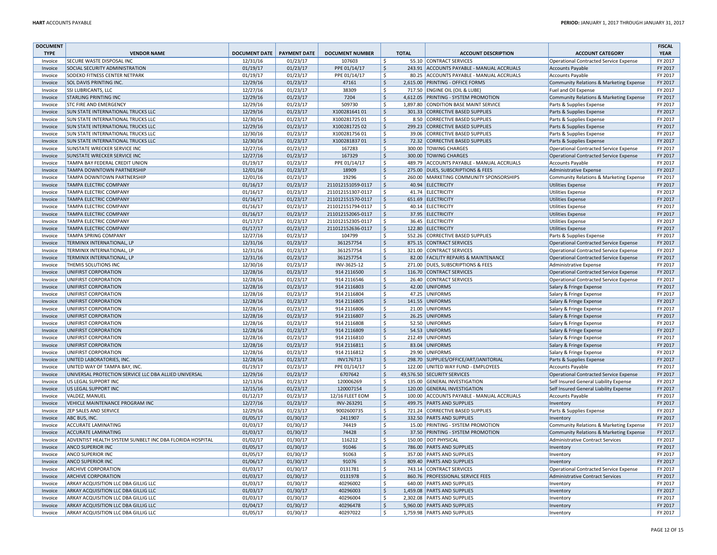| <b>DOCUMENT</b> |                                                          |                      |                     |                        |                    |              |                                           |                                               | <b>FISCAL</b> |
|-----------------|----------------------------------------------------------|----------------------|---------------------|------------------------|--------------------|--------------|-------------------------------------------|-----------------------------------------------|---------------|
| <b>TYPE</b>     | <b>VENDOR NAME</b>                                       | <b>DOCUMENT DATE</b> | <b>PAYMENT DATE</b> | <b>DOCUMENT NUMBER</b> |                    | <b>TOTAL</b> | <b>ACCOUNT DESCRIPTION</b>                | <b>ACCOUNT CATEGORY</b>                       | <b>YEAR</b>   |
| Invoice         | <b>SECURE WASTE DISPOSAL INC</b>                         | 12/31/16             | 01/23/17            | 107603                 | \$                 |              | 55.10 CONTRACT SERVICES                   | Operational Contracted Service Expense        | FY 2017       |
| Invoice         | SOCIAL SECURITY ADMINISTRATION                           | 01/19/17             | 01/23/17            | PPE 01/14/17           | $\zeta$            |              | 243.91 ACCOUNTS PAYABLE - MANUAL ACCRUALS | <b>Accounts Payable</b>                       | FY 2017       |
| Invoice         | SODEXO FITNESS CENTER NETPARK                            | 01/19/17             | 01/23/17            | PPE 01/14/17           | \$                 |              | 80.25 ACCOUNTS PAYABLE - MANUAL ACCRUALS  | <b>Accounts Payable</b>                       | FY 2017       |
| Invoice         | SOL DAVIS PRINTING INC.                                  | 12/29/16             | 01/23/17            | 47161                  | $\zeta$            |              | 2,615.00 PRINTING - OFFICE FORMS          | Community Relations & Marketing Expense       | FY 2017       |
| Invoice         | SSI LUBRICANTS, LLC                                      | 12/27/16             | 01/23/17            | 38309                  | Ś                  |              | 717.50 ENGINE OIL (OIL & LUBE)            | Fuel and Oil Expense                          | FY 2017       |
| Invoice         | <b>STARLING PRINTING INC</b>                             | 12/29/16             | 01/23/17            | 7204                   | $\zeta$            |              | 4,612.05 PRINTING - SYSTEM PROMOTION      | Community Relations & Marketing Expense       | FY 2017       |
| Invoice         | STC FIRE AND EMERGENCY                                   | 12/29/16             | 01/23/17            | 509730                 | \$                 |              | 1,897.80 CONDITION BASE MAINT SERVICE     | Parts & Supplies Expense                      | FY 2017       |
| Invoice         | SUN STATE INTERNATIONAL TRUCKS LLC                       | 12/29/16             | 01/23/17            | X10028164101           | $\zeta$            |              | 301.33 CORRECTIVE BASED SUPPLIES          | Parts & Supplies Expense                      | FY 2017       |
| Invoice         | SUN STATE INTERNATIONAL TRUCKS LLC                       | 12/30/16             | 01/23/17            | X10028172501           | \$                 |              | 8.50 CORRECTIVE BASED SUPPLIES            | Parts & Supplies Expense                      | FY 2017       |
| Invoice         | SUN STATE INTERNATIONAL TRUCKS LLC                       | 12/29/16             | 01/23/17            | X10028172502           | $\zeta$            |              | 299.23 CORRECTIVE BASED SUPPLIES          | Parts & Supplies Expense                      | FY 2017       |
| Invoice         | <b>SUN STATE INTERNATIONAL TRUCKS LLC</b>                | 12/30/16             | 01/23/17            | X10028175601           | \$                 |              | 39.06 CORRECTIVE BASED SUPPLIES           | Parts & Supplies Expense                      | FY 2017       |
| Invoice         | SUN STATE INTERNATIONAL TRUCKS LLC                       | 12/30/16             | 01/23/17            | X10028183701           | \$                 |              | 72.32 CORRECTIVE BASED SUPPLIES           | Parts & Supplies Expense                      | FY 2017       |
| Invoice         | SUNSTATE WRECKER SERVICE INC                             | 12/27/16             | 01/23/17            | 167283                 | Ś                  |              | 300.00 TOWING CHARGES                     | <b>Operational Contracted Service Expense</b> | FY 2017       |
| Invoice         | SUNSTATE WRECKER SERVICE INC                             | 12/27/16             | 01/23/17            | 167329                 | $\zeta$            |              | 300.00 TOWING CHARGES                     | Operational Contracted Service Expense        | FY 2017       |
| Invoice         | TAMPA BAY FEDERAL CREDIT UNION                           | 01/19/17             | 01/23/17            | PPE 01/14/17           | Ś                  |              | 489.79 ACCOUNTS PAYABLE - MANUAL ACCRUALS | <b>Accounts Payable</b>                       | FY 2017       |
| Invoice         | TAMPA DOWNTOWN PARTNERSHIP                               | 12/01/16             | 01/23/17            | 18909                  | \$                 |              | 275.00 DUES, SUBSCRIPTIONS & FEES         | <b>Administrative Expense</b>                 | FY 2017       |
| Invoice         | TAMPA DOWNTOWN PARTNERSHIP                               | 12/01/16             | 01/23/17            | 19296                  | Ś                  |              | 260.00 MARKETING COMMUNITY SPONSORSHIPS   | Community Relations & Marketing Expense       | FY 2017       |
| Invoice         | TAMPA ELECTRIC COMPANY                                   | 01/16/17             | 01/23/17            | 211012151059-0117      | $\mathsf{S}$       |              | 40.94 ELECTRICITY                         | <b>Utilities Expense</b>                      | FY 2017       |
| Invoice         | TAMPA ELECTRIC COMPANY                                   | 01/16/17             | 01/23/17            | 211012151307-0117      | Ś                  |              | 41.74 ELECTRICITY                         | <b>Utilities Expense</b>                      | FY 2017       |
| Invoice         | TAMPA ELECTRIC COMPANY                                   | 01/16/17             | 01/23/17            | 211012151570-0117      | $\zeta$            |              | 651.69 ELECTRICITY                        | <b>Utilities Expense</b>                      | FY 2017       |
| Invoice         | TAMPA ELECTRIC COMPANY                                   | 01/16/17             | 01/23/17            | 211012151794-0117      | Ś                  |              | 40.14 ELECTRICITY                         | <b>Utilities Expense</b>                      | FY 2017       |
| Invoice         | TAMPA ELECTRIC COMPANY                                   | 01/16/17             | 01/23/17            | 211012152065-0117      | $\zeta$            |              | 37.95 ELECTRICITY                         | <b>Utilities Expense</b>                      | FY 2017       |
| Invoice         | TAMPA ELECTRIC COMPANY                                   | 01/17/17             | 01/23/17            | 211012152305-0117      | Ś                  |              | 36.45 ELECTRICITY                         | <b>Utilities Expense</b>                      | FY 2017       |
| Invoice         | TAMPA ELECTRIC COMPANY                                   | 01/17/17             | 01/23/17            | 211012152636-0117      | $\zeta$            |              | 122.80 ELECTRICITY                        | <b>Utilities Expense</b>                      | FY 2017       |
| Invoice         | TAMPA SPRING COMPANY                                     | 12/27/16             | 01/23/17            | 104799                 | Ŝ.                 |              | 552.26 CORRECTIVE BASED SUPPLIES          | Parts & Supplies Expense                      | FY 2017       |
| Invoice         | TERMINIX INTERNATIONAL, LP                               | 12/31/16             | 01/23/17            | 361257754              | $\dot{\mathsf{S}}$ |              | 875.15 CONTRACT SERVICES                  | <b>Operational Contracted Service Expense</b> | FY 2017       |
| Invoice         | TERMINIX INTERNATIONAL, LP                               | 12/31/16             | 01/23/17            | 361257754              | Ś                  |              | 321.00 CONTRACT SERVICES                  | Operational Contracted Service Expense        | FY 2017       |
| Invoice         | TERMINIX INTERNATIONAL, LP                               | 12/31/16             | 01/23/17            | 361257754              | \$                 |              | 82.00 FACILITY REPAIRS & MAINTENANCE      | Operational Contracted Service Expense        | FY 2017       |
| Invoice         | THEMIS SOLUTIONS INC                                     | 12/30/16             | 01/23/17            | INV-3625-12            | \$                 |              | 271.00 DUES, SUBSCRIPTIONS & FEES         | Administrative Expense                        | FY 2017       |
| Invoice         | UNIFIRST CORPORATION                                     | 12/28/16             | 01/23/17            | 914 2116500            | \$                 |              | 116.70 CONTRACT SERVICES                  | Operational Contracted Service Expense        | FY 2017       |
| Invoice         | UNIFIRST CORPORATION                                     | 12/28/16             | 01/23/17            | 914 2116546            | Ŝ.                 |              | 26.40 CONTRACT SERVICES                   | <b>Operational Contracted Service Expense</b> | FY 2017       |
| Invoice         | UNIFIRST CORPORATION                                     | 12/28/16             | 01/23/17            | 914 2116803            | \$                 |              | 42.00 UNIFORMS                            | Salary & Fringe Expense                       | FY 2017       |
| Invoice         | UNIFIRST CORPORATION                                     | 12/28/16             | 01/23/17            | 914 2116804            | Ŝ.                 |              | 47.25 UNIFORMS                            | Salary & Fringe Expense                       | FY 2017       |
| Invoice         | UNIFIRST CORPORATION                                     | 12/28/16             | 01/23/17            | 914 2116805            | \$                 |              | 141.55 UNIFORMS                           | Salary & Fringe Expense                       | FY 2017       |
| Invoice         | UNIFIRST CORPORATION                                     | 12/28/16             | 01/23/17            | 914 2116806            | Ŝ.                 |              | 21.00 UNIFORMS                            | Salary & Fringe Expense                       | FY 2017       |
| Invoice         | UNIFIRST CORPORATION                                     | 12/28/16             | 01/23/17            | 914 2116807            | \$                 |              | 26.25 UNIFORMS                            | Salary & Fringe Expense                       | FY 2017       |
| Invoice         | UNIFIRST CORPORATION                                     | 12/28/16             | 01/23/17            | 914 2116808            | \$                 |              | 52.50 UNIFORMS                            | Salary & Fringe Expense                       | FY 2017       |
| Invoice         | UNIFIRST CORPORATION                                     | 12/28/16             | 01/23/17            | 914 2116809            | \$                 |              | 54.53 UNIFORMS                            | Salary & Fringe Expense                       | FY 2017       |
| Invoice         | UNIFIRST CORPORATION                                     | 12/28/16             | 01/23/17            | 914 2116810            | \$                 |              | 212.49 UNIFORMS                           | Salary & Fringe Expense                       | FY 2017       |
| Invoice         | UNIFIRST CORPORATION                                     | 12/28/16             | 01/23/17            | 914 2116811            | $\zeta$            |              | 83.04 UNIFORMS                            | Salary & Fringe Expense                       | FY 2017       |
| Invoice         | UNIFIRST CORPORATION                                     | 12/28/16             | 01/23/17            | 914 2116812            | \$                 |              | 29.90 UNIFORMS                            | Salary & Fringe Expense                       | FY 2017       |
| Invoice         | UNITED LABORATORIES, INC                                 | 12/28/16             | 01/23/17            | INV176713              | $\zeta$            |              | 298.70 SUPPLIES/OFFICE/ART/JANITORIAL     | Parts & Supplies Expense                      | FY 2017       |
| Invoice         | UNITED WAY OF TAMPA BAY, INC.                            | 01/19/17             | 01/23/17            | PPE 01/14/17           | \$                 |              | 122.00 UNITED WAY FUND - EMPLOYEES        | <b>Accounts Payable</b>                       | FY 2017       |
| Invoice         | UNIVERSAL PROTECTION SERVICE LLC DBA ALLIED UNIVERSAL    | 12/29/16             | 01/23/17            | 6707642                | $\dot{\mathsf{S}}$ |              | 49,576.50 SECURITY SERVICES               | Operational Contracted Service Expense        | FY 2017       |
| Invoice         | US LEGAL SUPPORT INC                                     | 12/13/16             | 01/23/17            | 120006269              | Ŝ.                 |              | 135.00 GENERAL INVESTIGATION              | Self Insured General Liability Expense        | FY 2017       |
| Invoice         | US LEGAL SUPPORT INC                                     | 12/15/16             | 01/23/17            | 120007154              | $\dot{\mathsf{S}}$ |              | 120.00 GENERAL INVESTIGATION              | Self Insured General Liability Expense        | FY 2017       |
| Invoice         | VALDEZ, MANUEL                                           | 01/12/17             | 01/23/17            | 12/16 FLEET EOM        | \$                 |              | 100.00 ACCOUNTS PAYABLE - MANUAL ACCRUALS | <b>Accounts Payable</b>                       | FY 2017       |
| Invoice         | VEHICLE MAINTENANCE PROGRAM INC                          | 12/27/16             | 01/23/17            | INV-263291             | \$                 |              | 499.75 PARTS AND SUPPLIES                 | Inventory                                     | FY 2017       |
| Invoice         | ZEP SALES AND SERVICE                                    | 12/29/16             | 01/23/17            | 9002600735             | \$                 |              | 721.24 CORRECTIVE BASED SUPPLIES          | Parts & Supplies Expense                      | FY 2017       |
| Invoice         | ABC BUS, INC.                                            | 01/05/17             | 01/30/17            | 2411907                | \$                 |              | 332.50 PARTS AND SUPPLIES                 | Inventory                                     | FY 2017       |
| Invoice         | <b>ACCURATE LAMINATING</b>                               | 01/03/17             | 01/30/17            | 74419                  | \$                 |              | 15.00 PRINTING - SYSTEM PROMOTION         | Community Relations & Marketing Expense       | FY 2017       |
| Invoice         | <b>ACCURATE LAMINATING</b>                               | 01/03/17             | 01/30/17            | 74428                  | \$                 |              | 37.50 PRINTING - SYSTEM PROMOTION         | Community Relations & Marketing Expense       | FY 2017       |
| Invoice         | ADVENTIST HEALTH SYSTEM SUNBELT INC DBA FLORIDA HOSPITAL | 01/02/17             | 01/30/17            | 116212                 | Ś                  |              | 150.00 DOT PHYSICAL                       | <b>Administrative Contract Services</b>       | FY 2017       |
| Invoice         | ANCO SUPERIOR INC                                        | 01/05/17             | 01/30/17            | 91046                  | \$                 |              | 786.00 PARTS AND SUPPLIES                 | Inventory                                     | FY 2017       |
| Invoice         | ANCO SUPERIOR INC                                        | 01/05/17             | 01/30/17            | 91063                  | Ŝ.                 |              | 357.00 PARTS AND SUPPLIES                 | Inventory                                     | FY 2017       |
| Invoice         | ANCO SUPERIOR INC                                        | 01/06/17             | 01/30/17            | 91076                  | \$                 |              | 809.40 PARTS AND SUPPLIES                 | Inventon                                      | FY 2017       |
| Invoice         | ARCHIVE CORPORATION                                      | 01/03/17             | 01/30/17            | 0131781                | \$                 |              | 743.14 CONTRACT SERVICES                  | Operational Contracted Service Expense        | FY 2017       |
| Invoice         | <b>ARCHIVE CORPORATION</b>                               | 01/03/17             | 01/30/17            | 0131978                | \$                 |              | 860.76 PROFESSIONAL SERVICE FEES          | <b>Administrative Contract Services</b>       | FY 2017       |
| Invoice         | ARKAY ACQUISITION LLC DBA GILLIG LLC                     | 01/03/17             | 01/30/17            | 40296002               | Ś                  |              | 640.00 PARTS AND SUPPLIES                 | Inventon                                      | FY 2017       |
| Invoice         | ARKAY ACQUISITION LLC DBA GILLIG LLC                     | 01/03/17             | 01/30/17            | 40296003               | \$                 |              | 1.459.08 PARTS AND SUPPLIES               | Inventory                                     | FY 2017       |
| Invoice         | ARKAY ACQUISITION LLC DBA GILLIG LLC                     | 01/03/17             | 01/30/17            | 40296004               | Ŝ.                 |              | 2,302.08 PARTS AND SUPPLIES               | Inventon                                      | FY 2017       |
| Invoice         | ARKAY ACQUISITION LLC DBA GILLIG LLC                     | 01/04/17             | 01/30/17            | 40296478               | $\dot{\mathsf{S}}$ |              | 5,960.00 PARTS AND SUPPLIES               | Inventon                                      | FY 2017       |
| Invoice         | ARKAY ACQUISITION LLC DBA GILLIG LLC                     | 01/05/17             | 01/30/17            | 40297022               | Ś                  |              | 1,759.98 PARTS AND SUPPLIES               | Inventon                                      | FY 2017       |
|                 |                                                          |                      |                     |                        |                    |              |                                           |                                               |               |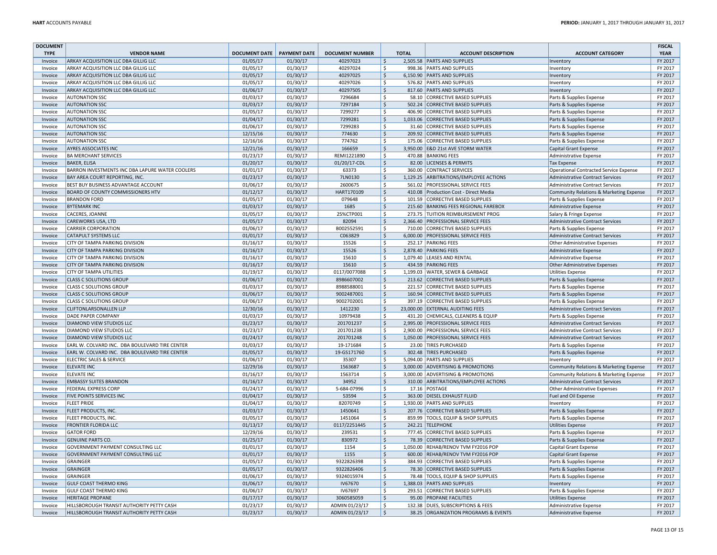| <b>DOCUMENT</b> |                                                                 |                      |                     |                        |                           |              |                                                                      |                                         | <b>FISCAL</b> |
|-----------------|-----------------------------------------------------------------|----------------------|---------------------|------------------------|---------------------------|--------------|----------------------------------------------------------------------|-----------------------------------------|---------------|
| <b>TYPE</b>     | <b>VENDOR NAME</b>                                              | <b>DOCUMENT DATE</b> | <b>PAYMENT DATE</b> | <b>DOCUMENT NUMBER</b> |                           | <b>TOTAL</b> | <b>ACCOUNT DESCRIPTION</b>                                           | <b>ACCOUNT CATEGORY</b>                 | <b>YEAR</b>   |
| Invoice         | ARKAY ACQUISITION LLC DBA GILLIG LLC                            | 01/05/17             | 01/30/17            | 40297023               | $\ddot{\mathsf{S}}$       |              | 2,505.58 PARTS AND SUPPLIES                                          | Inventory                               | FY 2017       |
| Invoice         | ARKAY ACQUISITION LLC DBA GILLIG LLC                            | 01/05/17             | 01/30/17            | 40297024               | Ŝ.                        |              | 998.36 PARTS AND SUPPLIES                                            | Inventory                               | FY 2017       |
| Invoice         | ARKAY ACQUISITION LLC DBA GILLIG LLC                            | 01/05/17             | 01/30/17            | 40297025               | $\zeta$                   |              | 6,150.90 PARTS AND SUPPLIES                                          | Inventory                               | FY 2017       |
| Invoice         | ARKAY ACQUISITION LLC DBA GILLIG LLC                            | 01/05/17             | 01/30/17            | 40297026               | $\ddot{\mathsf{S}}$       |              | 576.82 PARTS AND SUPPLIES                                            | Inventory                               | FY 2017       |
| Invoice         | ARKAY ACQUISITION LLC DBA GILLIG LLC                            | 01/06/17             | 01/30/17            | 40297505               | $\ddot{\mathsf{S}}$       |              | 817.60 PARTS AND SUPPLIES                                            | Inventory                               | FY 2017       |
| Invoice         | <b>AUTONATION SSC</b>                                           | 01/03/17             | 01/30/17            | 7296684                | $\ddot{\mathsf{S}}$       |              | 58.10 CORRECTIVE BASED SUPPLIES                                      | Parts & Supplies Expense                | FY 2017       |
| Invoice         | <b>AUTONATION SSC</b>                                           | 01/03/17             | 01/30/17            | 7297184                | $\ddot{\mathsf{S}}$       |              | 502.24 CORRECTIVE BASED SUPPLIES                                     | Parts & Supplies Expense                | FY 2017       |
| Invoice         | <b>AUTONATION SSC</b>                                           | 01/05/17             | 01/30/17            | 7299277                | $\zeta$                   |              | 406.90 CORRECTIVE BASED SUPPLIES                                     | Parts & Supplies Expense                | FY 2017       |
| Invoice         | <b>AUTONATION SSC</b>                                           | 01/04/17             | 01/30/17            | 7299281                | $\ddot{\mathsf{S}}$       |              | 1,033.06 CORRECTIVE BASED SUPPLIES                                   | Parts & Supplies Expense                | FY 2017       |
| Invoice         | <b>AUTONATION SSC</b>                                           | 01/06/17             | 01/30/17            | 7299283                | $\mathsf{\hat{S}}$        |              | 31.60 CORRECTIVE BASED SUPPLIES                                      |                                         | FY 2017       |
|                 |                                                                 |                      |                     |                        | $\zeta$                   |              |                                                                      | Parts & Supplies Expense                |               |
| Invoice         | <b>AUTONATION SSC</b>                                           | 12/15/16             | 01/30/17            | 774630                 |                           |              | 209.92 CORRECTIVE BASED SUPPLIES                                     | Parts & Supplies Expense                | FY 2017       |
| Invoice         | <b>AUTONATION SSC</b>                                           | 12/16/16             | 01/30/17            | 774762                 | \$                        |              | 175.06 CORRECTIVE BASED SUPPLIES                                     | Parts & Supplies Expense                | FY 2017       |
| Invoice         | <b>AYRES ASSOCIATES INC</b>                                     | 12/21/16             | 01/30/17            | 166659                 | $\ddot{\mathsf{S}}$       |              | 3,950.00 E&D 21st AVE STORM WATER                                    | <b>Capital Grant Expense</b>            | FY 2017       |
| Invoice         | <b>BA MERCHANT SERVICES</b>                                     | 01/23/17             | 01/30/17            | REMI1221890            | $\zeta$                   |              | 470.88 BANKING FEES                                                  | Administrative Expense                  | FY 2017       |
| Invoice         | <b>BAKER, ELISA</b>                                             | 01/20/17             | 01/30/17            | 01/20/17-CDL           | $\mathsf{S}$              |              | 82.00 LICENSES & PERMITS                                             | <b>Tax Expense</b>                      | FY 2017       |
| Invoice         | BARRON INVESTMENTS INC DBA LAPURE WATER COOLERS                 | 01/01/17             | 01/30/17            | 63373                  | $\zeta$                   |              | 360.00 CONTRACT SERVICES                                             | Operational Contracted Service Expense  | FY 2017       |
| Invoice         | BAY AREA COURT REPORTING, INC.                                  | 01/23/17             | 01/30/17            | 7LN0130                | $\zeta$                   |              | 1,129.25 ARBITRATIONS/EMPLOYEE ACTIONS                               | <b>Administrative Contract Services</b> | FY 2017       |
| Invoice         | BEST BUY BUSINESS ADVANTAGE ACCOUNT                             | 01/06/17             | 01/30/17            | 2600675                | $\zeta$                   |              | 561.02 PROFESSIONAL SERVICE FEES                                     | Administrative Contract Services        | FY 2017       |
| Invoice         | <b>BOARD OF COUNTY COMMISSIONERS HTV</b>                        | 01/12/17             | 01/30/17            | HART170109             | $\zeta$                   | 410.08       | Production Cost - Direct Media                                       | Community Relations & Marketing Expense | FY 2017       |
| Invoice         | <b>BRANDON FORD</b>                                             | 01/05/17             | 01/30/17            | 079648                 | \$                        |              | 101.59 CORRECTIVE BASED SUPPLIES                                     | Parts & Supplies Expense                | FY 2017       |
| Invoice         | <b>BYTEMARK INC</b>                                             | 01/03/17             | 01/30/17            | 1685                   | $\mathsf{S}$              |              | 215.60 BANKING FEES REGIONAL FAREBOX                                 | Administrative Expense                  | FY 2017       |
| Invoice         | <b>CACERES, JOANNE</b>                                          | 01/05/17             | 01/30/17            | 25%CTP001              | $\ddot{\mathsf{S}}$       |              | 273.75 TUITION REIMBURSEMENT PROG                                    | Salary & Fringe Expense                 | FY 2017       |
| Invoice         | CAREWORKS USA, LTD                                              | 01/05/17             | 01/30/17            | 82094                  | $\mathsf{S}$              |              | 2,366.40 PROFESSIONAL SERVICE FEES                                   | <b>Administrative Contract Services</b> | FY 2017       |
| Invoice         | <b>CARRIER CORPORATION</b>                                      | 01/06/17             | 01/30/17            | B002552591             | $\zeta$                   |              | 710.00 CORRECTIVE BASED SUPPLIES                                     | Parts & Supplies Expense                | FY 2017       |
| Invoice         | <b>CATAPULT SYSTEMS LLC</b>                                     | 01/01/17             | 01/30/17            | C063829                | $\mathsf{S}$              |              | 6,000.00 PROFESSIONAL SERVICE FEES                                   | <b>Administrative Contract Services</b> | FY 2017       |
| Invoice         | CITY OF TAMPA PARKING DIVISION                                  | 01/16/17             | 01/30/17            | 15526                  | $\mathsf{\hat{S}}$        |              | 252.17 PARKING FEES                                                  | Other Administrative Expenses           | FY 2017       |
| Invoice         | CITY OF TAMPA PARKING DIVISION                                  | 01/16/17             | 01/30/17            | 15526                  | $\ddot{\mathsf{S}}$       |              | 2.878.40 PARKING FEES                                                | Administrative Expense                  | FY 2017       |
| Invoice         | CITY OF TAMPA PARKING DIVISION                                  | 01/16/17             | 01/30/17            | 15610                  | \$                        |              | 1,079.40 LEASES AND RENTAL                                           | <b>Administrative Expense</b>           | FY 2017       |
| Invoice         | CITY OF TAMPA PARKING DIVISION                                  | 01/16/17             | 01/30/17            | 15610                  | $\boldsymbol{\mathsf{S}}$ |              | 434.59 PARKING FEES                                                  | Other Administrative Expenses           | FY 2017       |
| Invoice         | <b>CITY OF TAMPA UTILITIES</b>                                  | 01/19/17             | 01/30/17            | 0117/0077088           | $\zeta$                   |              | 1,199.03 WATER, SEWER & GARBAGE                                      | <b>Utilities Expense</b>                | FY 2017       |
| Invoice         | <b>CLASS C SOLUTIONS GROUP</b>                                  | 01/06/17             | 01/30/17            | 8986607002             | \$                        |              | 213.62 CORRECTIVE BASED SUPPLIES                                     | Parts & Supplies Expense                | FY 2017       |
| Invoice         | <b>CLASS C SOLUTIONS GROUP</b>                                  | 01/03/17             | 01/30/17            | 8988588001             | \$                        |              | 221.57 CORRECTIVE BASED SUPPLIES                                     |                                         | FY 2017       |
|                 | <b>CLASS C SOLUTIONS GROUP</b>                                  | 01/06/17             | 01/30/17            | 9002487001             | $\zeta$                   |              | 160.94 CORRECTIVE BASED SUPPLIES                                     | Parts & Supplies Expense                | FY 2017       |
| Invoice         |                                                                 |                      |                     |                        | $\zeta$                   |              |                                                                      | Parts & Supplies Expense                | FY 2017       |
| Invoice         | <b>CLASS C SOLUTIONS GROUP</b><br><b>CLIFTONLARSONALLEN LLP</b> | 01/06/17             | 01/30/17            | 9002702001<br>1412230  |                           |              | 397.19 CORRECTIVE BASED SUPPLIES<br>23.000.00 EXTERNAL AUDITING FEES | Parts & Supplies Expense                |               |
| Invoice         |                                                                 | 12/30/16             | 01/30/17            |                        | $\boldsymbol{\mathsf{S}}$ |              |                                                                      | <b>Administrative Contract Services</b> | FY 2017       |
| Invoice         | DADE PAPER COMPANY                                              | 01/03/17             | 01/30/17            | 10979438               | $\overline{\xi}$          |              | 431.20 CHEMICALS, CLEANERS & EQUIP                                   | Parts & Supplies Expense                | FY 2017       |
| Invoice         | DIAMOND VIEW STUDIOS LLC                                        | 01/23/17             | 01/30/17            | 201701237              | \$                        |              | 2,995.00 PROFESSIONAL SERVICE FEES                                   | Administrative Contract Services        | FY 2017       |
| Invoice         | DIAMOND VIEW STUDIOS LLC                                        | 01/23/17             | 01/30/17            | 201701238              | $\zeta$                   |              | 2,900.00 PROFESSIONAL SERVICE FEES                                   | Administrative Contract Services        | FY 2017       |
| Invoice         | DIAMOND VIEW STUDIOS LLC                                        | 01/24/17             | 01/30/17            | 201701248              | $\zeta$                   |              | 1,050.00 PROFESSIONAL SERVICE FEES                                   | Administrative Contract Services        | FY 2017       |
| Invoice         | EARL W. COLVARD INC. DBA BOULEVARD TIRE CENTER                  | 01/03/17             | 01/30/17            | 19-171684              | $\ddot{\mathsf{S}}$       |              | 23.00 TIRES PURCHASED                                                | Parts & Supplies Expense                | FY 2017       |
| Invoice         | EARL W. COLVARD INC. DBA BOULEVARD TIRE CENTER                  | 01/05/17             | 01/30/17            | 19-GS171760            | $\ddot{\mathsf{S}}$       |              | 302.48 TIRES PURCHASED                                               | Parts & Supplies Expense                | FY 2017       |
| Invoice         | <b>ELECTRIC SALES &amp; SERVICE</b>                             | 01/06/17             | 01/30/17            | 35307                  | $\ddot{\mathsf{S}}$       |              | 5,094.00 PARTS AND SUPPLIES                                          | Inventory                               | FY 2017       |
| Invoice         | <b>ELEVATE INC</b>                                              | 12/29/16             | 01/30/17            | 1563687                | $\ddot{\mathsf{S}}$       |              | 3,000.00 ADVERTISING & PROMOTIONS                                    | Community Relations & Marketing Expense | FY 2017       |
| Invoice         | <b>ELEVATE INC</b>                                              | 01/16/17             | 01/30/17            | 1563714                | $\zeta$                   |              | 3,000.00 ADVERTISING & PROMOTIONS                                    | Community Relations & Marketing Expense | FY 2017       |
| Invoice         | <b>EMBASSY SUITES BRANDON</b>                                   | 01/16/17             | 01/30/17            | 34952                  | $\ddot{\mathsf{S}}$       |              | 310.00 ARBITRATIONS/EMPLOYEE ACTIONS                                 | Administrative Contract Services        | FY 2017       |
| Invoice         | <b>FEDERAL EXPRESS CORP</b>                                     | 01/24/17             | 01/30/17            | 5-684-07996            | $\ddot{\mathsf{S}}$       |              | 17.16 POSTAGE                                                        | Other Administrative Expenses           | FY 2017       |
| Invoice         | FIVE POINTS SERVICES INC                                        | 01/04/17             | 01/30/17            | 53594                  | \$                        |              | 363.00 DIESEL EXHAUST FLUID                                          | Fuel and Oil Expense                    | FY 2017       |
| Invoice         | <b>FLEET PRIDE</b>                                              | 01/04/17             | 01/30/17            | 82070749               | $\ddot{\mathsf{S}}$       |              | 1,930.00 PARTS AND SUPPLIES                                          | Inventory                               | FY 2017       |
| Invoice         | FLEET PRODUCTS, INC.                                            | 01/03/17             | 01/30/17            | 1450641                | $\zeta$                   |              | 207.76 CORRECTIVE BASED SUPPLIES                                     | Parts & Supplies Expense                | FY 2017       |
| Invoice         | FLEET PRODUCTS, INC.                                            | 01/05/17             | 01/30/17            | 1451064                | $\ddot{\mathsf{S}}$       |              | 859.99 TOOLS, EQUIP & SHOP SUPPLIES                                  | Parts & Supplies Expense                | FY 2017       |
| Invoice         | <b>FRONTIER FLORIDA LLC</b>                                     | 01/13/17             | 01/30/17            | 0117/2251445           | $\ddot{\mathsf{S}}$       |              | 242.21 TELEPHONE                                                     | <b>Utilities Expense</b>                | FY 2017       |
| Invoice         | <b>GATOR FORD</b>                                               | 12/29/16             | 01/30/17            | 239531                 | $\ddot{\mathsf{S}}$       |              | 777.45 CORRECTIVE BASED SUPPLIES                                     | Parts & Supplies Expense                | FY 2017       |
| Invoice         | <b>GENUINE PARTS CO.</b>                                        | 01/25/17             | 01/30/17            | 830972                 | $\mathsf{S}$              |              | 78.39 CORRECTIVE BASED SUPPLIES                                      | Parts & Supplies Expense                | FY 2017       |
| Invoice         | GOVERNMENT PAYMENT CONSULTING LLC                               | 01/01/17             | 01/30/17            | 1154                   | $\ddot{\mathsf{S}}$       |              | 1,050.00 REHAB/RENOV TVM FY2016 POP                                  | Capital Grant Expense                   | FY 2017       |
|                 |                                                                 |                      |                     |                        |                           |              |                                                                      |                                         |               |
| Invoice         | <b>GOVERNMENT PAYMENT CONSULTING LLC</b>                        | 01/01/17             | 01/30/17            | 1155                   | $\zeta$                   | 600.00       | REHAB/RENOV TVM FY2016 POP                                           | Capital Grant Expense                   | FY 2017       |
| Invoice         | GRAINGER                                                        | 01/05/17             | 01/30/17            | 9322826398             | $\zeta$                   |              | 384.93 CORRECTIVE BASED SUPPLIES                                     | Parts & Supplies Expense                | FY 2017       |
| Invoice         | <b>GRAINGER</b>                                                 | 01/05/17             | 01/30/17            | 9322826406             | \$                        |              | 78.30 CORRECTIVE BASED SUPPLIES                                      | Parts & Supplies Expense                | FY 2017       |
| Invoice         | <b>GRAINGER</b>                                                 | 01/06/17             | 01/30/17            | 9324015974             | \$                        |              | 78.48 TOOLS, EQUIP & SHOP SUPPLIES                                   | Parts & Supplies Expense                | FY 2017       |
| Invoice         | <b>GULF COAST THERMO KING</b>                                   | 01/06/17             | 01/30/17            | IV67670                | $\ddot{\mathsf{S}}$       |              | 1,388.03 PARTS AND SUPPLIES                                          | Inventory                               | FY 2017       |
| Invoice         | <b>GULF COAST THERMO KING</b>                                   | 01/06/17             | 01/30/17            | IV67697                | $\ddot{\mathsf{S}}$       |              | 293.51 CORRECTIVE BASED SUPPLIES                                     | Parts & Supplies Expense                | FY 2017       |
| Invoice         | <b>HERITAGE PROPANE</b>                                         | 01/17/17             | 01/30/17            | 3060585059             | $\zeta$                   |              | 95.00 PROPANE FACILITIES                                             | <b>Utilities Expense</b>                | FY 2017       |
| Invoice         | HILLSBOROUGH TRANSIT AUTHORITY PETTY CASH                       | 01/23/17             | 01/30/17            | ADMIN 01/23/17         | $\zeta$                   |              | 132.38 DUES, SUBSCRIPTIONS & FEES                                    | Administrative Expense                  | FY 2017       |
| Invoice         | HILLSBOROUGH TRANSIT AUTHORITY PETTY CASH                       | 01/23/17             | 01/30/17            | ADMIN 01/23/17         | $\mathsf{S}$              |              | 38.25 ORGANIZATION PROGRAMS & EVENTS                                 | Administrative Expense                  | FY 2017       |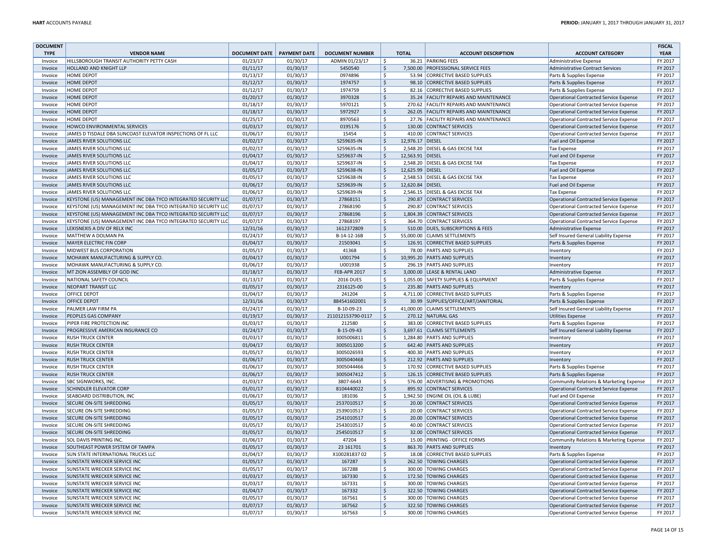| <b>DOCUMENT</b> |                                                               |                      |                     |                        |                       |                  |                                         |                                               | <b>FISCAL</b> |
|-----------------|---------------------------------------------------------------|----------------------|---------------------|------------------------|-----------------------|------------------|-----------------------------------------|-----------------------------------------------|---------------|
| <b>TYPE</b>     | <b>VENDOR NAME</b>                                            | <b>DOCUMENT DATE</b> | <b>PAYMENT DATE</b> | <b>DOCUMENT NUMBER</b> |                       | <b>TOTAL</b>     | <b>ACCOUNT DESCRIPTION</b>              | <b>ACCOUNT CATEGORY</b>                       | <b>YEAR</b>   |
| Invoice         | HILLSBOROUGH TRANSIT AUTHORITY PETTY CASH                     | 01/23/17             | 01/30/17            | ADMIN 01/23/17         | <sub>S</sub>          |                  | 36.21 PARKING FEES                      | <b>Administrative Expense</b>                 | FY 2017       |
| Invoice         | HOLLAND AND KNIGHT LLP                                        | 01/11/17             | 01/30/17            | 5450540                | \$                    |                  | 7,500.00 PROFESSIONAL SERVICE FEES      | Administrative Contract Services              | FY 2017       |
| Invoice         | HOME DEPOT                                                    | 01/13/17             | 01/30/17            | 0974896                | \$                    |                  | 53.94 CORRECTIVE BASED SUPPLIES         | Parts & Supplies Expense                      | FY 2017       |
| Invoice         | HOME DEPOT                                                    | 01/12/17             | 01/30/17            | 1974757                | $\zeta$               |                  | 98.10 CORRECTIVE BASED SUPPLIES         | Parts & Supplies Expense                      | FY 2017       |
| Invoice         | <b>HOME DEPOT</b>                                             | 01/12/17             | 01/30/17            | 1974759                | \$                    |                  | 82.16 CORRECTIVE BASED SUPPLIES         | Parts & Supplies Expense                      | FY 2017       |
| Invoice         | <b>HOME DEPOT</b>                                             | 01/20/17             | 01/30/17            | 3970328                | $\mathsf{S}$          |                  | 35.24 FACILITY REPAIRS AND MAINTENANCE  | <b>Operational Contracted Service Expense</b> | FY 2017       |
| Invoice         | <b>HOME DEPOT</b>                                             | 01/18/17             | 01/30/17            | 5970121                | $\mathsf{\hat{S}}$    |                  | 270.62 FACILITY REPAIRS AND MAINTENANCE | <b>Operational Contracted Service Expense</b> | FY 2017       |
| Invoice         | <b>HOME DEPOT</b>                                             | 01/18/17             | 01/30/17            | 5972927                | \$                    |                  | 262.05 FACILITY REPAIRS AND MAINTENANCE | Operational Contracted Service Expense        | FY 2017       |
| Invoice         | <b>HOME DEPOT</b>                                             | 01/25/17             | 01/30/17            | 8970563                | \$                    |                  | 27.76 FACILITY REPAIRS AND MAINTENANCE  | Operational Contracted Service Expense        | FY 2017       |
| Invoice         | HOWCO ENVIRONMENTAL SERVICES                                  | 01/03/17             | 01/30/17            | 0195176                | $\sf S$               |                  | 130.00 CONTRACT SERVICES                |                                               | FY 2017       |
|                 | JAMES D TISDALE DBA SUNCOAST ELEVATOR INSPECTIONS OF FL LLC   |                      |                     | 15454                  |                       |                  |                                         | <b>Operational Contracted Service Expense</b> |               |
| Invoice         |                                                               | 01/06/17             | 01/30/17            |                        | \$                    |                  | 410.00 CONTRACT SERVICES                | Operational Contracted Service Expense        | FY 2017       |
| Invoice         | <b>JAMES RIVER SOLUTIONS LLC</b>                              | 01/02/17             | 01/30/17            | S259635-IN             | <sup>S</sup>          | 12,976.17 DIESEL |                                         | Fuel and Oil Expense                          | FY 2017       |
| Invoice         | JAMES RIVER SOLUTIONS LLC                                     | 01/02/17             | 01/30/17            | S259635-IN             | $\mathsf{\hat{S}}$    |                  | 2,548.20 DIESEL & GAS EXCISE TAX        | Tax Expense                                   | FY 2017       |
| Invoice         | JAMES RIVER SOLUTIONS LLC                                     | 01/04/17             | 01/30/17            | S259637-IN             | $\mathsf{\hat{S}}$    | 12.563.91 DIESEL |                                         | Fuel and Oil Expense                          | FY 2017       |
| Invoice         | JAMES RIVER SOLUTIONS LLC                                     | 01/04/17             | 01/30/17            | S259637-IN             | $\ddot{\varsigma}$    |                  | 2,548.20 DIESEL & GAS EXCISE TAX        | <b>Tax Expense</b>                            | FY 2017       |
| Invoice         | <b>JAMES RIVER SOLUTIONS LLC</b>                              | 01/05/17             | 01/30/17            | S259638-IN             | $\ddot{\varsigma}$    | 12,625.99 DIESEL |                                         | Fuel and Oil Expense                          | FY 2017       |
| Invoice         | JAMES RIVER SOLUTIONS LLC                                     | 01/05/17             | 01/30/17            | S259638-IN             | \$                    |                  | 2,548.53 DIESEL & GAS EXCISE TAX        | Tax Expense                                   | FY 2017       |
| Invoice         | JAMES RIVER SOLUTIONS LLC                                     | 01/06/17             | 01/30/17            | S259639-IN             | $\zeta$               | 12,620.84 DIESEL |                                         | Fuel and Oil Expense                          | FY 2017       |
| Invoice         | JAMES RIVER SOLUTIONS LLC                                     | 01/06/17             | 01/30/17            | S259639-IN             | S.                    |                  | 2,546.15 DIESEL & GAS EXCISE TAX        | <b>Tax Expense</b>                            | FY 2017       |
| Invoice         | KEYSTONE (US) MANAGEMENT INC DBA TYCO INTEGRATED SECURITY LLC | 01/07/17             | 01/30/17            | 27868151               | <sup>S</sup>          |                  | 290.87 CONTRACT SERVICES                | <b>Operational Contracted Service Expense</b> | FY 2017       |
| Invoice         | KEYSTONE (US) MANAGEMENT INC DBA TYCO INTEGRATED SECURITY LLC | 01/07/17             | 01/30/17            | 27868190               | $\mathsf{\hat{S}}$    |                  | 290.87 CONTRACT SERVICES                | Operational Contracted Service Expense        | FY 2017       |
| Invoice         | KEYSTONE (US) MANAGEMENT INC DBA TYCO INTEGRATED SECURITY LLC | 01/07/17             | 01/30/17            | 27868196               | $\zeta$               |                  | 1,804.39 CONTRACT SERVICES              | Operational Contracted Service Expense        | FY 2017       |
| Invoice         | KEYSTONE (US) MANAGEMENT INC DBA TYCO INTEGRATED SECURITY LLC | 01/07/17             | 01/30/17            | 27868197               | \$                    |                  | 364.70 CONTRACT SERVICES                | <b>Operational Contracted Service Expense</b> | FY 2017       |
| Invoice         | LEXISNEXIS A DIV OF RELX INC                                  | 12/31/16             | 01/30/17            | 1612372809             | \$                    |                  | 510.00 DUES, SUBSCRIPTIONS & FEES       | Administrative Expense                        | FY 2017       |
| Invoice         | MATTHEW A DOLMAN PA                                           | 01/24/17             | 01/30/17            | B-14-12-16B            | S.                    |                  | 55,000.00 CLAIMS SETTLEMENTS            | Self Insured General Liability Expense        | FY 2017       |
| Invoice         | <b>MAYER ELECTRIC FIN CORP</b>                                | 01/04/17             | 01/30/17            | 21503041               | $\mathsf{\hat{S}}$    |                  | 126.91 CORRECTIVE BASED SUPPLIES        | Parts & Supplies Expense                      | FY 2017       |
| Invoice         | MIDWEST BUS CORPORATION                                       | 01/05/17             | 01/30/17            | 41368                  | <sub>S</sub>          |                  | 78.00 PARTS AND SUPPLIES                | Inventory                                     | FY 2017       |
| Invoice         | MOHAWK MANUFACTURING & SUPPLY CO.                             | 01/04/17             | 01/30/17            | U001794                | $\zeta$               |                  | 10,995.20 PARTS AND SUPPLIES            | Inventory                                     | FY 2017       |
| Invoice         | MOHAWK MANUFACTURING & SUPPLY CO.                             | 01/06/17             | 01/30/17            | U001938                | \$                    |                  | 296.19 PARTS AND SUPPLIES               | Inventory                                     | FY 2017       |
|                 | MT ZION ASSEMBLY OF GOD INC                                   | 01/18/17             | 01/30/17            | <b>FEB-APR 2017</b>    | \$                    |                  | 3,000.00 LEASE & RENTAL LAND            |                                               | FY 2017       |
| Invoice         |                                                               | 01/13/17             |                     | <b>2016 DUES</b>       | $\mathsf{\hat{S}}$    |                  | 1,055.00 SAFETY SUPPLIES & EQUIPMENT    | <b>Administrative Expense</b>                 |               |
| Invoice         | NATIONAL SAFETY COUNCIL                                       |                      | 01/30/17            |                        |                       |                  |                                         | Parts & Supplies Expense                      | FY 2017       |
| Invoice         | <b>NEOPART TRANSIT LLC</b>                                    | 01/05/17             | 01/30/17            | 2316125-00             | $\mathsf{S}$          |                  | 235.80 PARTS AND SUPPLIES               | Inventory                                     | FY 2017       |
| Invoice         | <b>OFFICE DEPOT</b>                                           | 01/04/17             | 01/30/17            | 241204                 | <sup>S</sup>          |                  | 4,711.00 CORRECTIVE BASED SUPPLIES      | Parts & Supplies Expense                      | FY 2017       |
| Invoice         | <b>OFFICE DEPOT</b>                                           | 12/31/16             | 01/30/17            | 884541602001           | $\zeta$               |                  | 30.99 SUPPLIES/OFFICE/ART/JANITORIAL    | Parts & Supplies Expense                      | FY 2017       |
| Invoice         | PALMER LAW FIRM PA                                            | 01/24/17             | 01/30/17            | B-10-09-23             | \$                    |                  | 41,000.00 CLAIMS SETTLEMENTS            | Self Insured General Liability Expense        | FY 2017       |
| Invoice         | PEOPLES GAS COMPANY                                           | 01/19/17             | 01/30/17            | 211012153790-0117      | $\zeta$               |                  | 270.12 NATURAL GAS                      | <b>Utilities Expense</b>                      | FY 2017       |
| Invoice         | PIPER FIRE PROTECTION INC                                     | 01/03/17             | 01/30/17            | 212580                 | \$                    |                  | 383.00 CORRECTIVE BASED SUPPLIES        | Parts & Supplies Expense                      | FY 2017       |
| Invoice         | PROGRESSIVE AMERICAN INSURANCE CO                             | 01/24/17             | 01/30/17            | B-15-09-43             | $\mathsf{S}$          |                  | 3,697.61 CLAIMS SETTLEMENTS             | Self Insured General Liability Expense        | FY 2017       |
| Invoice         | <b>RUSH TRUCK CENTER</b>                                      | 01/03/17             | 01/30/17            | 3005006811             | Ś                     |                  | 1,284.80 PARTS AND SUPPLIES             | Inventory                                     | FY 2017       |
| Invoice         | <b>RUSH TRUCK CENTER</b>                                      | 01/04/17             | 01/30/17            | 3005013200             | $\zeta$               |                  | 642.40 PARTS AND SUPPLIES               | Inventory                                     | FY 2017       |
| Invoice         | <b>RUSH TRUCK CENTER</b>                                      | 01/05/17             | 01/30/17            | 3005026593             | \$                    |                  | 400.30 PARTS AND SUPPLIES               | Inventory                                     | FY 2017       |
| Invoice         | <b>RUSH TRUCK CENTER</b>                                      | 01/06/17             | 01/30/17            | 3005040468             | $\mathsf{\mathsf{S}}$ |                  | 212.92 PARTS AND SUPPLIES               | Inventory                                     | FY 2017       |
| Invoice         | <b>RUSH TRUCK CENTER</b>                                      | 01/06/17             | 01/30/17            | 3005044466             | \$                    |                  | 170.92 CORRECTIVE BASED SUPPLIES        | Parts & Supplies Expense                      | FY 2017       |
| Invoice         | <b>RUSH TRUCK CENTER</b>                                      | 01/06/17             | 01/30/17            | 3005047412             | $\zeta$               |                  | 126.15 CORRECTIVE BASED SUPPLIES        | Parts & Supplies Expense                      | FY 2017       |
| Invoice         | <b>SBC SIGNWORKS, INC</b>                                     | 01/03/17             | 01/30/17            | 3807-6643              | \$                    |                  | 576.00 ADVERTISING & PROMOTIONS         | Community Relations & Marketing Expense       | FY 2017       |
| Invoice         | <b>SCHINDLER ELEVATOR CORP</b>                                | 01/01/17             | 01/30/17            | 8104440022             | $\mathsf{\hat{S}}$    |                  | 895.92 CONTRACT SERVICES                | <b>Operational Contracted Service Expense</b> | FY 2017       |
| Invoice         | SEABOARD DISTRIBUTION. INC                                    | 01/06/17             | 01/30/17            | 181036                 | \$                    |                  | 1,942.50 ENGINE OIL (OIL & LUBE)        | Fuel and Oil Expense                          | FY 2017       |
| Invoice         | SECURE ON-SITE SHREDDING                                      | 01/05/17             | 01/30/17            | 2537010517             | \$                    |                  | 20.00 CONTRACT SERVICES                 | <b>Operational Contracted Service Expense</b> | FY 2017       |
| Invoice         | SECURE ON-SITE SHREDDING                                      | 01/05/17             | 01/30/17            | 2539010517             | \$                    |                  | 20.00 CONTRACT SERVICES                 | <b>Operational Contracted Service Expense</b> | FY 2017       |
| Invoice         | SECURE ON-SITE SHREDDING                                      | 01/05/17             | 01/30/17            | 2541010517             | $\zeta$               |                  | 20.00 CONTRACT SERVICES                 | Operational Contracted Service Expense        | FY 2017       |
| Invoice         | SECURE ON-SITE SHREDDING                                      | 01/05/17             | 01/30/17            | 2543010517             | \$                    |                  | 40.00 CONTRACT SERVICES                 |                                               | FY 2017       |
| Invoice         |                                                               |                      |                     |                        |                       |                  |                                         | Operational Contracted Service Expense        |               |
|                 | SECURE ON-SITE SHREDDING                                      | 01/05/17             | 01/30/17            | 2545010517             | \$                    |                  | 32.00 CONTRACT SERVICES                 | Operational Contracted Service Expense        | FY 2017       |
| Invoice         | SOL DAVIS PRINTING INC.                                       | 01/06/17             | 01/30/17            | 47204                  | \$                    |                  | 15.00 PRINTING - OFFICE FORMS           | Community Relations & Marketing Expense       | FY 2017       |
| Invoice         | SOUTHEAST POWER SYSTEM OF TAMPA                               | 01/05/17             | 01/30/17            | 23 16 1701             | $\zeta$               |                  | 863.70 PARTS AND SUPPLIES               | Inventory                                     | FY 2017       |
| Invoice         | <b>SUN STATE INTERNATIONAL TRUCKS LLC</b>                     | 01/04/17             | 01/30/17            | X10028183702           | \$                    |                  | 18.08 CORRECTIVE BASED SUPPLIES         | Parts & Supplies Expense                      | FY 2017       |
| Invoice         | <b>SUNSTATE WRECKER SERVICE INC</b>                           | 01/05/17             | 01/30/17            | 167287                 | $\mathsf{\mathsf{S}}$ |                  | 262.50 TOWING CHARGES                   | <b>Operational Contracted Service Expense</b> | FY 2017       |
| Invoice         | SUNSTATE WRECKER SERVICE INC                                  | 01/05/17             | 01/30/17            | 167288                 | \$                    |                  | 300.00 TOWING CHARGES                   | Operational Contracted Service Expense        | FY 2017       |
| Invoice         | <b>SUNSTATE WRECKER SERVICE INC</b>                           | 01/03/17             | 01/30/17            | 167330                 | $\mathsf{S}$          |                  | 172.50 TOWING CHARGES                   | Operational Contracted Service Expense        | FY 2017       |
| Invoice         | SUNSTATE WRECKER SERVICE INC                                  | 01/03/17             | 01/30/17            | 167331                 | $\mathsf{\hat{S}}$    |                  | 300.00 TOWING CHARGES                   | <b>Operational Contracted Service Expense</b> | FY 2017       |
| Invoice         | <b>SUNSTATE WRECKER SERVICE INC</b>                           | 01/04/17             | 01/30/17            | 167332                 | $\zeta$               |                  | 322.50 TOWING CHARGES                   | Operational Contracted Service Expense        | FY 2017       |
| Invoice         | SUNSTATE WRECKER SERVICE INC                                  | 01/05/17             | 01/30/17            | 167561                 | \$                    |                  | 300.00 TOWING CHARGES                   | Operational Contracted Service Expense        | FY 2017       |
| Invoice         | SUNSTATE WRECKER SERVICE INC                                  | 01/07/17             | 01/30/17            | 167562                 | $\zeta$               |                  | 322.50 TOWING CHARGES                   | Operational Contracted Service Expense        | FY 2017       |
| Invoice         | SUNSTATE WRECKER SERVICE INC                                  | 01/07/17             | 01/30/17            | 167563                 | \$                    |                  | 300.00 TOWING CHARGES                   | Operational Contracted Service Expense        | FY 2017       |